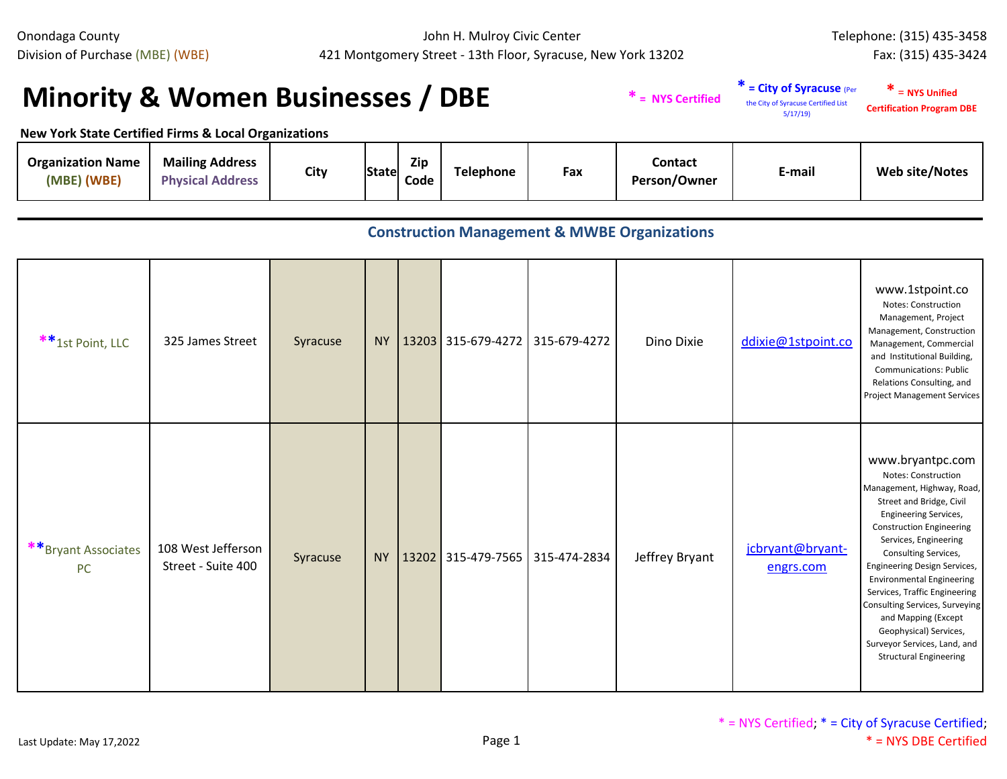John H. Mulroy Civic Center 421 Montgomery Street - 13th Floor, Syracuse, New York 13202

## **Minority & Women Businesses / DBE**  $*$  **\*** *\** **a NYS Certified**

**\* = City of Syracuse** (Per the City of Syracuse Certified List 5/17/19) **\*** = **NYS Unified Certification Program DBE**

**New York State Certified Firms & Local Organizations**

| <b>Organization Name</b><br>(MBE) (WBE) | <b>Mailing Address</b><br><b>Physical Address</b> | City | State | <b>Zip</b><br>Code | Telephone | Fax | Contact<br>Person/Owner | E-mail | <b>Web site/Notes</b> |
|-----------------------------------------|---------------------------------------------------|------|-------|--------------------|-----------|-----|-------------------------|--------|-----------------------|
|-----------------------------------------|---------------------------------------------------|------|-------|--------------------|-----------|-----|-------------------------|--------|-----------------------|

## **Construction Management & MWBE Organizations**

| ** 1st Point, LLC                | 325 James Street                         | Syracuse |  |                                          | NY   13203 315-679-4272   315-679-4272 | Dino Dixie     | ddixie@1stpoint.co            | www.1stpoint.co<br><b>Notes: Construction</b><br>Management, Project<br>Management, Construction<br>Management, Commercial<br>and Institutional Building,<br><b>Communications: Public</b><br>Relations Consulting, and<br>Project Management Services                                                                                                                                                                                                                                |
|----------------------------------|------------------------------------------|----------|--|------------------------------------------|----------------------------------------|----------------|-------------------------------|---------------------------------------------------------------------------------------------------------------------------------------------------------------------------------------------------------------------------------------------------------------------------------------------------------------------------------------------------------------------------------------------------------------------------------------------------------------------------------------|
| **Bryant Associates<br><b>PC</b> | 108 West Jefferson<br>Street - Suite 400 | Syracuse |  | NY   13202   315-479-7565   315-474-2834 |                                        | Jeffrey Bryant | jcbryant@bryant-<br>engrs.com | www.bryantpc.com<br><b>Notes: Construction</b><br>Management, Highway, Road,<br>Street and Bridge, Civil<br><b>Engineering Services,</b><br><b>Construction Engineering</b><br>Services, Engineering<br>Consulting Services,<br>Engineering Design Services,<br><b>Environmental Engineering</b><br>Services, Traffic Engineering<br>Consulting Services, Surveying<br>and Mapping (Except<br>Geophysical) Services,<br>Surveyor Services, Land, and<br><b>Structural Engineering</b> |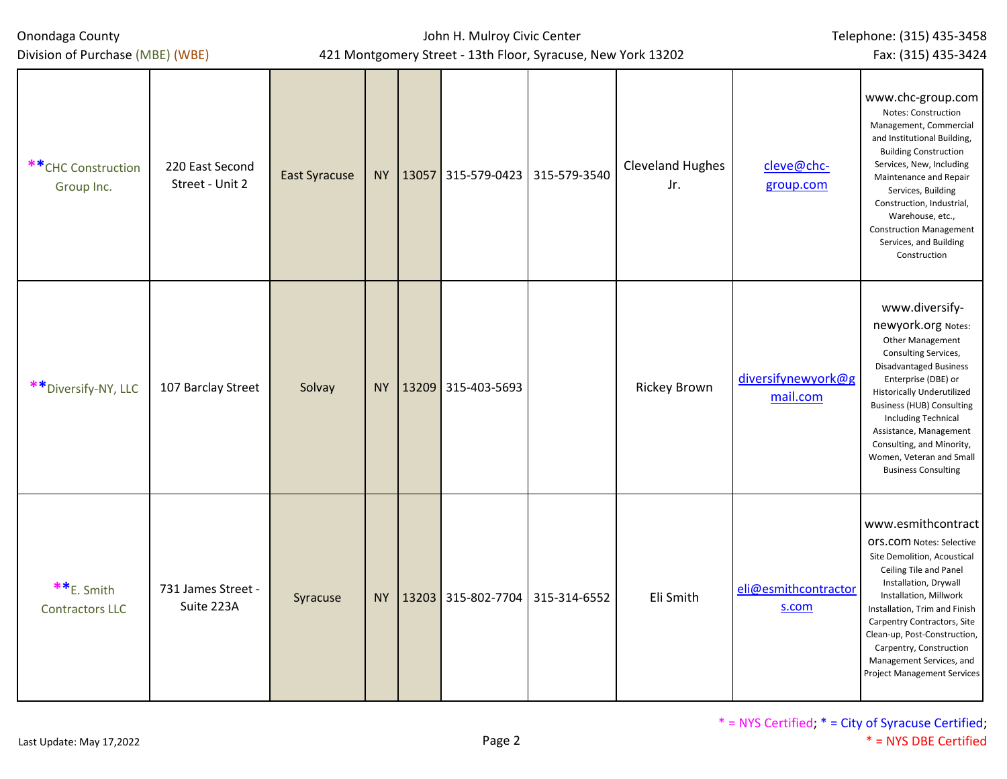| Onondaga County<br>Division of Purchase (MBE) (WBE) |                                    | 421 Montgomery Street - 13th Floor, Syracuse, New York 13202 |           | John H. Mulroy Civic Center | Telephone: (315) 435-3458<br>Fax: (315) 435-3424 |                                |                                |                                                                                                                                                                                                                                                                                                                                                           |
|-----------------------------------------------------|------------------------------------|--------------------------------------------------------------|-----------|-----------------------------|--------------------------------------------------|--------------------------------|--------------------------------|-----------------------------------------------------------------------------------------------------------------------------------------------------------------------------------------------------------------------------------------------------------------------------------------------------------------------------------------------------------|
| **CHC Construction<br>Group Inc.                    | 220 East Second<br>Street - Unit 2 | <b>East Syracuse</b>                                         |           | NY 13057                    | 315-579-0423 315-579-3540                        | <b>Cleveland Hughes</b><br>Jr. | cleve@chc-<br>group.com        | www.chc-group.com<br>Notes: Construction<br>Management, Commercial<br>and Institutional Building,<br><b>Building Construction</b><br>Services, New, Including<br>Maintenance and Repair<br>Services, Building<br>Construction, Industrial,<br>Warehouse, etc.,<br><b>Construction Management</b><br>Services, and Building<br>Construction                |
| ** Diversify-NY, LLC                                | 107 Barclay Street                 | Solvay                                                       | <b>NY</b> |                             | 13209 315-403-5693                               | <b>Rickey Brown</b>            | diversifynewyork@g<br>mail.com | www.diversify-<br>newyork.org Notes:<br>Other Management<br>Consulting Services,<br><b>Disadvantaged Business</b><br>Enterprise (DBE) or<br><b>Historically Underutilized</b><br><b>Business (HUB) Consulting</b><br>Including Technical<br>Assistance, Management<br>Consulting, and Minority,<br>Women, Veteran and Small<br><b>Business Consulting</b> |
| **E. Smith<br><b>Contractors LLC</b>                | 731 James Street -<br>Suite 223A   | Syracuse                                                     |           |                             | NY 13203 315-802-7704 315-314-6552               | Eli Smith                      | eli@esmithcontractor<br>s.com  | www.esmithcontract<br>OFS.COM Notes: Selective<br>Site Demolition, Acoustical<br>Ceiling Tile and Panel<br>Installation, Drywall<br>Installation, Millwork<br>Installation, Trim and Finish<br>Carpentry Contractors, Site<br>Clean-up, Post-Construction,<br>Carpentry, Construction<br>Management Services, and<br>Project Management Services          |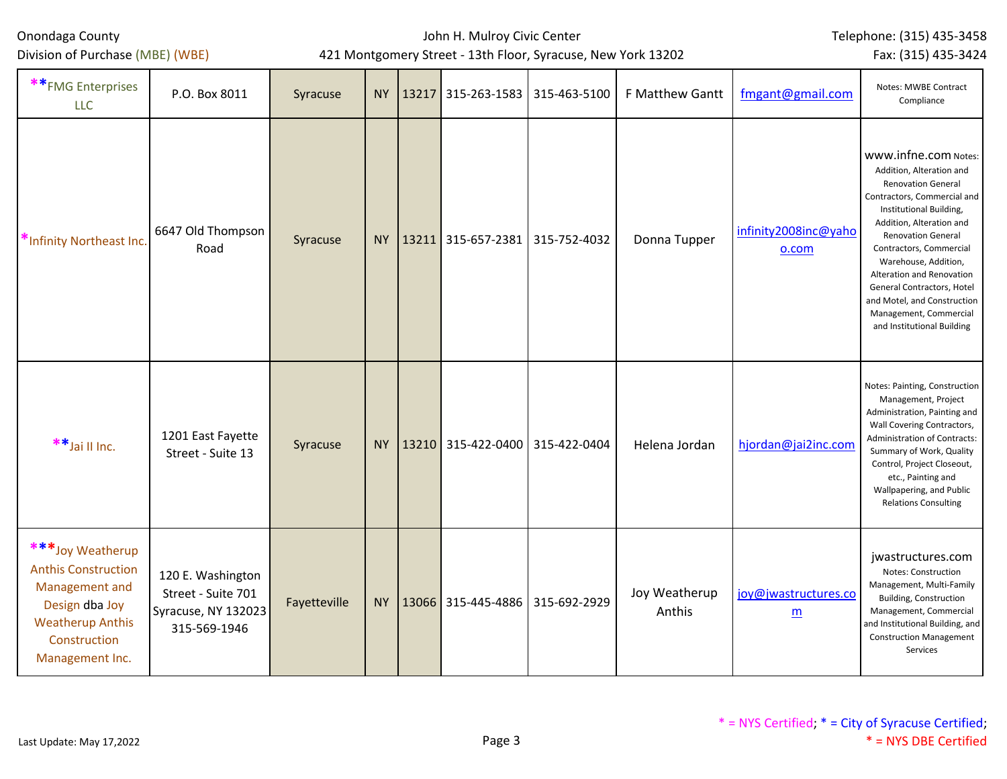Division of Purchase (MBE) (WBE)

## John H. Mulroy Civic Center 421 Montgomery Street - 13th Floor, Syracuse, New York 13202

Telephone: (315) 435-3458

Fax: (315) 435-3424

| ** FMG Enterprises<br><b>LLC</b>                                                                                                                 | P.O. Box 8011                                                                  | Syracuse     |    | NY 13217 | 315-263-1583                             | 315-463-5100 | F Matthew Gantt         | fmgant@gmail.com                        | Notes: MWBE Contract<br>Compliance                                                                                                                                                                                                                                                                                                                                                                    |
|--------------------------------------------------------------------------------------------------------------------------------------------------|--------------------------------------------------------------------------------|--------------|----|----------|------------------------------------------|--------------|-------------------------|-----------------------------------------|-------------------------------------------------------------------------------------------------------------------------------------------------------------------------------------------------------------------------------------------------------------------------------------------------------------------------------------------------------------------------------------------------------|
| *Infinity Northeast Inc.                                                                                                                         | 6647 Old Thompson<br>Road                                                      | Syracuse     |    |          | NY   13211   315-657-2381   315-752-4032 |              | Donna Tupper            | infinity2008inc@yaho<br>0.00m           | www.infne.com Notes:<br>Addition, Alteration and<br><b>Renovation General</b><br>Contractors, Commercial and<br>Institutional Building,<br>Addition, Alteration and<br><b>Renovation General</b><br>Contractors, Commercial<br>Warehouse, Addition,<br>Alteration and Renovation<br>General Contractors, Hotel<br>and Motel, and Construction<br>Management, Commercial<br>and Institutional Building |
| **Jai II Inc.                                                                                                                                    | 1201 East Fayette<br>Street - Suite 13                                         | Syracuse     |    | NY 13210 | 315-422-0400                             | 315-422-0404 | Helena Jordan           | hjordan@jai2inc.com                     | Notes: Painting, Construction<br>Management, Project<br>Administration, Painting and<br>Wall Covering Contractors,<br>Administration of Contracts:<br>Summary of Work, Quality<br>Control, Project Closeout,<br>etc., Painting and<br>Wallpapering, and Public<br><b>Relations Consulting</b>                                                                                                         |
| ***Joy Weatherup<br><b>Anthis Construction</b><br>Management and<br>Design dba Joy<br><b>Weatherup Anthis</b><br>Construction<br>Management Inc. | 120 E. Washington<br>Street - Suite 701<br>Syracuse, NY 132023<br>315-569-1946 | Fayetteville | NY |          | 13066 315-445-4886                       | 315-692-2929 | Joy Weatherup<br>Anthis | joy@jwastructures.co<br>$\underline{m}$ | jwastructures.com<br>Notes: Construction<br>Management, Multi-Family<br>Building, Construction<br>Management, Commercial<br>and Institutional Building, and<br><b>Construction Management</b><br>Services                                                                                                                                                                                             |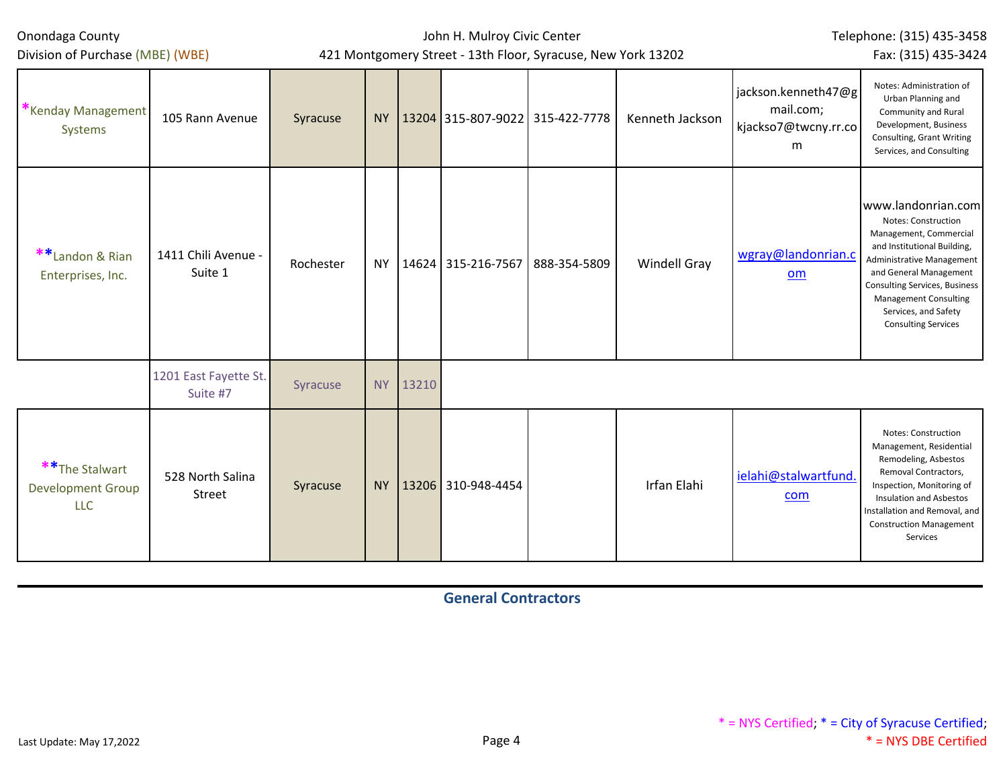Division of Purchase (MBE) (WBE)

John H. Mulroy Civic Center 421 Montgomery Street - 13th Floor, Syracuse, New York 13202 Telephone: (315) 435-3458 Fax: (315) 435-3424

| Kenday Management<br>Systems                              | 105 Rann Avenue                   | Syracuse  | <b>NY</b> |       | 13204 315-807-9022 315-422-7778 |              | Kenneth Jackson     | jackson.kenneth47@g<br>mail.com;<br>kjackso7@twcny.rr.co<br>m | Notes: Administration of<br>Urban Planning and<br>Community and Rural<br>Development, Business<br>Consulting, Grant Writing<br>Services, and Consulting                                                                                                                                 |
|-----------------------------------------------------------|-----------------------------------|-----------|-----------|-------|---------------------------------|--------------|---------------------|---------------------------------------------------------------|-----------------------------------------------------------------------------------------------------------------------------------------------------------------------------------------------------------------------------------------------------------------------------------------|
| **Landon & Rian<br>Enterprises, Inc.                      | 1411 Chili Avenue -<br>Suite 1    | Rochester | <b>NY</b> |       | 14624 315-216-7567              | 888-354-5809 | <b>Windell Gray</b> | wgray@landonrian.c<br>om                                      | www.landonrian.com<br>Notes: Construction<br>Management, Commercial<br>and Institutional Building,<br>Administrative Management<br>and General Management<br><b>Consulting Services, Business</b><br><b>Management Consulting</b><br>Services, and Safety<br><b>Consulting Services</b> |
|                                                           | 1201 East Fayette St.<br>Suite #7 | Syracuse  | <b>NY</b> | 13210 |                                 |              |                     |                                                               |                                                                                                                                                                                                                                                                                         |
| ** The Stalwart<br><b>Development Group</b><br><b>LLC</b> | 528 North Salina<br>Street        | Syracuse  | <b>NY</b> |       | 13206 310-948-4454              |              | Irfan Elahi         | ielahi@stalwartfund.<br>com                                   | Notes: Construction<br>Management, Residential<br>Remodeling, Asbestos<br>Removal Contractors,<br>Inspection, Monitoring of<br><b>Insulation and Asbestos</b><br>Installation and Removal, and<br><b>Construction Management</b><br>Services                                            |

**General Contractors**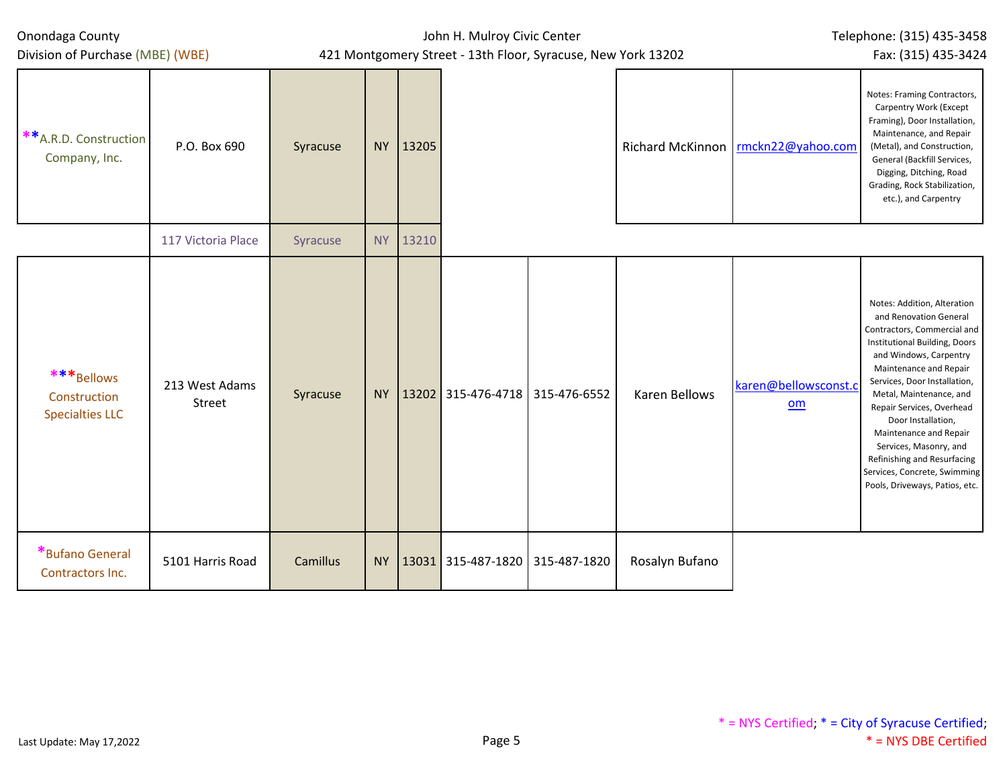| Onondaga County                                                             |                          |          |           |       | Telephone: (315) 435-3458                |                                                              |                      |                                    |                                                                                                                                                                                                                                                                                                                                                                                                                                              |
|-----------------------------------------------------------------------------|--------------------------|----------|-----------|-------|------------------------------------------|--------------------------------------------------------------|----------------------|------------------------------------|----------------------------------------------------------------------------------------------------------------------------------------------------------------------------------------------------------------------------------------------------------------------------------------------------------------------------------------------------------------------------------------------------------------------------------------------|
| Division of Purchase (MBE) (WBE)<br>** A.R.D. Construction<br>Company, Inc. | P.O. Box 690             | Syracuse | <b>NY</b> | 13205 |                                          | 421 Montgomery Street - 13th Floor, Syracuse, New York 13202 |                      | Richard McKinnon rmckn22@yahoo.com | Fax: (315) 435-3424<br>Notes: Framing Contractors,<br>Carpentry Work (Except<br>Framing), Door Installation,<br>Maintenance, and Repair<br>(Metal), and Construction,<br>General (Backfill Services,<br>Digging, Ditching, Road<br>Grading, Rock Stabilization,<br>etc.), and Carpentry                                                                                                                                                      |
|                                                                             | 117 Victoria Place       | Syracuse | <b>NY</b> | 13210 |                                          |                                                              |                      |                                    |                                                                                                                                                                                                                                                                                                                                                                                                                                              |
| ***Bellows<br>Construction<br><b>Specialties LLC</b>                        | 213 West Adams<br>Street | Syracuse | <b>NY</b> |       | 13202 315-476-4718 315-476-6552          |                                                              | <b>Karen Bellows</b> | karen@bellowsconst.c<br>om         | Notes: Addition, Alteration<br>and Renovation General<br>Contractors, Commercial and<br>Institutional Building, Doors<br>and Windows, Carpentry<br>Maintenance and Repair<br>Services, Door Installation,<br>Metal, Maintenance, and<br>Repair Services, Overhead<br>Door Installation,<br>Maintenance and Repair<br>Services, Masonry, and<br>Refinishing and Resurfacing<br>Services, Concrete, Swimming<br>Pools, Driveways, Patios, etc. |
| *Bufano General<br>Contractors Inc.                                         | 5101 Harris Road         | Camillus |           |       | NY   13031   315-487-1820   315-487-1820 |                                                              | Rosalyn Bufano       |                                    |                                                                                                                                                                                                                                                                                                                                                                                                                                              |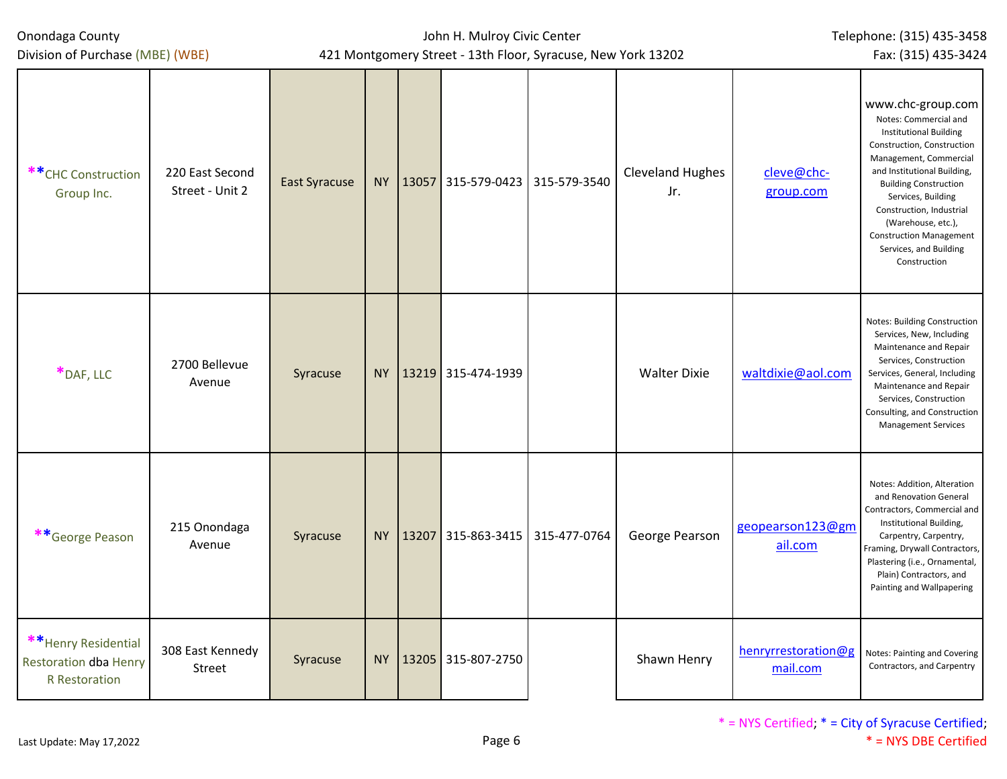| Onondaga County<br>Division of Purchase (MBE) (WBE)                          |                                    |                      |     |          | John H. Mulroy Civic Center<br>421 Montgomery Street - 13th Floor, Syracuse, New York 13202 | Telephone: (315) 435-3458<br>Fax: (315) 435-3424 |                                 |                                                                                                                                                                                                                                                                                                                                                        |
|------------------------------------------------------------------------------|------------------------------------|----------------------|-----|----------|---------------------------------------------------------------------------------------------|--------------------------------------------------|---------------------------------|--------------------------------------------------------------------------------------------------------------------------------------------------------------------------------------------------------------------------------------------------------------------------------------------------------------------------------------------------------|
| ** CHC Construction<br>Group Inc.                                            | 220 East Second<br>Street - Unit 2 | <b>East Syracuse</b> |     |          | NY   13057 315-579-0423   315-579-3540                                                      | <b>Cleveland Hughes</b><br>Jr.                   | cleve@chc-<br>group.com         | www.chc-group.com<br>Notes: Commercial and<br><b>Institutional Building</b><br>Construction, Construction<br>Management, Commercial<br>and Institutional Building,<br><b>Building Construction</b><br>Services, Building<br>Construction, Industrial<br>(Warehouse, etc.),<br><b>Construction Management</b><br>Services, and Building<br>Construction |
| *DAF, LLC                                                                    | 2700 Bellevue<br>Avenue            | Syracuse             |     |          | NY 13219 315-474-1939                                                                       | <b>Walter Dixie</b>                              | waltdixie@aol.com               | Notes: Building Construction<br>Services, New, Including<br>Maintenance and Repair<br>Services, Construction<br>Services, General, Including<br>Maintenance and Repair<br>Services, Construction<br>Consulting, and Construction<br><b>Management Services</b>                                                                                         |
| **George Peason                                                              | 215 Onondaga<br>Avenue             | Syracuse             |     | NY 13207 | 315-863-3415 315-477-0764                                                                   | George Pearson                                   | geopearson123@gm<br>ail.com     | Notes: Addition, Alteration<br>and Renovation General<br>Contractors, Commercial and<br>Institutional Building,<br>Carpentry, Carpentry,<br>Framing, Drywall Contractors,<br>Plastering (i.e., Ornamental,<br>Plain) Contractors, and<br>Painting and Wallpapering                                                                                     |
| ** Henry Residential<br><b>Restoration dba Henry</b><br><b>R</b> Restoration | 308 East Kennedy<br>Street         | Syracuse             | NY. |          | 13205 315-807-2750                                                                          | Shawn Henry                                      | henryrrestoration@g<br>mail.com | Notes: Painting and Covering<br>Contractors, and Carpentry                                                                                                                                                                                                                                                                                             |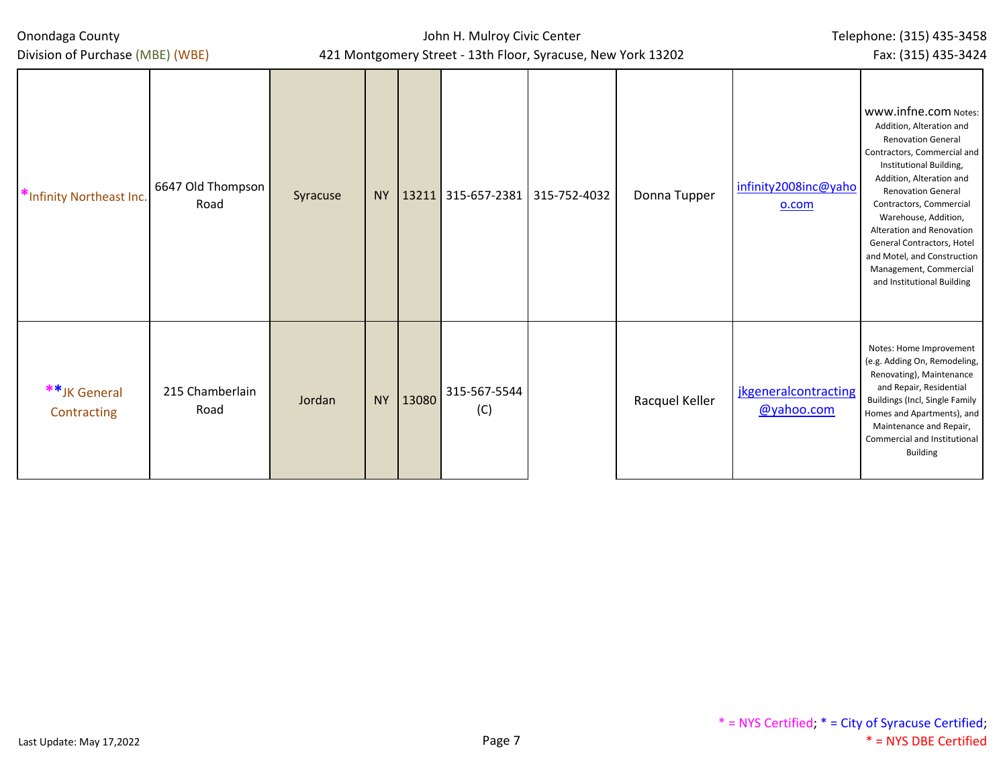#### John H. Mulroy Civic Center 421 Montgomery Street - 13th Floor, Syracuse, New York 13202

Telephone: (315) 435-3458 Fax: (315) 435-3424

| Division of Purchase (MBE) (WBE) |                           | 421 Montgomery Street - 13th Floor, Syracuse, New York 13202 | Fax: (315) 435-3424 |       |                     |              |                |                                           |                                                                                                                                                                                                                                                                                                                                                                                                       |
|----------------------------------|---------------------------|--------------------------------------------------------------|---------------------|-------|---------------------|--------------|----------------|-------------------------------------------|-------------------------------------------------------------------------------------------------------------------------------------------------------------------------------------------------------------------------------------------------------------------------------------------------------------------------------------------------------------------------------------------------------|
| *Infinity Northeast Inc.         | 6647 Old Thompson<br>Road | Syracuse                                                     | <b>NY</b>           |       | 13211 315-657-2381  | 315-752-4032 | Donna Tupper   | infinity2008inc@yaho<br>0.00 <sub>m</sub> | www.infne.com Notes:<br>Addition, Alteration and<br><b>Renovation General</b><br>Contractors, Commercial and<br>Institutional Building,<br>Addition, Alteration and<br><b>Renovation General</b><br>Contractors, Commercial<br>Warehouse, Addition,<br>Alteration and Renovation<br>General Contractors, Hotel<br>and Motel, and Construction<br>Management, Commercial<br>and Institutional Building |
| **JK General<br>Contracting      | 215 Chamberlain<br>Road   | Jordan                                                       | <b>NY</b>           | 13080 | 315-567-5544<br>(C) |              | Racquel Keller | <i>ikgeneralcontracting</i><br>@yahoo.com | Notes: Home Improvement<br>(e.g. Adding On, Remodeling,<br>Renovating), Maintenance<br>and Repair, Residential<br>Buildings (Incl, Single Family<br>Homes and Apartments), and<br>Maintenance and Repair,<br>Commercial and Institutional<br><b>Building</b>                                                                                                                                          |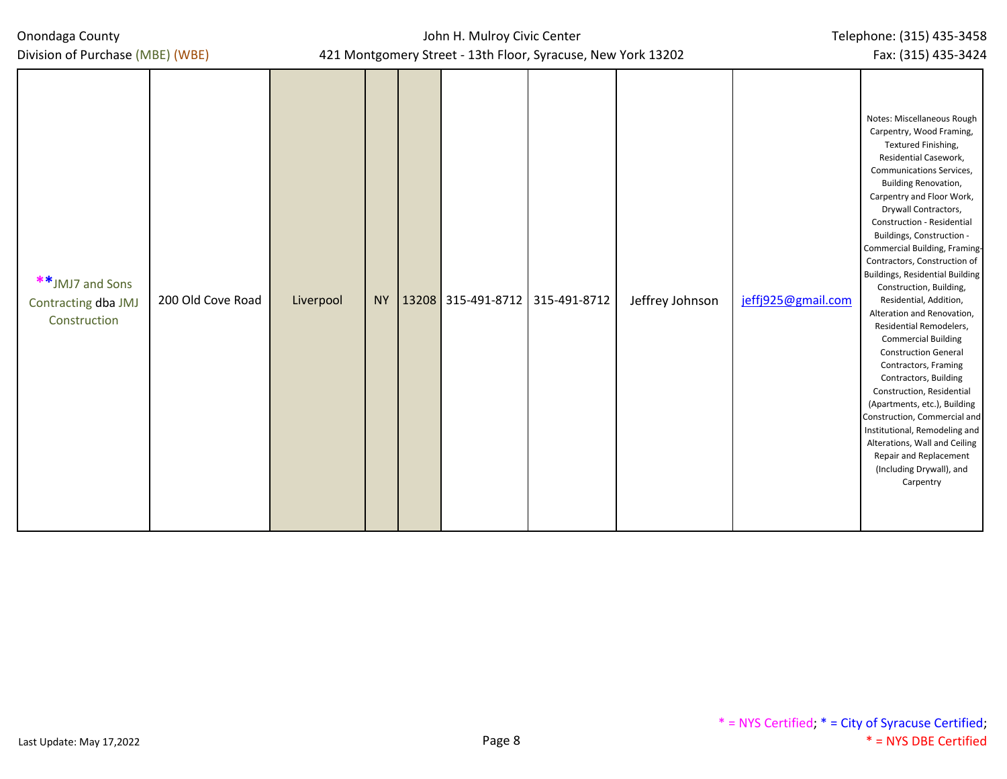| Onondaga County |  |  |
|-----------------|--|--|
|-----------------|--|--|

Division of Purchase (MBE) (WBE)

| **JMJ7 and Sons<br>Contracting dba JMJ<br>Construction | 200 Old Cove Road | Liverpool |  | NY   13208 315-491-8712   315-491-8712 | Jeffrey Johnson | jeffj925@gmail.com | Notes: Miscellaneous Rough<br>Carpentry, Wood Framing,<br>Textured Finishing,<br>Residential Casework,<br>Communications Services,<br>Building Renovation,<br>Carpentry and Floor Work,<br>Drywall Contractors,<br>Construction - Residential<br>Buildings, Construction -<br>Commercial Building, Framing-<br>Contractors, Construction of<br>Buildings, Residential Building<br>Construction, Building,<br>Residential, Addition,<br>Alteration and Renovation,<br>Residential Remodelers,<br><b>Commercial Building</b><br><b>Construction General</b><br>Contractors, Framing<br>Contractors, Building<br>Construction, Residential<br>(Apartments, etc.), Building<br>Construction, Commercial and<br>Institutional, Remodeling and<br>Alterations, Wall and Ceiling<br>Repair and Replacement<br>(Including Drywall), and<br>Carpentry |
|--------------------------------------------------------|-------------------|-----------|--|----------------------------------------|-----------------|--------------------|----------------------------------------------------------------------------------------------------------------------------------------------------------------------------------------------------------------------------------------------------------------------------------------------------------------------------------------------------------------------------------------------------------------------------------------------------------------------------------------------------------------------------------------------------------------------------------------------------------------------------------------------------------------------------------------------------------------------------------------------------------------------------------------------------------------------------------------------|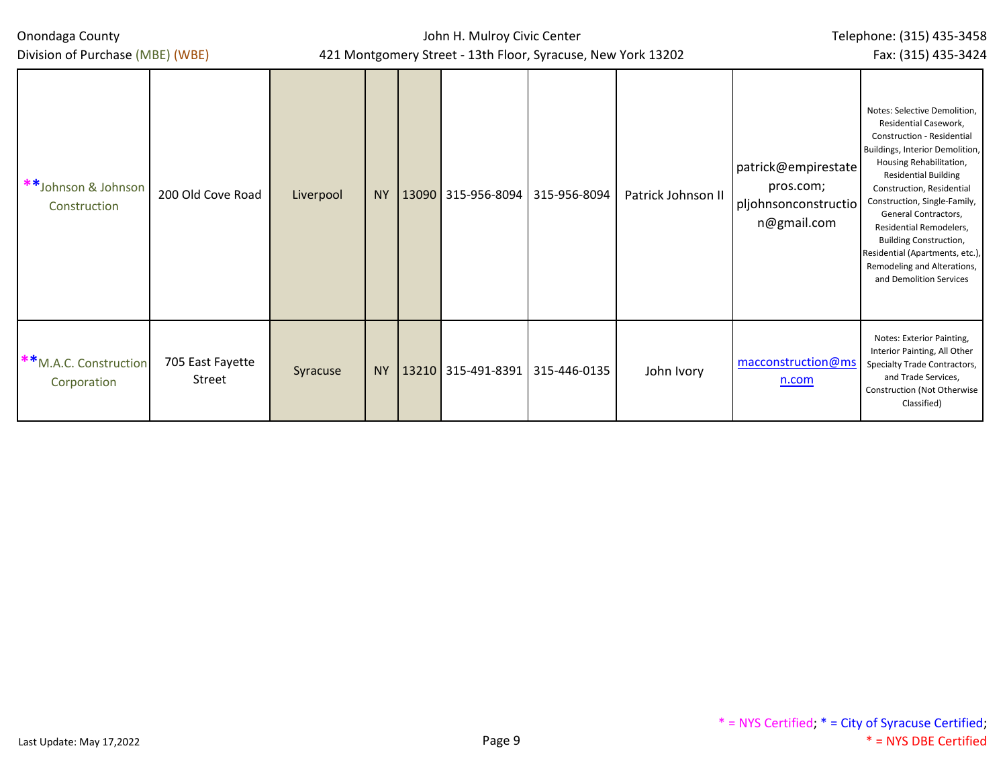Division of Purchase (MBE) (WBE)

John H. Mulroy Civic Center 421 Montgomery Street - 13th Floor, Syracuse, New York 13202 Telephone: (315) 435-3458 Fax: (315) 435-3424

| **Johnson & Johnson<br>Construction  | 200 Old Cove Road          | Liverpool | <b>NY</b> | 13090 315-956-8094 315-956-8094 |              | Patrick Johnson II | patrick@empirestate<br>pros.com;<br>pljohnsonconstructio<br>n@gmail.com | Notes: Selective Demolition,<br>Residential Casework,<br>Construction - Residential<br>Buildings, Interior Demolition,<br>Housing Rehabilitation,<br><b>Residential Building</b><br>Construction, Residential<br>Construction, Single-Family,<br>General Contractors,<br>Residential Remodelers,<br>Building Construction,<br>Residential (Apartments, etc.),<br>Remodeling and Alterations,<br>and Demolition Services |
|--------------------------------------|----------------------------|-----------|-----------|---------------------------------|--------------|--------------------|-------------------------------------------------------------------------|-------------------------------------------------------------------------------------------------------------------------------------------------------------------------------------------------------------------------------------------------------------------------------------------------------------------------------------------------------------------------------------------------------------------------|
| **M.A.C. Construction<br>Corporation | 705 East Fayette<br>Street | Syracuse  | <b>NY</b> | 13210 315-491-8391              | 315-446-0135 | John Ivory         | macconstruction@ms<br>n.com                                             | Notes: Exterior Painting,<br>Interior Painting, All Other<br>Specialty Trade Contractors,<br>and Trade Services,<br>Construction (Not Otherwise<br>Classified)                                                                                                                                                                                                                                                          |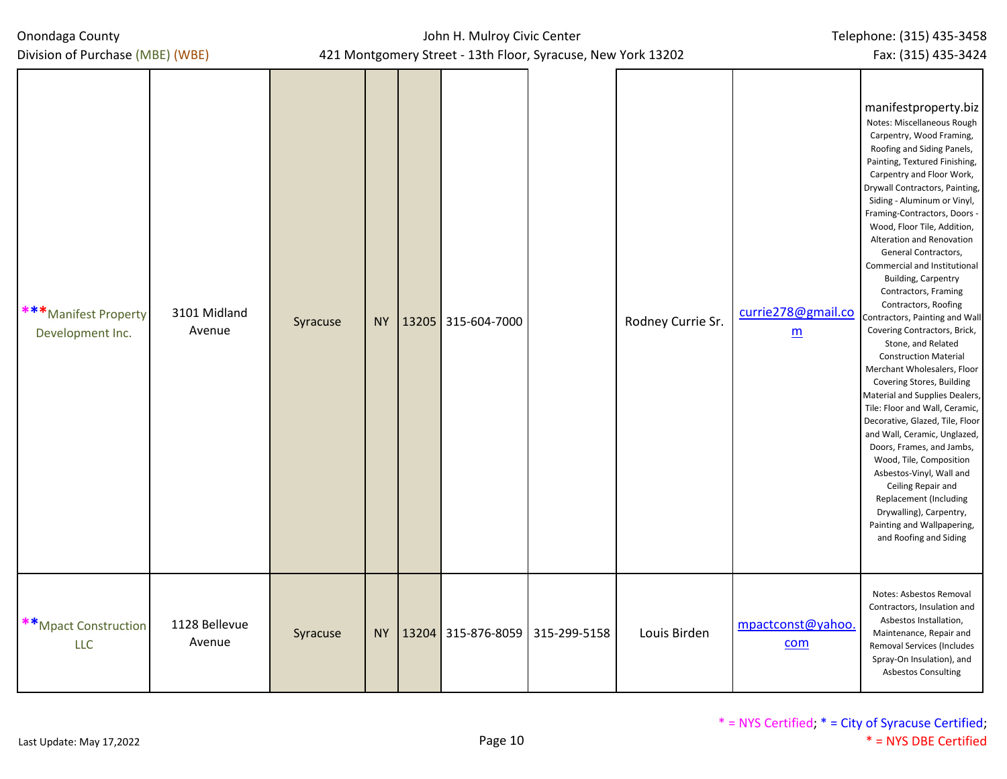| Division of Purchase (MBE) (WBE)                                    |          | 421 Montgomery Street - 13th Floor, Syracuse, New York 13202<br>Fax: (315) 435-3424 |  |                                      |  |                   |                                       |                                                                                                                                                                                                                                                                                                                                                                                                                                                                                                                                                                                                                                                                                                                                                                                                                                                                                                                                                                                                                                 |  |  |
|---------------------------------------------------------------------|----------|-------------------------------------------------------------------------------------|--|--------------------------------------|--|-------------------|---------------------------------------|---------------------------------------------------------------------------------------------------------------------------------------------------------------------------------------------------------------------------------------------------------------------------------------------------------------------------------------------------------------------------------------------------------------------------------------------------------------------------------------------------------------------------------------------------------------------------------------------------------------------------------------------------------------------------------------------------------------------------------------------------------------------------------------------------------------------------------------------------------------------------------------------------------------------------------------------------------------------------------------------------------------------------------|--|--|
| *** Manifest Property<br>3101 Midland<br>Avenue<br>Development Inc. | Syracuse | <b>NY</b>                                                                           |  | 13205 315-604-7000                   |  | Rodney Currie Sr. | currie278@gmail.co<br>$\underline{m}$ | manifestproperty.biz<br>Notes: Miscellaneous Rough<br>Carpentry, Wood Framing,<br>Roofing and Siding Panels,<br>Painting, Textured Finishing,<br>Carpentry and Floor Work,<br>Drywall Contractors, Painting,<br>Siding - Aluminum or Vinyl,<br>Framing-Contractors, Doors -<br>Wood, Floor Tile, Addition,<br>Alteration and Renovation<br>General Contractors,<br>Commercial and Institutional<br><b>Building, Carpentry</b><br>Contractors, Framing<br>Contractors, Roofing<br>Contractors, Painting and Wall<br>Covering Contractors, Brick,<br>Stone, and Related<br><b>Construction Material</b><br>Merchant Wholesalers, Floor<br>Covering Stores, Building<br>Material and Supplies Dealers,<br>Tile: Floor and Wall, Ceramic,<br>Decorative, Glazed, Tile, Floor<br>and Wall, Ceramic, Unglazed,<br>Doors, Frames, and Jambs,<br>Wood, Tile, Composition<br>Asbestos-Vinyl, Wall and<br>Ceiling Repair and<br>Replacement (Including<br>Drywalling), Carpentry,<br>Painting and Wallpapering,<br>and Roofing and Siding |  |  |
| **Mpact Construction<br>1128 Bellevue<br>Avenue<br><b>LLC</b>       | Syracuse |                                                                                     |  | NY   13204 315-876-8059 315-299-5158 |  | Louis Birden      | mpactconst@yahoo.<br>com              | Notes: Asbestos Removal<br>Contractors, Insulation and<br>Asbestos Installation,<br>Maintenance, Repair and<br>Removal Services (Includes<br>Spray-On Insulation), and<br><b>Asbestos Consulting</b>                                                                                                                                                                                                                                                                                                                                                                                                                                                                                                                                                                                                                                                                                                                                                                                                                            |  |  |

John H. Mulroy Civic Center

Telephone: (315) 435-3458

Onondaga County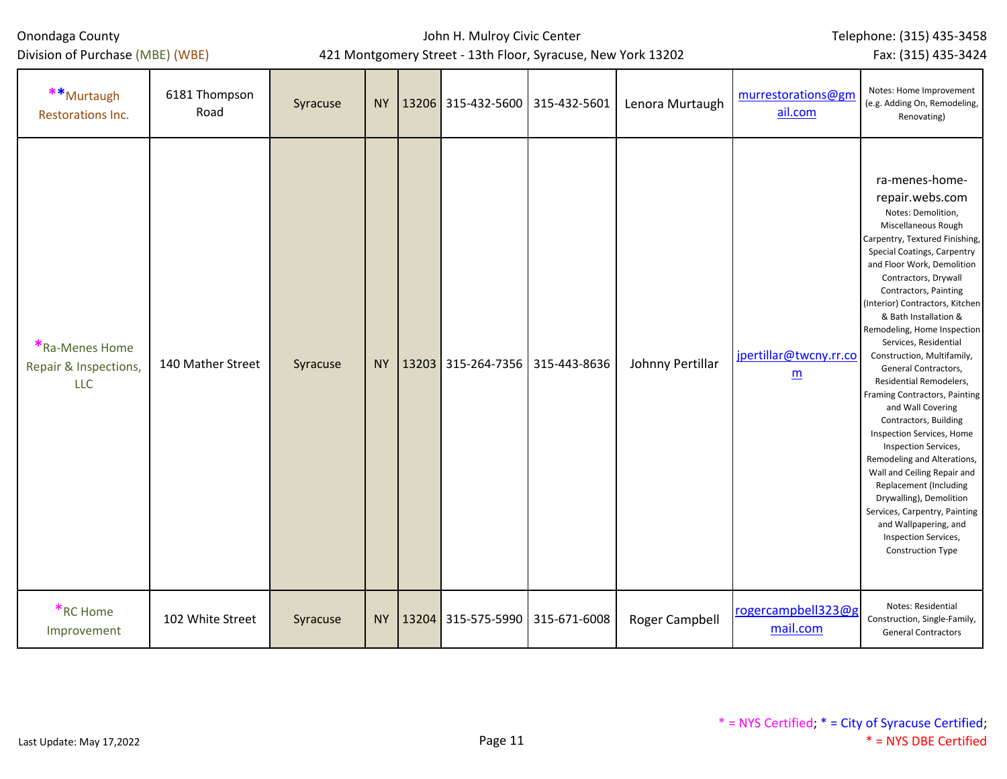Division of Purchase (MBE) (WBE)

## John H. Mulroy Civic Center

Telephone: (315) 435-3458

421 Montgomery Street - 13th Floor, Syracuse, New York 13202

|                                                                                     | Fax: (315) 435-3424 |
|-------------------------------------------------------------------------------------|---------------------|
| Notes: Home Improvement<br>murrestorations@gm<br>gh<br>(e.g. Adding On, Remodeling, |                     |

| **Murtaugh<br>Restorations Inc.                       | 6181 Thompson<br>Road | Syracuse |           |       | NY   13206 315-432-5600   315-432-5601 | Lenora Murtaugh  | murrestorations@gm<br>ail.com             | Notes: Home Improvement<br>(e.g. Adding On, Remodeling,<br>Renovating)                                                                                                                                                                                                                                                                                                                                                                                                                                                                                                                                                                                                                                                                                                                                   |
|-------------------------------------------------------|-----------------------|----------|-----------|-------|----------------------------------------|------------------|-------------------------------------------|----------------------------------------------------------------------------------------------------------------------------------------------------------------------------------------------------------------------------------------------------------------------------------------------------------------------------------------------------------------------------------------------------------------------------------------------------------------------------------------------------------------------------------------------------------------------------------------------------------------------------------------------------------------------------------------------------------------------------------------------------------------------------------------------------------|
| *Ra-Menes Home<br>Repair & Inspections,<br><b>LLC</b> | 140 Mather Street     | Syracuse | <b>NY</b> | 13203 | 315-264-7356 315-443-8636              | Johnny Pertillar | jpertillar@twcny.rr.co<br>$\underline{m}$ | ra-menes-home-<br>repair.webs.com<br>Notes: Demolition,<br>Miscellaneous Rough<br>Carpentry, Textured Finishing,<br>Special Coatings, Carpentry<br>and Floor Work, Demolition<br>Contractors, Drywall<br>Contractors, Painting<br>(Interior) Contractors, Kitchen<br>& Bath Installation &<br>Remodeling, Home Inspection<br>Services, Residential<br>Construction, Multifamily,<br>General Contractors,<br>Residential Remodelers,<br>Framing Contractors, Painting<br>and Wall Covering<br>Contractors, Building<br>Inspection Services, Home<br>Inspection Services,<br>Remodeling and Alterations,<br>Wall and Ceiling Repair and<br>Replacement (Including<br>Drywalling), Demolition<br>Services, Carpentry, Painting<br>and Wallpapering, and<br>Inspection Services,<br><b>Construction Type</b> |
| *RC Home<br>Improvement                               | 102 White Street      | Syracuse | <b>NY</b> |       | 13204 315-575-5990 315-671-6008        | Roger Campbell   | rogercampbell323@g<br>mail.com            | Notes: Residential<br>Construction, Single-Family,<br><b>General Contractors</b>                                                                                                                                                                                                                                                                                                                                                                                                                                                                                                                                                                                                                                                                                                                         |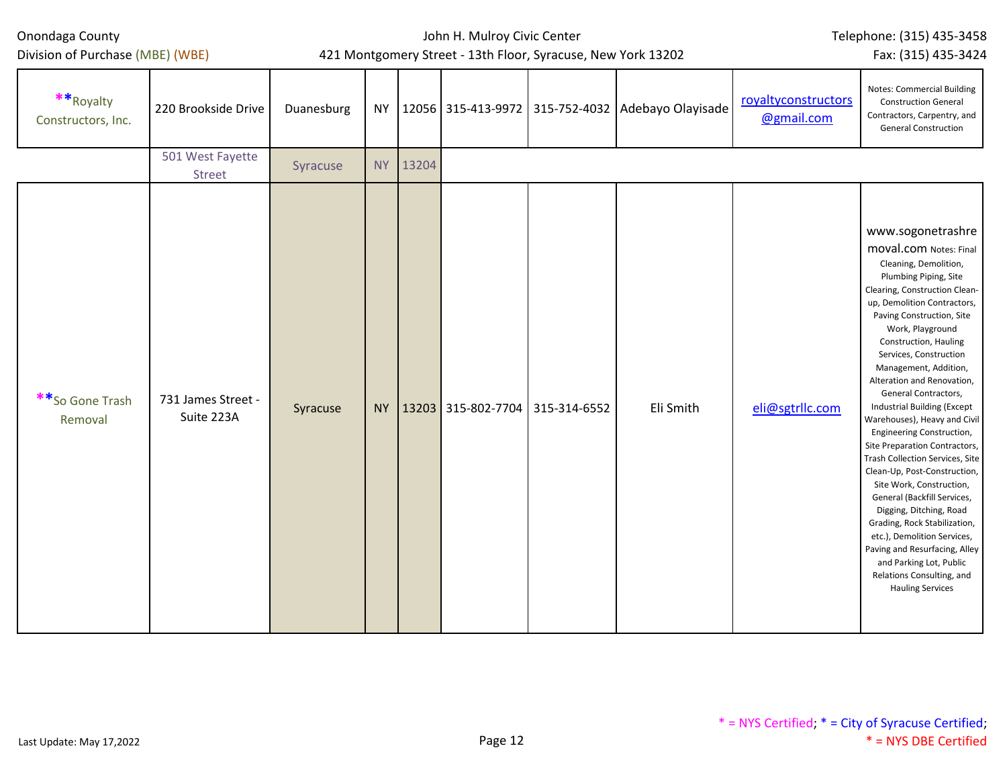Division of Purchase (MBE) (WBE)

## John H. Mulroy Civic Center 421 Montgomery Street - 13th Floor, Syracuse, New York 13202

Telephone: (315) 435-3458

Fax: (315) 435-3424

| ** Royalty<br>Constructors, Inc. | 220 Brookside Drive               | Duanesburg | NY        |       |                                   | 12056   315-413-9972   315-752-4032   Adebayo Olayisade | royaltyconstructors<br>@gmail.com | <b>Notes: Commercial Building</b><br><b>Construction General</b><br>Contractors, Carpentry, and<br><b>General Construction</b>                                                                                                                                                                                                                                                                                                                                                                                                                                                                                                                                                                                                                                                                                                          |
|----------------------------------|-----------------------------------|------------|-----------|-------|-----------------------------------|---------------------------------------------------------|-----------------------------------|-----------------------------------------------------------------------------------------------------------------------------------------------------------------------------------------------------------------------------------------------------------------------------------------------------------------------------------------------------------------------------------------------------------------------------------------------------------------------------------------------------------------------------------------------------------------------------------------------------------------------------------------------------------------------------------------------------------------------------------------------------------------------------------------------------------------------------------------|
|                                  | 501 West Fayette<br><b>Street</b> | Syracuse   | <b>NY</b> | 13204 |                                   |                                                         |                                   |                                                                                                                                                                                                                                                                                                                                                                                                                                                                                                                                                                                                                                                                                                                                                                                                                                         |
| **So Gone Trash<br>Removal       | 731 James Street -<br>Suite 223A  | Syracuse   | <b>NY</b> |       | $13203$ 315-802-7704 315-314-6552 | Eli Smith                                               | eli@sgtrllc.com                   | www.sogonetrashre<br><b>moval.com</b> Notes: Final<br>Cleaning, Demolition,<br>Plumbing Piping, Site<br>Clearing, Construction Clean-<br>up, Demolition Contractors,<br>Paving Construction, Site<br>Work, Playground<br>Construction, Hauling<br>Services, Construction<br>Management, Addition,<br>Alteration and Renovation,<br>General Contractors,<br><b>Industrial Building (Except</b><br>Warehouses), Heavy and Civil<br>Engineering Construction,<br>Site Preparation Contractors,<br>Trash Collection Services, Site<br>Clean-Up, Post-Construction,<br>Site Work, Construction,<br>General (Backfill Services,<br>Digging, Ditching, Road<br>Grading, Rock Stabilization,<br>etc.), Demolition Services,<br>Paving and Resurfacing, Alley<br>and Parking Lot, Public<br>Relations Consulting, and<br><b>Hauling Services</b> |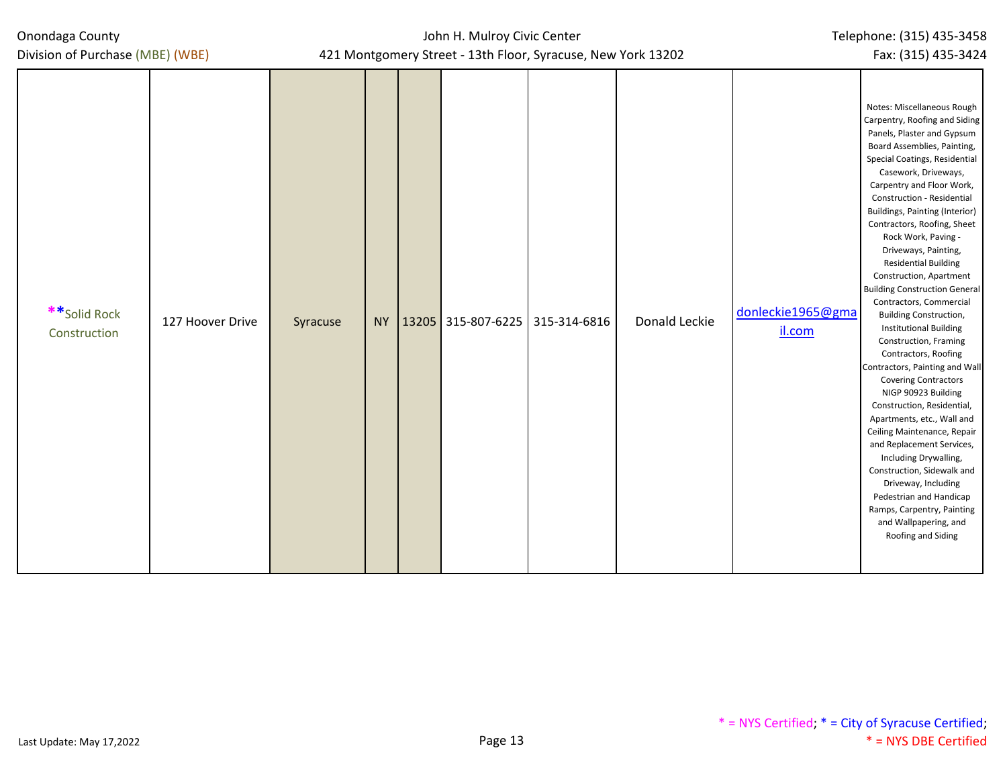| Onondaga County<br>Division of Purchase (MBE) (WBE) |          | John H. Mulroy Civic Center<br>421 Montgomery Street - 13th Floor, Syracuse, New York 13202 | Telephone: (315) 435-3458<br>Fax: (315) 435-3424 |               |                             |                                                                                                                                                                                                                                                                                                                                                                                                                                                                                                                                                                                                                                                                                                                                                                                                                                                                                                                                                                                                                           |
|-----------------------------------------------------|----------|---------------------------------------------------------------------------------------------|--------------------------------------------------|---------------|-----------------------------|---------------------------------------------------------------------------------------------------------------------------------------------------------------------------------------------------------------------------------------------------------------------------------------------------------------------------------------------------------------------------------------------------------------------------------------------------------------------------------------------------------------------------------------------------------------------------------------------------------------------------------------------------------------------------------------------------------------------------------------------------------------------------------------------------------------------------------------------------------------------------------------------------------------------------------------------------------------------------------------------------------------------------|
| **Solid Rock<br>127 Hoover Drive<br>Construction    | Syracuse | NY   13205   315-807-6225   315-314-6816                                                    |                                                  | Donald Leckie | donleckie1965@gma<br>il.com | Notes: Miscellaneous Rough<br>Carpentry, Roofing and Siding<br>Panels, Plaster and Gypsum<br>Board Assemblies, Painting,<br>Special Coatings, Residential<br>Casework, Driveways,<br>Carpentry and Floor Work,<br>Construction - Residential<br><b>Buildings, Painting (Interior)</b><br>Contractors, Roofing, Sheet<br>Rock Work, Paving -<br>Driveways, Painting,<br><b>Residential Building</b><br>Construction, Apartment<br><b>Building Construction General</b><br>Contractors, Commercial<br><b>Building Construction,</b><br><b>Institutional Building</b><br>Construction, Framing<br>Contractors, Roofing<br>Contractors, Painting and Wall<br><b>Covering Contractors</b><br>NIGP 90923 Building<br>Construction, Residential,<br>Apartments, etc., Wall and<br>Ceiling Maintenance, Repair<br>and Replacement Services,<br>Including Drywalling,<br>Construction, Sidewalk and<br>Driveway, Including<br>Pedestrian and Handicap<br>Ramps, Carpentry, Painting<br>and Wallpapering, and<br>Roofing and Siding |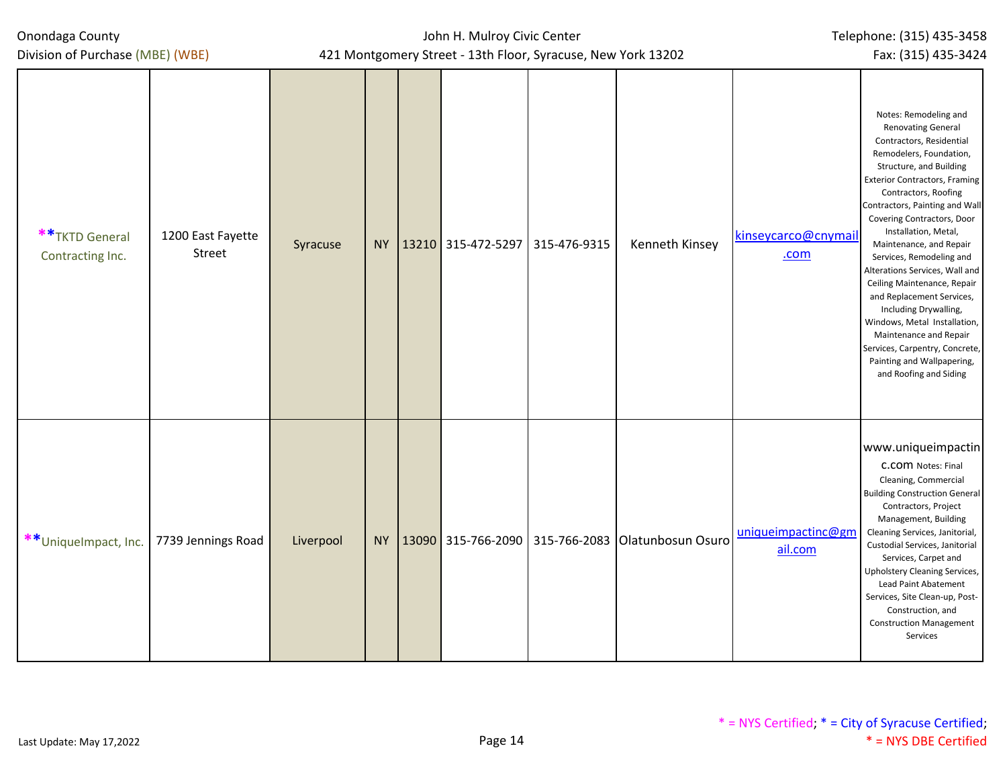Division of Purchase (MBE) (WBE)

| ** TKTD General<br>Contracting Inc. | 1200 East Fayette<br>Street | Syracuse  |           | NY   13210   315-472-5297   315-476-9315 | Kenneth Kinsey                                    | kinseycarco@cnymail<br>.com   | Notes: Remodeling and<br><b>Renovating General</b><br>Contractors, Residential<br>Remodelers, Foundation,<br>Structure, and Building<br><b>Exterior Contractors, Framing</b><br>Contractors, Roofing<br>Contractors, Painting and Wall<br>Covering Contractors, Door<br>Installation, Metal,<br>Maintenance, and Repair<br>Services, Remodeling and<br>Alterations Services, Wall and<br>Ceiling Maintenance, Repair<br>and Replacement Services,<br>Including Drywalling,<br>Windows, Metal Installation,<br>Maintenance and Repair<br>Services, Carpentry, Concrete,<br>Painting and Wallpapering,<br>and Roofing and Siding |
|-------------------------------------|-----------------------------|-----------|-----------|------------------------------------------|---------------------------------------------------|-------------------------------|--------------------------------------------------------------------------------------------------------------------------------------------------------------------------------------------------------------------------------------------------------------------------------------------------------------------------------------------------------------------------------------------------------------------------------------------------------------------------------------------------------------------------------------------------------------------------------------------------------------------------------|
| **UniqueImpact, Inc.                | 7739 Jennings Road          | Liverpool | <b>NY</b> |                                          | 13090 315-766-2090 315-766-2083 Olatunbosun Osuro | uniqueimpactinc@gm<br>ail.com | www.uniqueimpactin<br>C.COM Notes: Final<br>Cleaning, Commercial<br><b>Building Construction General</b><br>Contractors, Project<br>Management, Building<br>Cleaning Services, Janitorial,<br>Custodial Services, Janitorial<br>Services, Carpet and<br>Upholstery Cleaning Services,<br>Lead Paint Abatement<br>Services, Site Clean-up, Post-<br>Construction, and<br><b>Construction Management</b><br>Services                                                                                                                                                                                                             |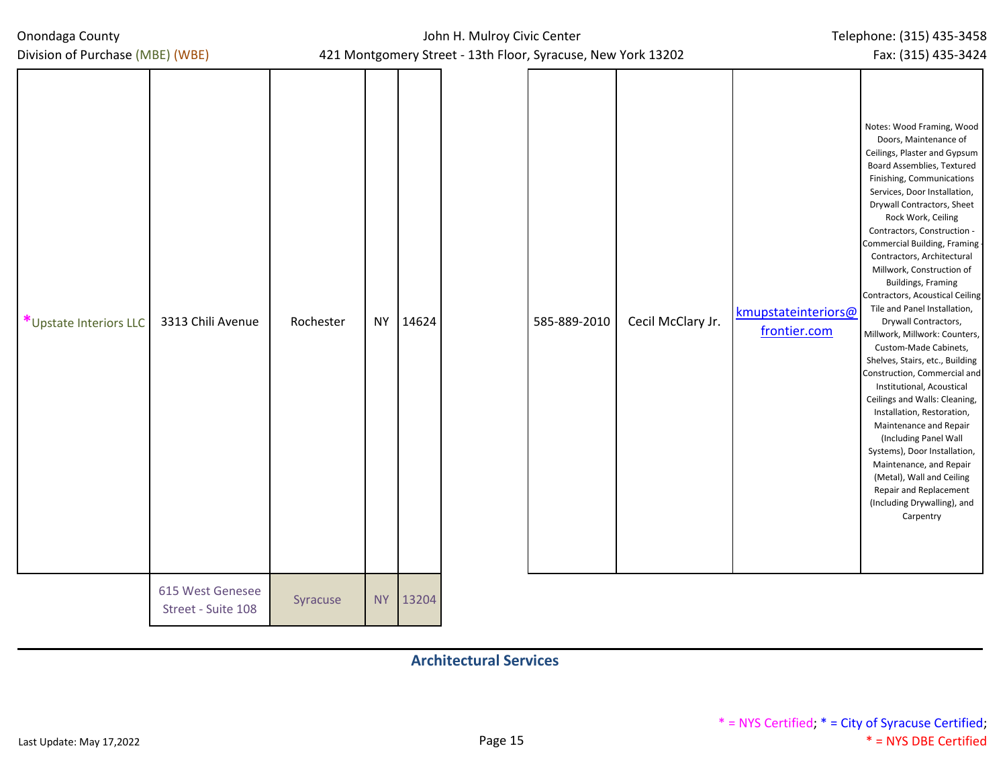| Onondaga County<br>Division of Purchase (MBE) (WBE) |           |           | John H. Mulroy Civic Center | Telephone: (315) 435-3458<br>Fax: (315) 435-3424                             |                   |                                     |                                                                                                                                                                                                                                                                                                                                                                                                                                                                                                                                                                                                                                                                                                                                                                                                                                                                                                                               |
|-----------------------------------------------------|-----------|-----------|-----------------------------|------------------------------------------------------------------------------|-------------------|-------------------------------------|-------------------------------------------------------------------------------------------------------------------------------------------------------------------------------------------------------------------------------------------------------------------------------------------------------------------------------------------------------------------------------------------------------------------------------------------------------------------------------------------------------------------------------------------------------------------------------------------------------------------------------------------------------------------------------------------------------------------------------------------------------------------------------------------------------------------------------------------------------------------------------------------------------------------------------|
| 3313 Chili Avenue<br>*Upstate Interiors LLC         | Rochester |           | NY 14624                    | 421 Montgomery Street - 13th Floor, Syracuse, New York 13202<br>585-889-2010 | Cecil McClary Jr. | kmupstateinteriors@<br>frontier.com | Notes: Wood Framing, Wood<br>Doors, Maintenance of<br>Ceilings, Plaster and Gypsum<br>Board Assemblies, Textured<br>Finishing, Communications<br>Services, Door Installation,<br>Drywall Contractors, Sheet<br>Rock Work, Ceiling<br>Contractors, Construction -<br>Commercial Building, Framing<br>Contractors, Architectural<br>Millwork, Construction of<br><b>Buildings, Framing</b><br>Contractors, Acoustical Ceiling<br>Tile and Panel Installation,<br>Drywall Contractors,<br>Millwork, Millwork: Counters,<br>Custom-Made Cabinets,<br>Shelves, Stairs, etc., Building<br>Construction, Commercial and<br>Institutional, Acoustical<br>Ceilings and Walls: Cleaning,<br>Installation, Restoration,<br>Maintenance and Repair<br>(Including Panel Wall<br>Systems), Door Installation,<br>Maintenance, and Repair<br>(Metal), Wall and Ceiling<br>Repair and Replacement<br>(Including Drywalling), and<br>Carpentry |
| 615 West Genesee<br>Street - Suite 108              | Syracuse  | <b>NY</b> | 13204                       |                                                                              |                   |                                     |                                                                                                                                                                                                                                                                                                                                                                                                                                                                                                                                                                                                                                                                                                                                                                                                                                                                                                                               |

**Architectural Services**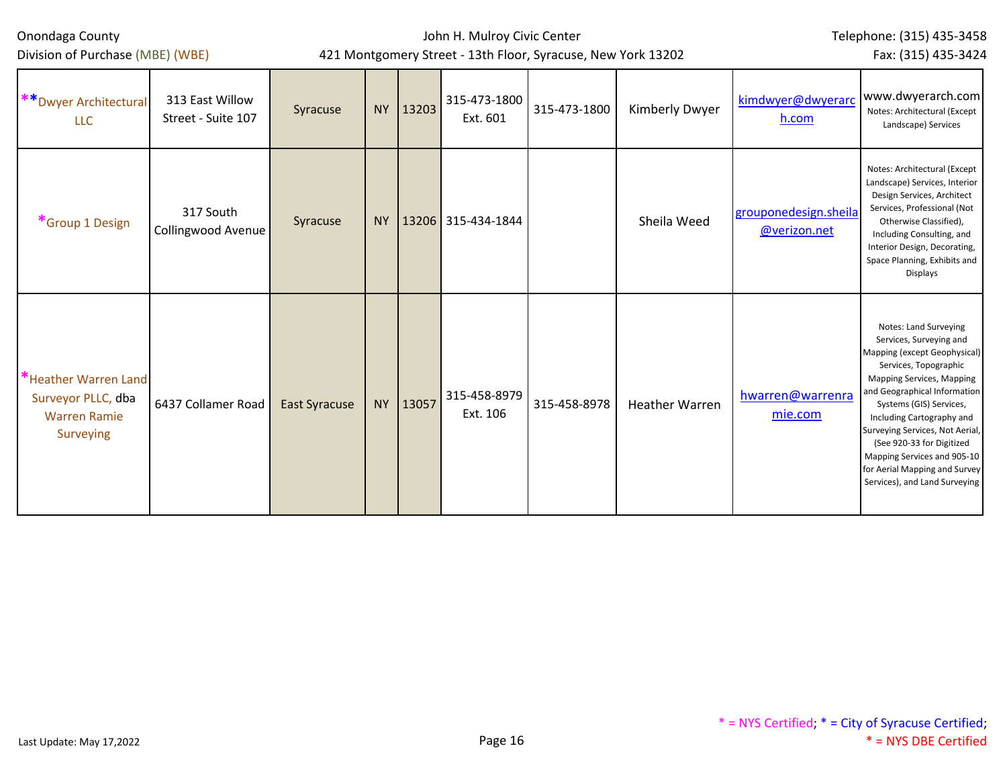Division of Purchase (MBE) (WBE)

## John H. Mulroy Civic Center 421 Montgomery Street - 13th Floor, Syracuse, New York 13202

Telephone: (315) 435-3458

Fax: (315) 435-3424

| ** Dwyer Architectural<br><b>LLC</b>                                           | 313 East Willow<br>Street - Suite 107 | Syracuse             | <b>NY</b> | $ 13203\rangle$ | 315-473-1800<br>Ext. 601 | 315-473-1800 | Kimberly Dwyer        | kimdwyer@dwyerarc<br>h.com            | www.dwyerarch.com<br>Notes: Architectural (Except<br>Landscape) Services                                                                                                                                                                                                                                                                                                                        |
|--------------------------------------------------------------------------------|---------------------------------------|----------------------|-----------|-----------------|--------------------------|--------------|-----------------------|---------------------------------------|-------------------------------------------------------------------------------------------------------------------------------------------------------------------------------------------------------------------------------------------------------------------------------------------------------------------------------------------------------------------------------------------------|
| *Group 1 Design                                                                | 317 South<br>Collingwood Avenue       | Syracuse             | NY.       |                 | 13206 315-434-1844       |              | Sheila Weed           | grouponedesign.sheila<br>@verizon.net | Notes: Architectural (Except<br>Landscape) Services, Interior<br>Design Services, Architect<br>Services, Professional (Not<br>Otherwise Classified),<br>Including Consulting, and<br>Interior Design, Decorating,<br>Space Planning, Exhibits and<br>Displays                                                                                                                                   |
| "Heather Warren Land<br>Surveyor PLLC, dba<br><b>Warren Ramie</b><br>Surveying | 6437 Collamer Road                    | <b>East Syracuse</b> | <b>NY</b> | 13057           | 315-458-8979<br>Ext. 106 | 315-458-8978 | <b>Heather Warren</b> | hwarren@warrenra<br>mie.com           | Notes: Land Surveying<br>Services, Surveying and<br>Mapping (except Geophysical)<br>Services, Topographic<br>Mapping Services, Mapping<br>and Geographical Information<br>Systems (GIS) Services,<br>Including Cartography and<br>Surveying Services, Not Aerial,<br>(See 920-33 for Digitized<br>Mapping Services and 905-10<br>for Aerial Mapping and Survey<br>Services), and Land Surveying |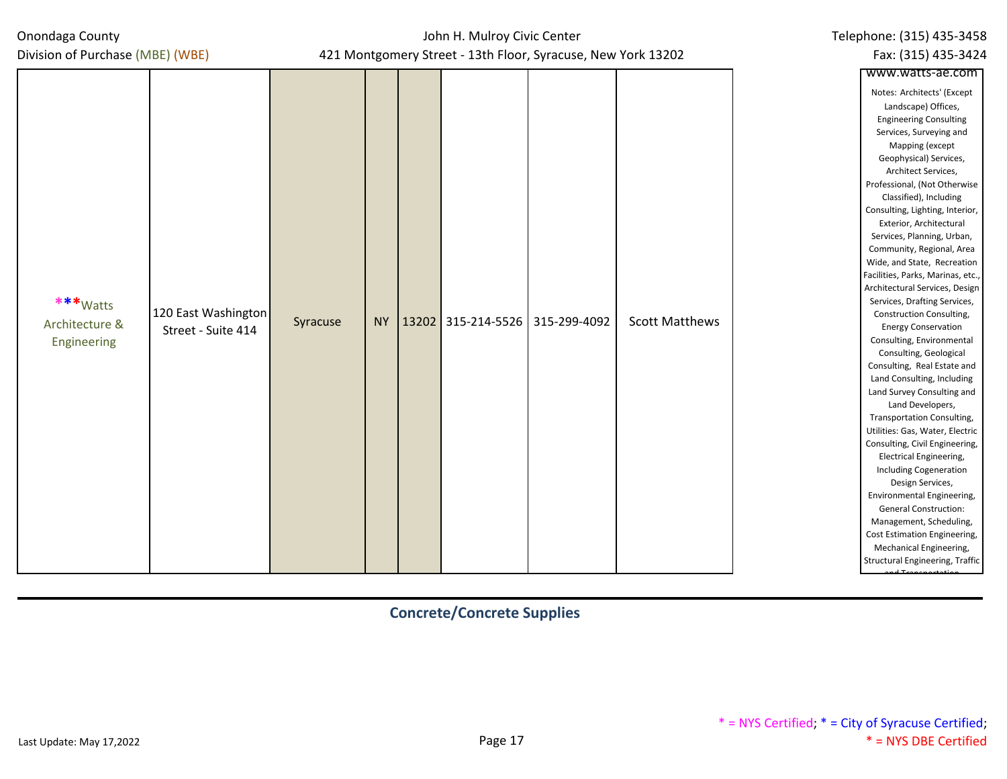## John H. Mulroy Civic Center 421 Montgomery Street - 13th Floor, Syracuse, New York 13202

| Division of Purchase (MBE) (WBE)                                                       |          |          |              | 421 Montgomery Street - 13th Floor, Syracuse, New York 13202 |                       | Fax: (315) 435-3424                                                                                                                                                                                                                                                                                                                                                                                                                                                                                                                                                                                                                                                                                                                                                                                                                                                                                                                                                                                                                                                                                                  |
|----------------------------------------------------------------------------------------|----------|----------|--------------|--------------------------------------------------------------|-----------------------|----------------------------------------------------------------------------------------------------------------------------------------------------------------------------------------------------------------------------------------------------------------------------------------------------------------------------------------------------------------------------------------------------------------------------------------------------------------------------------------------------------------------------------------------------------------------------------------------------------------------------------------------------------------------------------------------------------------------------------------------------------------------------------------------------------------------------------------------------------------------------------------------------------------------------------------------------------------------------------------------------------------------------------------------------------------------------------------------------------------------|
|                                                                                        |          |          |              |                                                              |                       | www.watts-ae.com                                                                                                                                                                                                                                                                                                                                                                                                                                                                                                                                                                                                                                                                                                                                                                                                                                                                                                                                                                                                                                                                                                     |
| ***Watts<br>120 East Washington<br>Architecture &<br>Street - Suite 414<br>Engineering | Syracuse | NY 13202 | 315-214-5526 | 315-299-4092                                                 | <b>Scott Matthews</b> | Notes: Architects' (Except<br>Landscape) Offices,<br><b>Engineering Consulting</b><br>Services, Surveying and<br>Mapping (except<br>Geophysical) Services,<br>Architect Services,<br>Professional, (Not Otherwise<br>Classified), Including<br>Consulting, Lighting, Interior,<br>Exterior, Architectural<br>Services, Planning, Urban,<br>Community, Regional, Area<br>Wide, and State, Recreation<br>Facilities, Parks, Marinas, etc.,<br>Architectural Services, Design<br>Services, Drafting Services,<br>Construction Consulting,<br><b>Energy Conservation</b><br>Consulting, Environmental<br>Consulting, Geological<br>Consulting, Real Estate and<br>Land Consulting, Including<br>Land Survey Consulting and<br>Land Developers,<br>Transportation Consulting,<br>Utilities: Gas, Water, Electric<br>Consulting, Civil Engineering,<br>Electrical Engineering,<br><b>Including Cogeneration</b><br>Design Services,<br>Environmental Engineering,<br><b>General Construction:</b><br>Management, Scheduling,<br>Cost Estimation Engineering,<br>Mechanical Engineering,<br>Structural Engineering, Traffic |

## **Concrete/Concrete Supplies**

Telephone: (315) 435-3458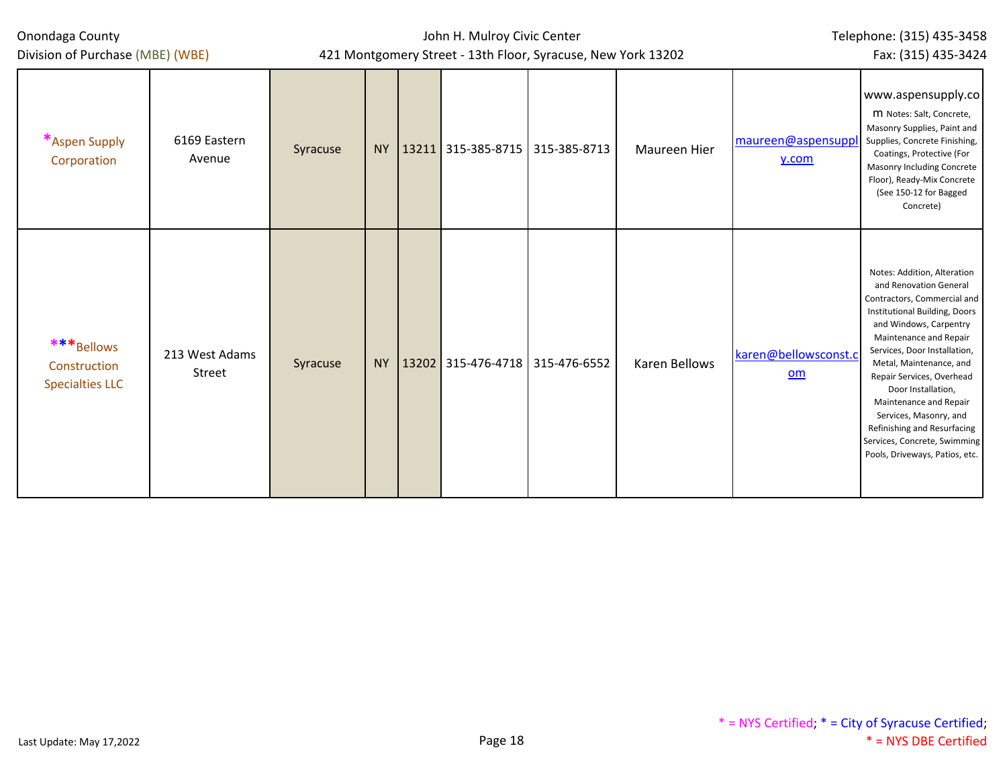| Onondaga County<br>Division of Purchase (MBE) (WBE)  |                          |          |           | John H. Mulroy Civic Center              | 421 Montgomery Street - 13th Floor, Syracuse, New York 13202 |                      | Telephone: (315) 435-3458<br>Fax: (315) 435-3424 |                                                                                                                                                                                                                                                                                                                                                                                                                                              |  |  |
|------------------------------------------------------|--------------------------|----------|-----------|------------------------------------------|--------------------------------------------------------------|----------------------|--------------------------------------------------|----------------------------------------------------------------------------------------------------------------------------------------------------------------------------------------------------------------------------------------------------------------------------------------------------------------------------------------------------------------------------------------------------------------------------------------------|--|--|
| *Aspen Supply<br>Corporation                         | 6169 Eastern<br>Avenue   | Syracuse |           | NY   13211   315-385-8715   315-385-8713 |                                                              | Maureen Hier         | maureen@aspensuppl<br>y.com                      | www.aspensupply.co<br>M Notes: Salt, Concrete,<br>Masonry Supplies, Paint and<br>Supplies, Concrete Finishing,<br>Coatings, Protective (For<br><b>Masonry Including Concrete</b><br>Floor), Ready-Mix Concrete<br>(See 150-12 for Bagged<br>Concrete)                                                                                                                                                                                        |  |  |
| ***Bellows<br>Construction<br><b>Specialties LLC</b> | 213 West Adams<br>Street | Syracuse | <b>NY</b> | 13202   315-476-4718   315-476-6552      |                                                              | <b>Karen Bellows</b> | karen@bellowsconst.c<br>om                       | Notes: Addition, Alteration<br>and Renovation General<br>Contractors, Commercial and<br>Institutional Building, Doors<br>and Windows, Carpentry<br>Maintenance and Repair<br>Services, Door Installation,<br>Metal, Maintenance, and<br>Repair Services, Overhead<br>Door Installation,<br>Maintenance and Repair<br>Services, Masonry, and<br>Refinishing and Resurfacing<br>Services, Concrete, Swimming<br>Pools, Driveways, Patios, etc. |  |  |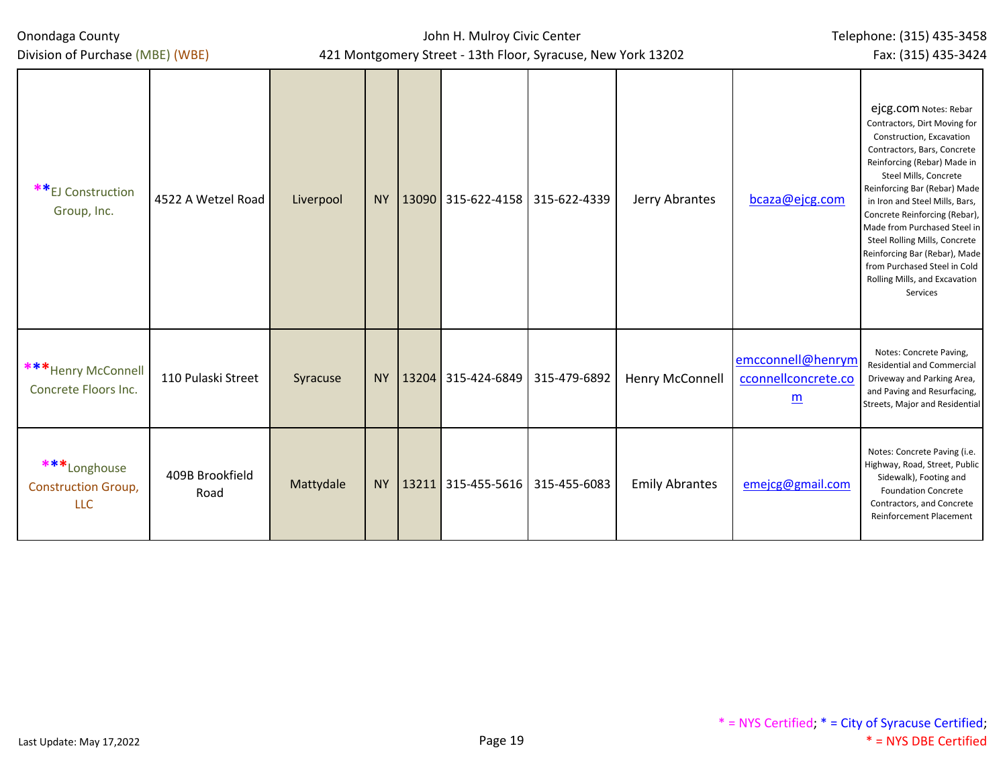Division of Purchase (MBE) (WBE)

| **EJ Construction<br>Group, Inc.                         | 4522 A Wetzel Road      | Liverpool | <b>NY</b> | $13090$ 315-622-4158 315-622-4339 |              | Jerry Abrantes        | bcaza@ejcg.com                                              | ejcg.com Notes: Rebar<br>Contractors, Dirt Moving for<br>Construction, Excavation<br>Contractors, Bars, Concrete<br>Reinforcing (Rebar) Made in<br>Steel Mills, Concrete<br>Reinforcing Bar (Rebar) Made<br>in Iron and Steel Mills, Bars,<br>Concrete Reinforcing (Rebar),<br>Made from Purchased Steel in<br>Steel Rolling Mills, Concrete<br>Reinforcing Bar (Rebar), Made<br>from Purchased Steel in Cold<br>Rolling Mills, and Excavation<br>Services |
|----------------------------------------------------------|-------------------------|-----------|-----------|-----------------------------------|--------------|-----------------------|-------------------------------------------------------------|------------------------------------------------------------------------------------------------------------------------------------------------------------------------------------------------------------------------------------------------------------------------------------------------------------------------------------------------------------------------------------------------------------------------------------------------------------|
| *** Henry McConnell<br>Concrete Floors Inc.              | 110 Pulaski Street      | Syracuse  | <b>NY</b> | $13204$ 315-424-6849 315-479-6892 |              | Henry McConnell       | emcconnell@henrym<br>cconnellconcrete.co<br>$\underline{m}$ | Notes: Concrete Paving,<br>Residential and Commercial<br>Driveway and Parking Area,<br>and Paving and Resurfacing,<br>Streets, Major and Residential                                                                                                                                                                                                                                                                                                       |
| ***Longhouse<br><b>Construction Group,</b><br><b>LLC</b> | 409B Brookfield<br>Road | Mattydale | <b>NY</b> | $13211$ 315-455-5616              | 315-455-6083 | <b>Emily Abrantes</b> | emejcg@gmail.com                                            | Notes: Concrete Paving (i.e.<br>Highway, Road, Street, Public<br>Sidewalk), Footing and<br><b>Foundation Concrete</b><br>Contractors, and Concrete<br><b>Reinforcement Placement</b>                                                                                                                                                                                                                                                                       |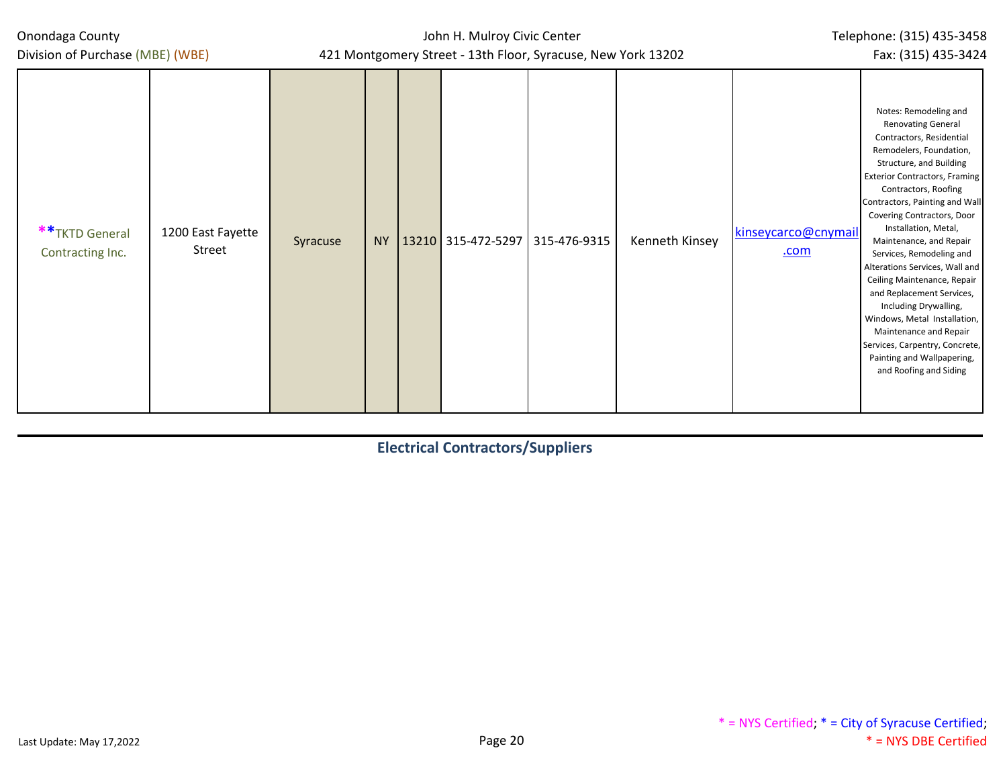John H. Mulroy Civic Center 421 Montgomery Street - 13th Floor, Syracuse, New York 13202

| Division of Purchase (MBE) (WBE)                                   |          |           |  | 421 Montgomery Street - 13th Floor, Syracuse, New York 13202 |                |                                    | Fax: (315) 435-3424                                                                                                                                                                                                                                                                                                                                                                                                                                                                                                                                                                                                            |
|--------------------------------------------------------------------|----------|-----------|--|--------------------------------------------------------------|----------------|------------------------------------|--------------------------------------------------------------------------------------------------------------------------------------------------------------------------------------------------------------------------------------------------------------------------------------------------------------------------------------------------------------------------------------------------------------------------------------------------------------------------------------------------------------------------------------------------------------------------------------------------------------------------------|
| ** TKTD General<br>1200 East Fayette<br>Street<br>Contracting Inc. | Syracuse | <b>NY</b> |  | 13210 315-472-5297 315-476-9315                              | Kenneth Kinsey | kinseycarco@cnymail<br><u>.com</u> | Notes: Remodeling and<br><b>Renovating General</b><br>Contractors, Residential<br>Remodelers, Foundation,<br>Structure, and Building<br><b>Exterior Contractors, Framing</b><br>Contractors, Roofing<br>Contractors, Painting and Wall<br>Covering Contractors, Door<br>Installation, Metal,<br>Maintenance, and Repair<br>Services, Remodeling and<br>Alterations Services, Wall and<br>Ceiling Maintenance, Repair<br>and Replacement Services,<br>Including Drywalling,<br>Windows, Metal Installation,<br>Maintenance and Repair<br>Services, Carpentry, Concrete,<br>Painting and Wallpapering,<br>and Roofing and Siding |

## **Electrical Contractors/Suppliers**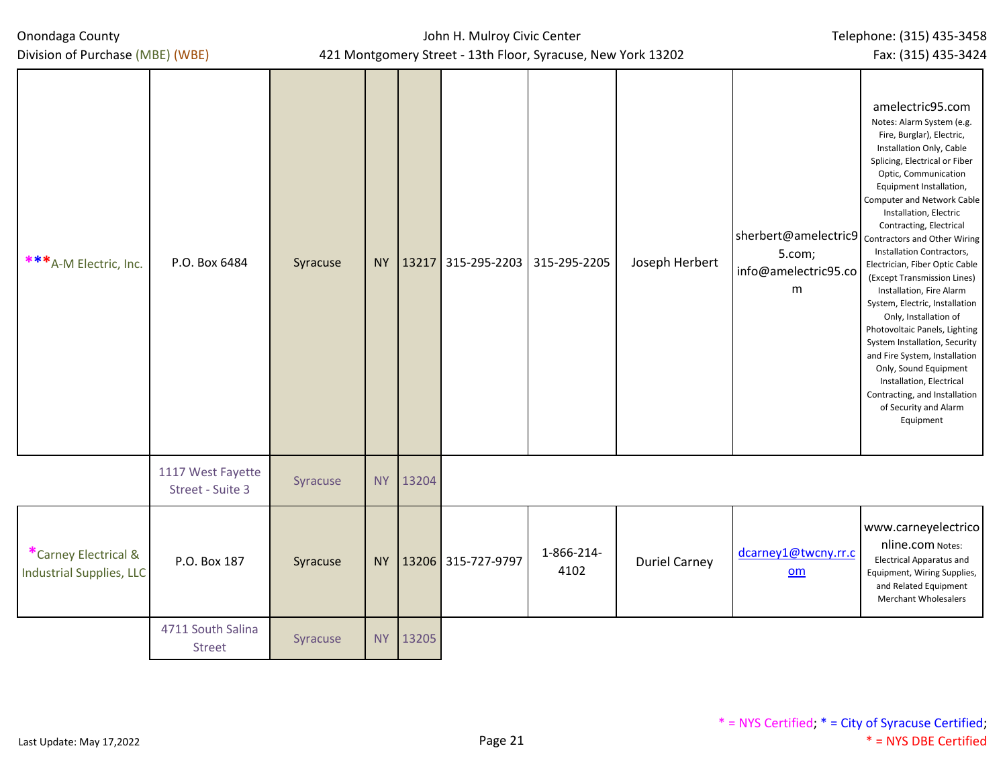| Division of Purchase (MBE) (WBE)                        |                                       |          | 421 Montgomery Street - 13th Floor, Syracuse, New York 13202 |       |                                 |                    |                      |                                                                                          |                                                                                                                                                                                                                                                                                                                                                                                                                                                                                                                                                                                                                                                                                                   |  |  |  |
|---------------------------------------------------------|---------------------------------------|----------|--------------------------------------------------------------|-------|---------------------------------|--------------------|----------------------|------------------------------------------------------------------------------------------|---------------------------------------------------------------------------------------------------------------------------------------------------------------------------------------------------------------------------------------------------------------------------------------------------------------------------------------------------------------------------------------------------------------------------------------------------------------------------------------------------------------------------------------------------------------------------------------------------------------------------------------------------------------------------------------------------|--|--|--|
| ***A-M Electric, Inc.                                   | P.O. Box 6484                         | Syracuse | <b>NY</b>                                                    |       | 13217 315-295-2203 315-295-2205 |                    | Joseph Herbert       | sherbert@amelectric9 contractors and Other Wiring<br>5.com;<br>info@amelectric95.co<br>m | amelectric95.com<br>Notes: Alarm System (e.g.<br>Fire, Burglar), Electric,<br>Installation Only, Cable<br>Splicing, Electrical or Fiber<br>Optic, Communication<br>Equipment Installation,<br>Computer and Network Cable<br>Installation, Electric<br>Contracting, Electrical<br>Installation Contractors,<br>Electrician, Fiber Optic Cable<br>(Except Transmission Lines)<br>Installation, Fire Alarm<br>System, Electric, Installation<br>Only, Installation of<br>Photovoltaic Panels, Lighting<br>System Installation, Security<br>and Fire System, Installation<br>Only, Sound Equipment<br>Installation, Electrical<br>Contracting, and Installation<br>of Security and Alarm<br>Equipment |  |  |  |
|                                                         | 1117 West Fayette<br>Street - Suite 3 | Syracuse | <b>NY</b>                                                    | 13204 |                                 |                    |                      |                                                                                          |                                                                                                                                                                                                                                                                                                                                                                                                                                                                                                                                                                                                                                                                                                   |  |  |  |
| *Carney Electrical &<br><b>Industrial Supplies, LLC</b> | P.O. Box 187                          | Syracuse | <b>NY</b>                                                    |       | 13206 315-727-9797              | 1-866-214-<br>4102 | <b>Duriel Carney</b> | dcarney1@twcny.rr.c<br>om                                                                | www.carneyelectrico<br>nline.com Notes:<br><b>Electrical Apparatus and</b><br>Equipment, Wiring Supplies,<br>and Related Equipment<br>Merchant Wholesalers                                                                                                                                                                                                                                                                                                                                                                                                                                                                                                                                        |  |  |  |
|                                                         | 4711 South Salina<br><b>Street</b>    | Syracuse | <b>NY</b>                                                    | 13205 |                                 |                    |                      |                                                                                          |                                                                                                                                                                                                                                                                                                                                                                                                                                                                                                                                                                                                                                                                                                   |  |  |  |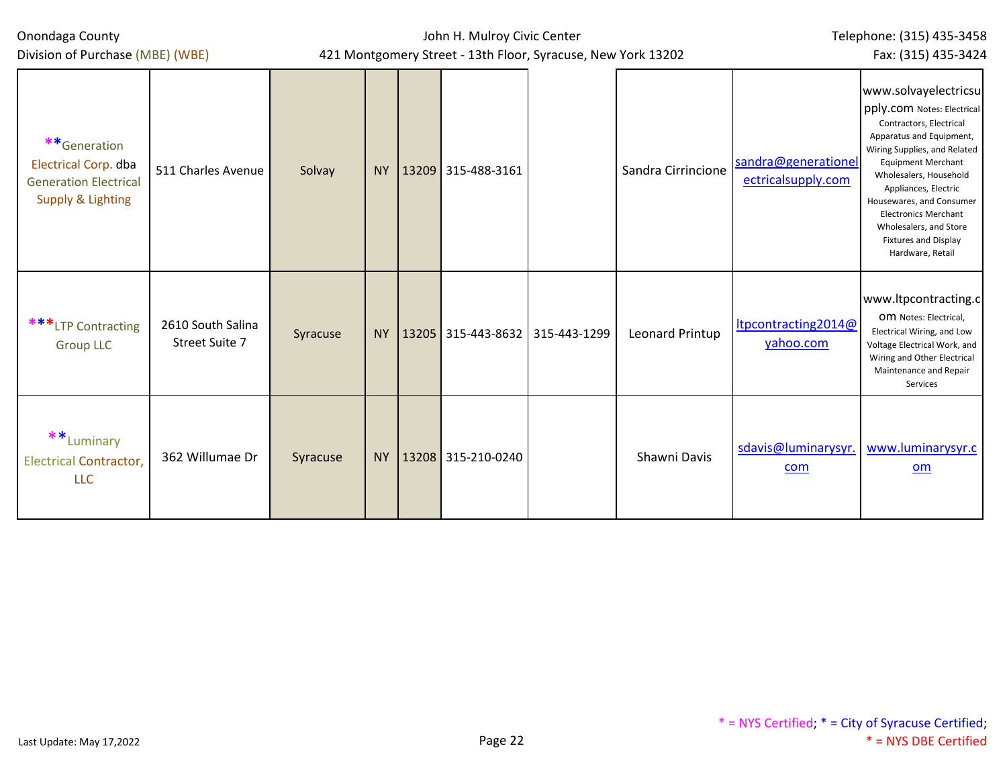| Onondaga County<br>Division of Purchase (MBE) (WBE)                                                         |                                     |          |  | John H. Mulroy Civic Center<br>421 Montgomery Street - 13th Floor, Syracuse, New York 13202 | Telephone: (315) 435-3458<br>Fax: (315) 435-3424 |                                           |                                                                                                                                                                                                                                                                                                                                                                  |
|-------------------------------------------------------------------------------------------------------------|-------------------------------------|----------|--|---------------------------------------------------------------------------------------------|--------------------------------------------------|-------------------------------------------|------------------------------------------------------------------------------------------------------------------------------------------------------------------------------------------------------------------------------------------------------------------------------------------------------------------------------------------------------------------|
| **Generation<br><b>Electrical Corp. dba</b><br><b>Generation Electrical</b><br><b>Supply &amp; Lighting</b> | 511 Charles Avenue                  | Solvay   |  | NY   13209 315-488-3161                                                                     | Sandra Cirrincione                               | sandra@generationel<br>ectricalsupply.com | www.solvayelectricsu<br>pply.com Notes: Electrical<br>Contractors, Electrical<br>Apparatus and Equipment,<br>Wiring Supplies, and Related<br><b>Equipment Merchant</b><br>Wholesalers, Household<br>Appliances, Electric<br>Housewares, and Consumer<br><b>Electronics Merchant</b><br>Wholesalers, and Store<br><b>Fixtures and Display</b><br>Hardware, Retail |
| ***LTP Contracting<br><b>Group LLC</b>                                                                      | 2610 South Salina<br>Street Suite 7 | Syracuse |  | NY   13205 315-443-8632 315-443-1299                                                        | Leonard Printup                                  | ltpcontracting2014@<br>yahoo.com          | www.ltpcontracting.c<br>OM Notes: Electrical,<br>Electrical Wiring, and Low<br>Voltage Electrical Work, and<br>Wiring and Other Electrical<br>Maintenance and Repair<br>Services                                                                                                                                                                                 |
| **Luminary<br><b>Electrical Contractor,</b><br><b>LLC</b>                                                   | 362 Willumae Dr                     | Syracuse |  | NY   13208 315-210-0240                                                                     | Shawni Davis                                     | sdavis@luminarysyr.<br>com                | www.luminarysyr.c<br>om                                                                                                                                                                                                                                                                                                                                          |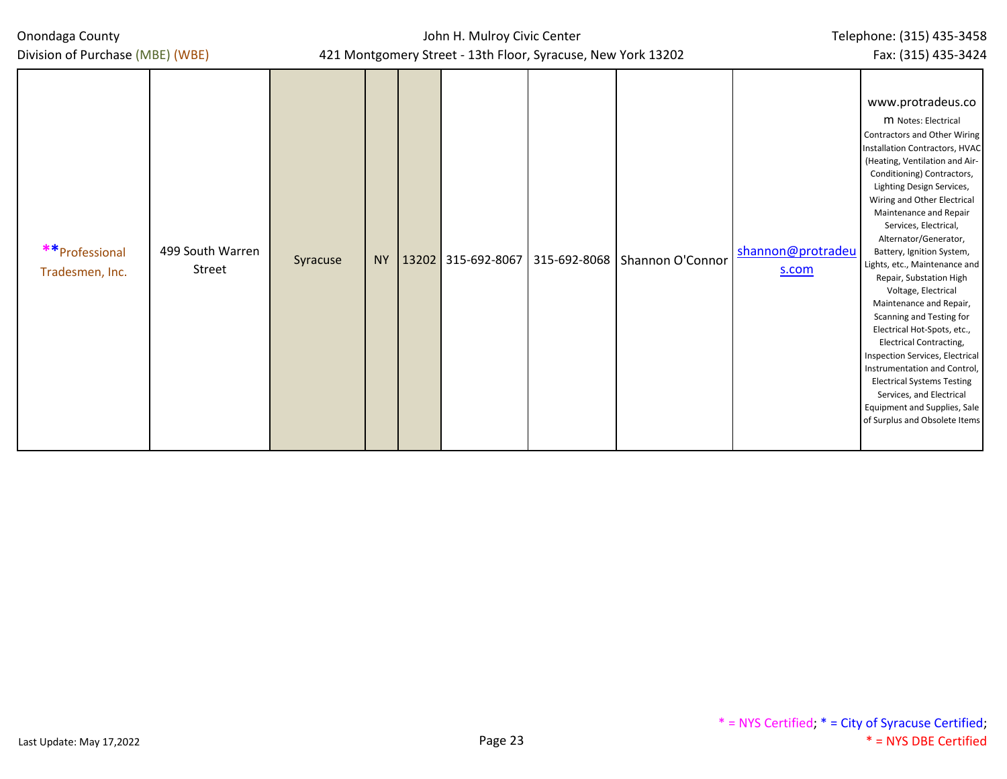# John H. Mulroy Civic Center

www.protradeus.co m Notes: Electrical Contractors and Other Wiring Installation Contractors, HVAC

Division of Purchase (MBE)

| (WBE) | 421 Montgomery Street - 13th Floor, Syracuse, New York 13202 |  |  |  |  |  |  |  |  |  |  |  |
|-------|--------------------------------------------------------------|--|--|--|--|--|--|--|--|--|--|--|
|       |                                                              |  |  |  |  |  |  |  |  |  |  |  |
|       |                                                              |  |  |  |  |  |  |  |  |  |  |  |
|       |                                                              |  |  |  |  |  |  |  |  |  |  |  |
|       |                                                              |  |  |  |  |  |  |  |  |  |  |  |

| **Professional<br>Tradesmen, Inc. | 499 South Warren<br>Street | Syracuse | NY |  |  |  | 13202 315-692-8067   315-692-8068   Shannon O'Connor | shannon@protradeu<br>s.com | (Heating, Ventilation and Air-<br>Conditioning) Contractors,<br>Lighting Design Services,<br>Wiring and Other Electrical<br>Maintenance and Repair<br>Services, Electrical,<br>Alternator/Generator,<br>Battery, Ignition System,<br>Lights, etc., Maintenance and<br>Repair, Substation High<br>Voltage, Electrical<br>Maintenance and Repair,<br>Scanning and Testing for<br>Electrical Hot-Spots, etc.,<br><b>Electrical Contracting,</b><br>Inspection Services, Electrical<br>Instrumentation and Control,<br><b>Electrical Systems Testing</b><br>Services, and Electrical<br>Equipment and Supplies, Sale |
|-----------------------------------|----------------------------|----------|----|--|--|--|------------------------------------------------------|----------------------------|------------------------------------------------------------------------------------------------------------------------------------------------------------------------------------------------------------------------------------------------------------------------------------------------------------------------------------------------------------------------------------------------------------------------------------------------------------------------------------------------------------------------------------------------------------------------------------------------------------------|
|-----------------------------------|----------------------------|----------|----|--|--|--|------------------------------------------------------|----------------------------|------------------------------------------------------------------------------------------------------------------------------------------------------------------------------------------------------------------------------------------------------------------------------------------------------------------------------------------------------------------------------------------------------------------------------------------------------------------------------------------------------------------------------------------------------------------------------------------------------------------|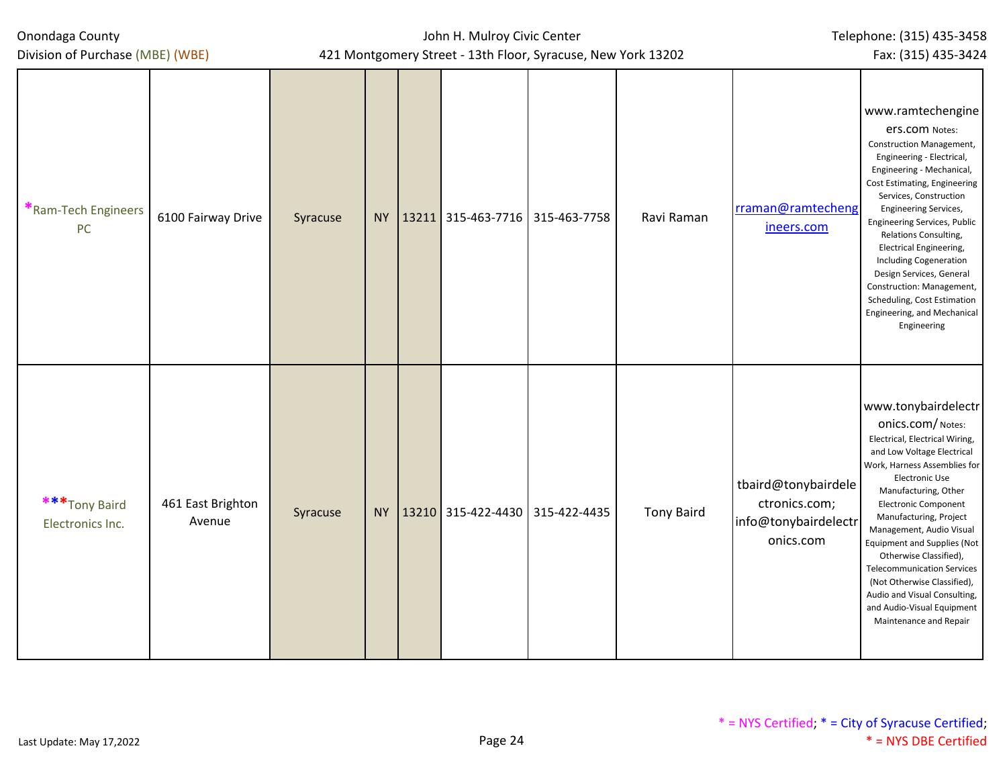Division of Purchase (MBE) (WBE)

## John H. Mulroy Civic Center 421 Montgomery Street - 13th Floor, Syracuse, New York 13202

Fax: (315) 435-3424

| *Ram-Tech Engineers<br><b>PC</b>  | 6100 Fairway Drive          | Syracuse |  | NY   13211   315-463-7716   315-463-7758 | Ravi Raman        | rraman@ramtecheng<br>ineers.com                                           | www.ramtechengine<br><b>ers.com</b> Notes:<br>Construction Management,<br>Engineering - Electrical,<br>Engineering - Mechanical,<br>Cost Estimating, Engineering<br>Services, Construction<br><b>Engineering Services,</b><br>Engineering Services, Public<br>Relations Consulting,<br>Electrical Engineering,<br><b>Including Cogeneration</b><br>Design Services, General<br>Construction: Management,<br>Scheduling, Cost Estimation<br>Engineering, and Mechanical<br>Engineering              |
|-----------------------------------|-----------------------------|----------|--|------------------------------------------|-------------------|---------------------------------------------------------------------------|----------------------------------------------------------------------------------------------------------------------------------------------------------------------------------------------------------------------------------------------------------------------------------------------------------------------------------------------------------------------------------------------------------------------------------------------------------------------------------------------------|
| ***Tony Baird<br>Electronics Inc. | 461 East Brighton<br>Avenue | Syracuse |  | NY 13210 315-422-4430 315-422-4435       | <b>Tony Baird</b> | tbaird@tonybairdele<br>ctronics.com;<br>info@tonybairdelectr<br>onics.com | www.tonybairdelectr<br>Onics.com/Notes:<br>Electrical, Electrical Wiring,<br>and Low Voltage Electrical<br>Work, Harness Assemblies for<br>Electronic Use<br>Manufacturing, Other<br><b>Electronic Component</b><br>Manufacturing, Project<br>Management, Audio Visual<br><b>Equipment and Supplies (Not</b><br>Otherwise Classified),<br><b>Telecommunication Services</b><br>(Not Otherwise Classified),<br>Audio and Visual Consulting,<br>and Audio-Visual Equipment<br>Maintenance and Repair |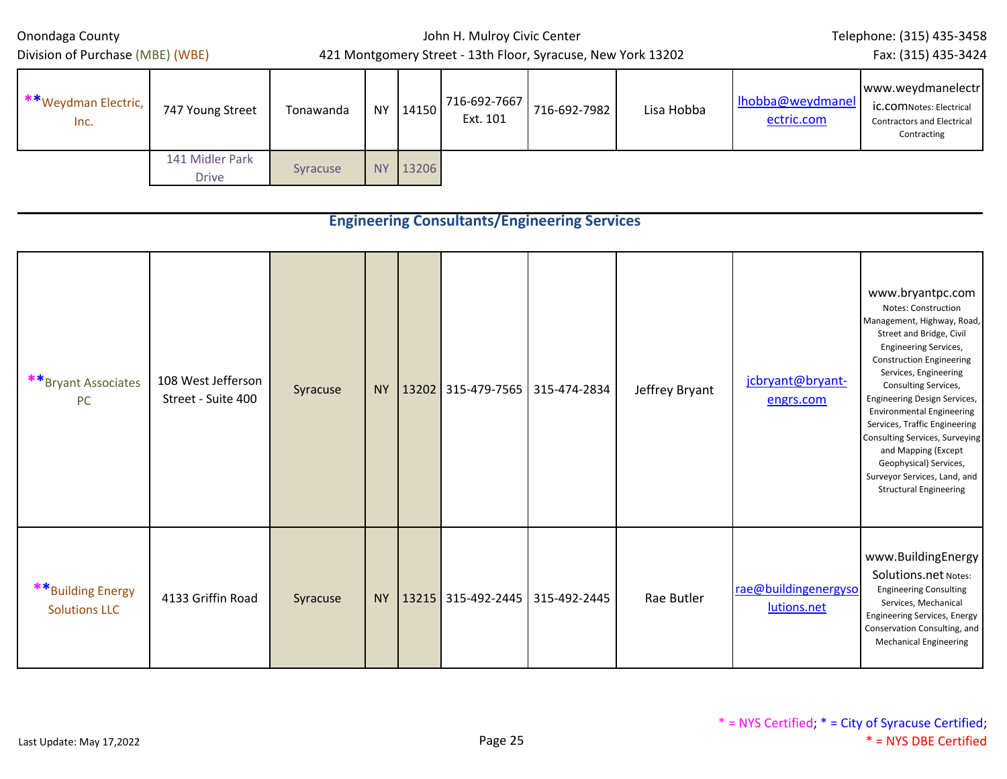Division of Purchase (MBE) (WBE)

## John H. Mulroy Civic Center 421 Montgomery Street - 13th Floor, Syracuse, New York 13202

Telephone: (315) 435-3458

Fax: (315) 435-3424

| **Weydman Electric,<br>Inc. | 747 Young Street                | Tonawanda | NY.       | 14150 | 716-692-7667<br>Ext. 101 | 716-692-7982 | Lisa Hobba | lhobba@weydmanel<br>ectric.com | www.weydmanelectr<br><b>IC.COMNotes: Electrical</b><br><b>Contractors and Electrical</b><br>Contracting |
|-----------------------------|---------------------------------|-----------|-----------|-------|--------------------------|--------------|------------|--------------------------------|---------------------------------------------------------------------------------------------------------|
|                             | 141 Midler Park<br><b>Drive</b> | Syracuse  | <b>NY</b> | 13206 |                          |              |            |                                |                                                                                                         |

|                                            |                                          |          |           |                    | <b>Engineering Consultants/Engineering Services</b> |                |                                     |                                                                                                                                                                                                                                                                                                                                                                                                                                                                                       |
|--------------------------------------------|------------------------------------------|----------|-----------|--------------------|-----------------------------------------------------|----------------|-------------------------------------|---------------------------------------------------------------------------------------------------------------------------------------------------------------------------------------------------------------------------------------------------------------------------------------------------------------------------------------------------------------------------------------------------------------------------------------------------------------------------------------|
| **Bryant Associates<br>PC                  | 108 West Jefferson<br>Street - Suite 400 | Syracuse | <b>NY</b> | 13202 315-479-7565 | 315-474-2834                                        | Jeffrey Bryant | jcbryant@bryant-<br>engrs.com       | www.bryantpc.com<br>Notes: Construction<br>Management, Highway, Road,<br>Street and Bridge, Civil<br><b>Engineering Services,</b><br><b>Construction Engineering</b><br>Services, Engineering<br>Consulting Services,<br><b>Engineering Design Services,</b><br><b>Environmental Engineering</b><br>Services, Traffic Engineering<br>Consulting Services, Surveying<br>and Mapping (Except<br>Geophysical) Services,<br>Surveyor Services, Land, and<br><b>Structural Engineering</b> |
| ** Building Energy<br><b>Solutions LLC</b> | 4133 Griffin Road                        | Syracuse | <b>NY</b> | 13215 315-492-2445 | 315-492-2445                                        | Rae Butler     | rae@buildingenergyso<br>lutions.net | www.BuildingEnergy<br>Solutions.net Notes:<br><b>Engineering Consulting</b><br>Services, Mechanical<br><b>Engineering Services, Energy</b><br>Conservation Consulting, and<br><b>Mechanical Engineering</b>                                                                                                                                                                                                                                                                           |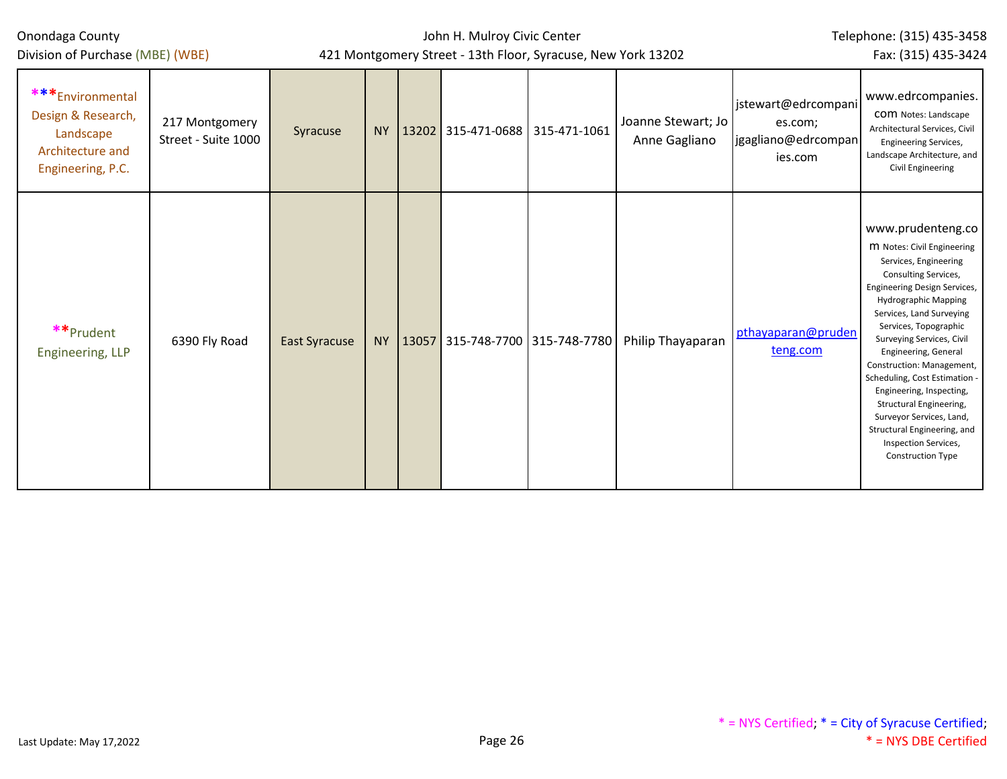| Onondaga County                                                                              |                                       |                                                              | John H. Mulroy Civic Center | Telephone: (315) 435-3458 |                                 |                                        |                                     |                                                                  |                                                                                                                                                                                                                                                                                                                                                                                                                                                                                                             |
|----------------------------------------------------------------------------------------------|---------------------------------------|--------------------------------------------------------------|-----------------------------|---------------------------|---------------------------------|----------------------------------------|-------------------------------------|------------------------------------------------------------------|-------------------------------------------------------------------------------------------------------------------------------------------------------------------------------------------------------------------------------------------------------------------------------------------------------------------------------------------------------------------------------------------------------------------------------------------------------------------------------------------------------------|
| Division of Purchase (MBE) (WBE)                                                             |                                       | 421 Montgomery Street - 13th Floor, Syracuse, New York 13202 |                             |                           | Fax: (315) 435-3424             |                                        |                                     |                                                                  |                                                                                                                                                                                                                                                                                                                                                                                                                                                                                                             |
| ***Environmental<br>Design & Research,<br>Landscape<br>Architecture and<br>Engineering, P.C. | 217 Montgomery<br>Street - Suite 1000 | Syracuse                                                     | <b>NY</b>                   |                           | 13202 315-471-0688 315-471-1061 |                                        | Joanne Stewart; Jo<br>Anne Gagliano | jstewart@edrcompani<br>es.com;<br>jgagliano@edrcompan<br>ies.com | www.edrcompanies.<br><b>COM</b> Notes: Landscape<br>Architectural Services, Civil<br>Engineering Services,<br>Landscape Architecture, and<br><b>Civil Engineering</b>                                                                                                                                                                                                                                                                                                                                       |
| **Prudent<br>Engineering, LLP                                                                | 6390 Fly Road                         | <b>East Syracuse</b>                                         |                             |                           |                                 | NY   13057 315-748-7700   315-748-7780 | Philip Thayaparan                   | pthayaparan@pruden<br>teng.com                                   | www.prudenteng.co<br>M Notes: Civil Engineering<br>Services, Engineering<br>Consulting Services,<br>Engineering Design Services,<br><b>Hydrographic Mapping</b><br>Services, Land Surveying<br>Services, Topographic<br>Surveying Services, Civil<br>Engineering, General<br>Construction: Management,<br>Scheduling, Cost Estimation<br>Engineering, Inspecting,<br>Structural Engineering,<br>Surveyor Services, Land,<br>Structural Engineering, and<br>Inspection Services,<br><b>Construction Type</b> |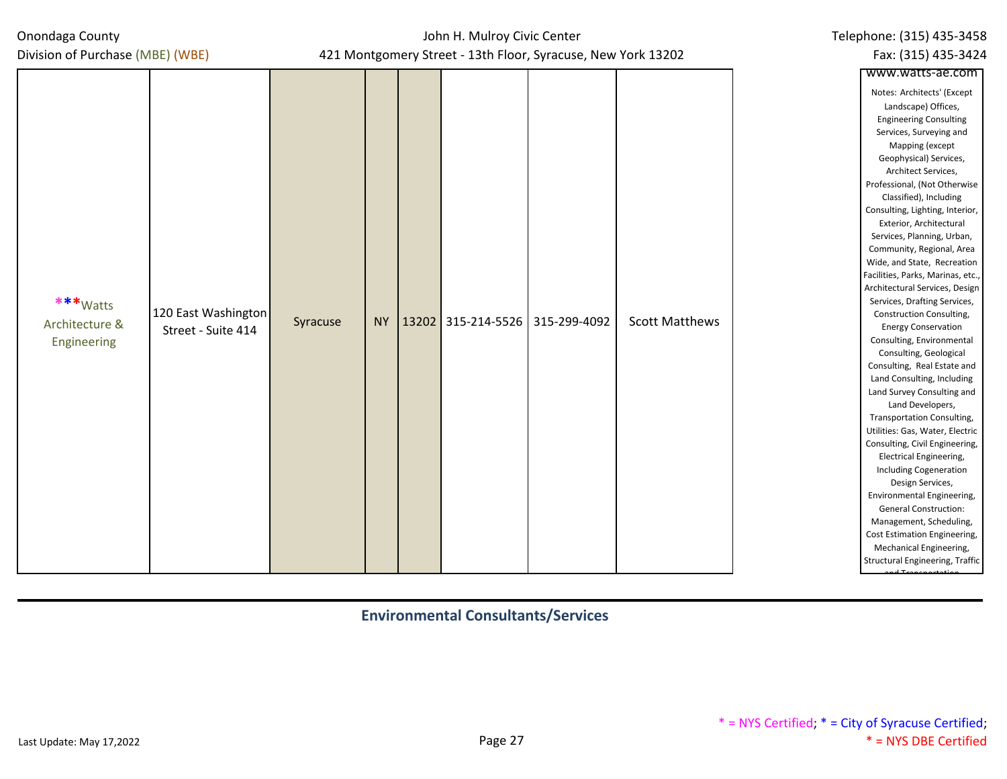## John H. Mulroy Civic Center 421 Montgomery Street - 13th Floor, Syracuse, New York 13202

|                                           |                                           |          |           | 421 Montgomery Street - 13th Floor, Syracuse, New York 13202 |              | Fax: (315) 435-3424   |                                                                                                                                                                                                                                                                                                                                                                                                                                                                                                                                                                                                                                                                                                                                                                                                                                                                                                                                                                                  |  |
|-------------------------------------------|-------------------------------------------|----------|-----------|--------------------------------------------------------------|--------------|-----------------------|----------------------------------------------------------------------------------------------------------------------------------------------------------------------------------------------------------------------------------------------------------------------------------------------------------------------------------------------------------------------------------------------------------------------------------------------------------------------------------------------------------------------------------------------------------------------------------------------------------------------------------------------------------------------------------------------------------------------------------------------------------------------------------------------------------------------------------------------------------------------------------------------------------------------------------------------------------------------------------|--|
| Division of Purchase (MBE) (WBE)          |                                           |          |           |                                                              |              |                       | www.watts-ae.com<br>Notes: Architects' (Except<br>Landscape) Offices,<br><b>Engineering Consulting</b><br>Services, Surveying and<br>Mapping (except                                                                                                                                                                                                                                                                                                                                                                                                                                                                                                                                                                                                                                                                                                                                                                                                                             |  |
| ***Watts<br>Architecture &<br>Engineering | 120 East Washington<br>Street - Suite 414 | Syracuse | <b>NY</b> | 13202 315-214-5526                                           | 315-299-4092 | <b>Scott Matthews</b> | Geophysical) Services,<br>Architect Services,<br>Professional, (Not Otherwise<br>Classified), Including<br>Consulting, Lighting, Interior,<br>Exterior, Architectural<br>Services, Planning, Urban,<br>Community, Regional, Area<br>Wide, and State, Recreation<br>Facilities, Parks, Marinas, etc.,<br>Architectural Services, Design<br>Services, Drafting Services,<br>Construction Consulting,<br><b>Energy Conservation</b><br>Consulting, Environmental<br>Consulting, Geological<br>Consulting, Real Estate and<br>Land Consulting, Including<br>Land Survey Consulting and<br>Land Developers,<br>Transportation Consulting,<br>Utilities: Gas, Water, Electric<br>Consulting, Civil Engineering,<br>Electrical Engineering,<br><b>Including Cogeneration</b><br>Design Services,<br>Environmental Engineering,<br><b>General Construction:</b><br>Management, Scheduling,<br>Cost Estimation Engineering,<br>Mechanical Engineering,<br>Structural Engineering, Traffic |  |

**Environmental Consultants/Services**

Telephone: (315) 435-3458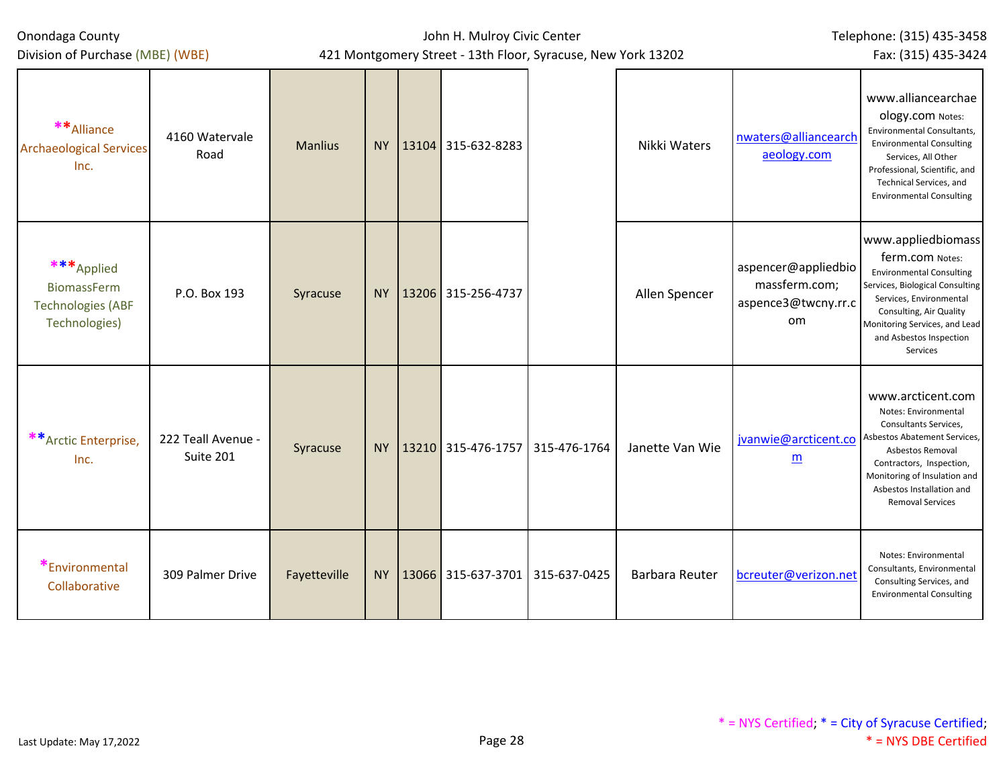| Onondaga County                                                               |                                 |                |           | John H. Mulroy Civic Center         | Telephone: (315) 435-3458                                    |                       |                                                                          |                                                                                                                                                                                                                                            |
|-------------------------------------------------------------------------------|---------------------------------|----------------|-----------|-------------------------------------|--------------------------------------------------------------|-----------------------|--------------------------------------------------------------------------|--------------------------------------------------------------------------------------------------------------------------------------------------------------------------------------------------------------------------------------------|
| Division of Purchase (MBE) (WBE)                                              |                                 |                |           |                                     | 421 Montgomery Street - 13th Floor, Syracuse, New York 13202 |                       |                                                                          | Fax: (315) 435-3424                                                                                                                                                                                                                        |
| ** Alliance<br><b>Archaeological Services</b><br>Inc.                         | 4160 Watervale<br>Road          | <b>Manlius</b> | <b>NY</b> | 13104 315-632-8283                  |                                                              | Nikki Waters          | nwaters@alliancearch<br>aeology.com                                      | www.alliancearchae<br>ology.com Notes:<br><b>Environmental Consultants,</b><br><b>Environmental Consulting</b><br>Services, All Other<br>Professional, Scientific, and<br>Technical Services, and<br><b>Environmental Consulting</b>       |
| ***Applied<br><b>BiomassFerm</b><br><b>Technologies (ABF</b><br>Technologies) | P.O. Box 193                    | Syracuse       | <b>NY</b> | 13206 315-256-4737                  |                                                              | Allen Spencer         | aspencer@appliedbio<br>massferm.com;<br>aspence3@twcny.rr.c<br><b>om</b> | www.appliedbiomass<br>ferm.com Notes:<br><b>Environmental Consulting</b><br>Services, Biological Consulting<br>Services, Environmental<br>Consulting, Air Quality<br>Monitoring Services, and Lead<br>and Asbestos Inspection<br>Services  |
| ** Arctic Enterprise,<br>Inc.                                                 | 222 Teall Avenue -<br>Suite 201 | Syracuse       | <b>NY</b> | 13210 315-476-1757 315-476-1764     |                                                              | Janette Van Wie       | jvanwie@arcticent.co<br>m                                                | www.arcticent.com<br>Notes: Environmental<br>Consultants Services,<br>Asbestos Abatement Services,<br>Asbestos Removal<br>Contractors, Inspection,<br>Monitoring of Insulation and<br>Asbestos Installation and<br><b>Removal Services</b> |
| *Environmental<br>Collaborative                                               | 309 Palmer Drive                | Fayetteville   | <b>NY</b> | 13066   315-637-3701   315-637-0425 |                                                              | <b>Barbara Reuter</b> | bcreuter@verizon.net                                                     | Notes: Environmental<br>Consultants, Environmental<br>Consulting Services, and<br><b>Environmental Consulting</b>                                                                                                                          |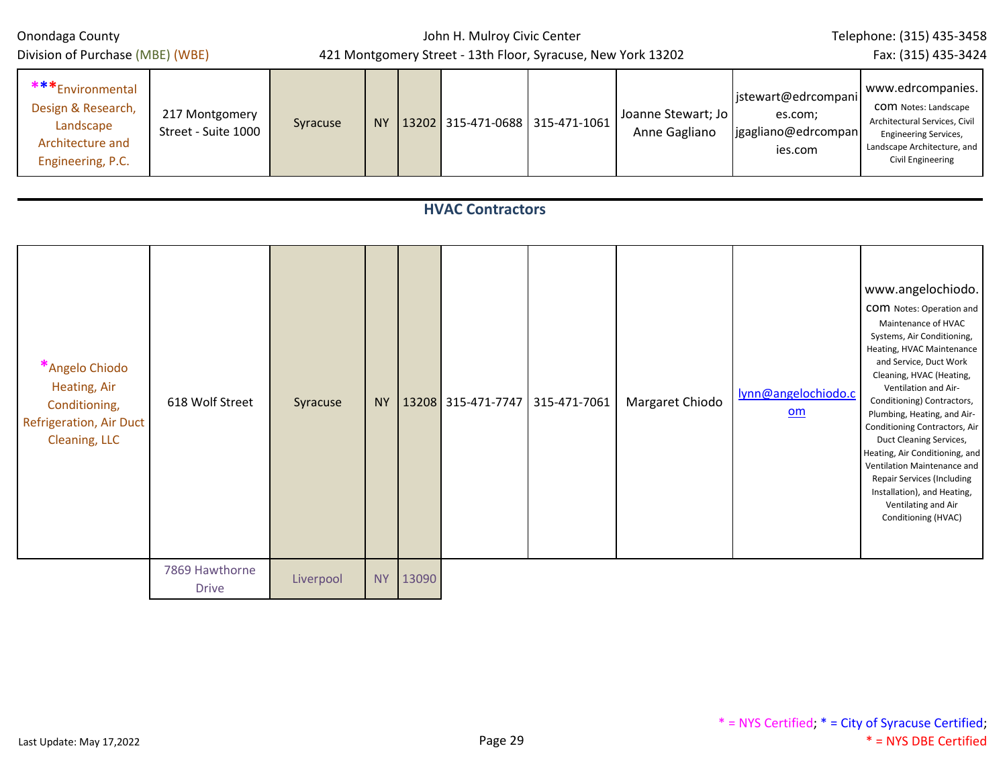| Division of Purchase (MBE) (WBE)                                                                   |                                       |           |           | 421 Montgomery Street - 13th Floor, Syracuse, New York 13202 |                                 | Fax: (315) 435-3424                 |                                                                  |                                                                                                                                                                                                                                                                                                                                                                                                                                                                                                                    |  |  |
|----------------------------------------------------------------------------------------------------|---------------------------------------|-----------|-----------|--------------------------------------------------------------|---------------------------------|-------------------------------------|------------------------------------------------------------------|--------------------------------------------------------------------------------------------------------------------------------------------------------------------------------------------------------------------------------------------------------------------------------------------------------------------------------------------------------------------------------------------------------------------------------------------------------------------------------------------------------------------|--|--|
| ***Environmental<br>Design & Research,<br>Landscape<br>Architecture and<br>Engineering, P.C.       | 217 Montgomery<br>Street - Suite 1000 | Syracuse  | <b>NY</b> |                                                              | 13202 315-471-0688 315-471-1061 | Joanne Stewart; Jo<br>Anne Gagliano | jstewart@edrcompani<br>es.com;<br>jgagliano@edrcompan<br>ies.com | www.edrcompanies.<br>COM Notes: Landscape<br>Architectural Services, Civil<br>Engineering Services,<br>Landscape Architecture, and<br><b>Civil Engineering</b>                                                                                                                                                                                                                                                                                                                                                     |  |  |
|                                                                                                    |                                       |           |           |                                                              | <b>HVAC Contractors</b>         |                                     |                                                                  |                                                                                                                                                                                                                                                                                                                                                                                                                                                                                                                    |  |  |
| *Angelo Chiodo<br>Heating, Air<br>Conditioning,<br><b>Refrigeration, Air Duct</b><br>Cleaning, LLC | 618 Wolf Street                       | Syracuse  | NY        |                                                              | 13208 315-471-7747 315-471-7061 | Margaret Chiodo                     | lynn@angelochiodo.c<br>om                                        | www.angelochiodo.<br>COM Notes: Operation and<br>Maintenance of HVAC<br>Systems, Air Conditioning,<br>Heating, HVAC Maintenance<br>and Service, Duct Work<br>Cleaning, HVAC (Heating,<br>Ventilation and Air-<br>Conditioning) Contractors,<br>Plumbing, Heating, and Air-<br>Conditioning Contractors, Air<br>Duct Cleaning Services,<br>Heating, Air Conditioning, and<br>Ventilation Maintenance and<br>Repair Services (Including<br>Installation), and Heating,<br>Ventilating and Air<br>Conditioning (HVAC) |  |  |
|                                                                                                    | 7869 Hawthorne<br><b>Drive</b>        | Liverpool | <b>NY</b> | 13090                                                        |                                 |                                     |                                                                  |                                                                                                                                                                                                                                                                                                                                                                                                                                                                                                                    |  |  |

John H. Mulroy Civic Center

Telephone: (315) 435-3458

Onondaga County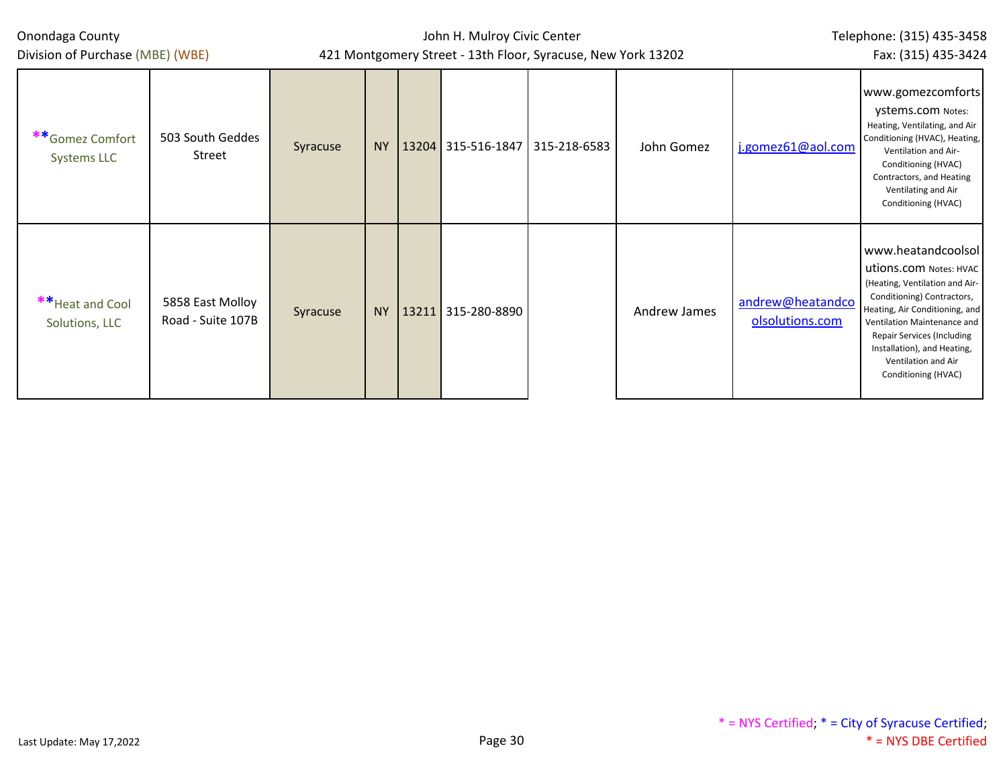| Onondaga County<br>Division of Purchase (MBE) (WBE) |                                       |          |      | John H. Mulroy Civic Center<br>421 Montgomery Street - 13th Floor, Syracuse, New York 13202 | Telephone: (315) 435-3458<br>Fax: (315) 435-3424 |              |              |                                     |                                                                                                                                                                                                                                                                                                        |
|-----------------------------------------------------|---------------------------------------|----------|------|---------------------------------------------------------------------------------------------|--------------------------------------------------|--------------|--------------|-------------------------------------|--------------------------------------------------------------------------------------------------------------------------------------------------------------------------------------------------------------------------------------------------------------------------------------------------------|
| **Gomez Comfort<br>Systems LLC                      | 503 South Geddes<br>Street            | Syracuse | NY . |                                                                                             | 13204 315-516-1847                               | 315-218-6583 | John Gomez   | j.gomez61@aol.com                   | www.gomezcomforts<br>ystems.com Notes:<br>Heating, Ventilating, and Air<br>Conditioning (HVAC), Heating,<br>Ventilation and Air-<br>Conditioning (HVAC)<br>Contractors, and Heating<br>Ventilating and Air<br>Conditioning (HVAC)                                                                      |
| ** Heat and Cool<br>Solutions, LLC                  | 5858 East Molloy<br>Road - Suite 107B | Syracuse | NY   | 13211                                                                                       | 315-280-8890                                     |              | Andrew James | andrew@heatandco<br>olsolutions.com | www.heatandcoolsol<br><b>utions.com</b> Notes: HVAC<br>(Heating, Ventilation and Air-<br>Conditioning) Contractors,<br>Heating, Air Conditioning, and<br>Ventilation Maintenance and<br><b>Repair Services (Including</b><br>Installation), and Heating,<br>Ventilation and Air<br>Conditioning (HVAC) |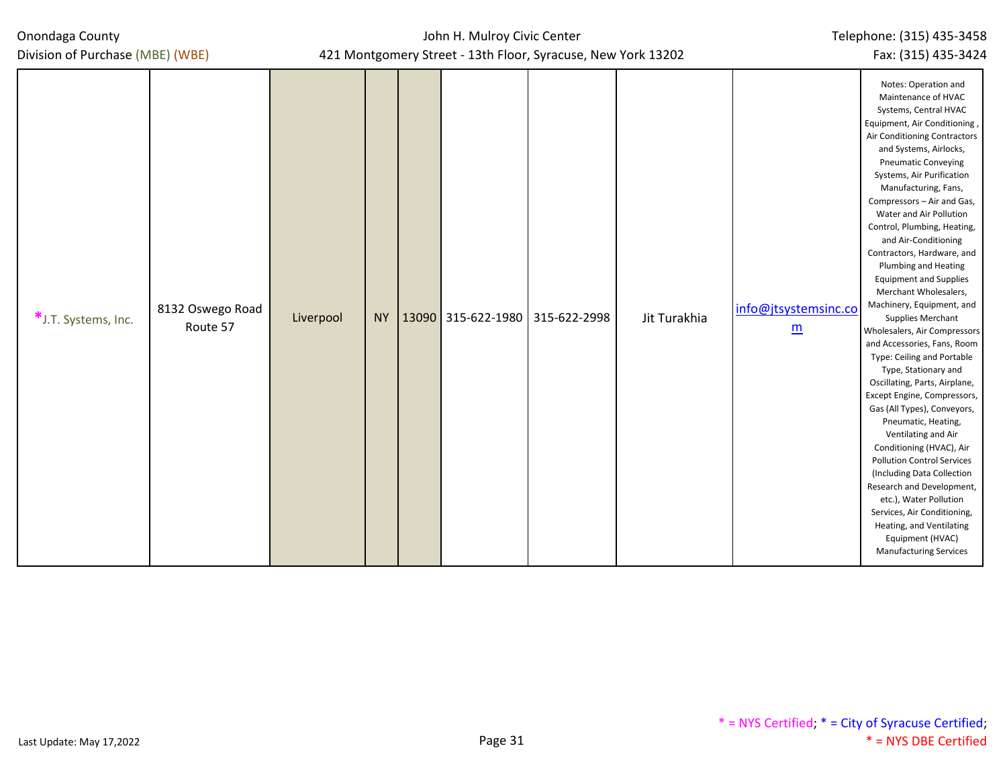| Onondaga County |
|-----------------|
|-----------------|

Division of Purchase (MBE) (WBE)

| *J.T. Systems, Inc. | 8132 Oswego Road<br>Route 57 | Liverpool |  | NY   13090   315-622-1980   315-622-2998 | Jit Turakhia | info@jtsystemsinc.co<br>$\underline{m}$ | Notes: Operation and<br>Maintenance of HVAC<br>Systems, Central HVAC<br>Equipment, Air Conditioning,<br>Air Conditioning Contractors<br>and Systems, Airlocks,<br><b>Pneumatic Conveying</b><br>Systems, Air Purification<br>Manufacturing, Fans,<br>Compressors - Air and Gas,<br>Water and Air Pollution<br>Control, Plumbing, Heating,<br>and Air-Conditioning<br>Contractors, Hardware, and<br>Plumbing and Heating<br><b>Equipment and Supplies</b><br>Merchant Wholesalers,<br>Machinery, Equipment, and<br>Supplies Merchant<br>Wholesalers, Air Compressors<br>and Accessories, Fans, Room<br>Type: Ceiling and Portable<br>Type, Stationary and<br>Oscillating, Parts, Airplane,<br>Except Engine, Compressors,<br>Gas (All Types), Conveyors,<br>Pneumatic, Heating,<br>Ventilating and Air<br>Conditioning (HVAC), Air<br><b>Pollution Control Services</b><br>(Including Data Collection<br>Research and Development,<br>etc.), Water Pollution<br>Services, Air Conditioning,<br>Heating, and Ventilating<br>Equipment (HVAC)<br><b>Manufacturing Services</b> |
|---------------------|------------------------------|-----------|--|------------------------------------------|--------------|-----------------------------------------|-----------------------------------------------------------------------------------------------------------------------------------------------------------------------------------------------------------------------------------------------------------------------------------------------------------------------------------------------------------------------------------------------------------------------------------------------------------------------------------------------------------------------------------------------------------------------------------------------------------------------------------------------------------------------------------------------------------------------------------------------------------------------------------------------------------------------------------------------------------------------------------------------------------------------------------------------------------------------------------------------------------------------------------------------------------------------------|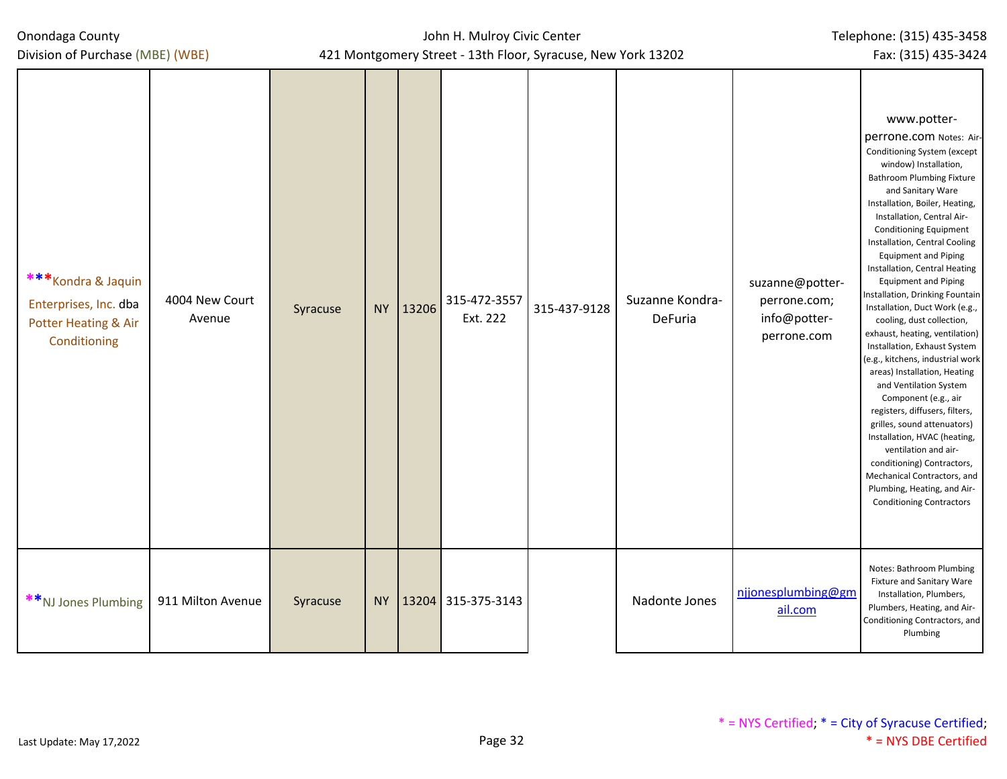Division of Purchase (MBE) (WBE)

| *** Kondra & Jaquin<br>Enterprises, Inc. dba<br>Potter Heating & Air<br>Conditioning | 4004 New Court<br>Avenue | Syracuse | NY 13206 | 315-472-3557<br>Ext. 222 | 315-437-9128 | Suzanne Kondra-<br>DeFuria | suzanne@potter-<br>perrone.com;<br>info@potter-<br>perrone.com | www.potter-<br>perrone.com Notes: Air-<br>Conditioning System (except<br>window) Installation,<br><b>Bathroom Plumbing Fixture</b><br>and Sanitary Ware<br>Installation, Boiler, Heating,<br>Installation, Central Air-<br><b>Conditioning Equipment</b><br>Installation, Central Cooling<br><b>Equipment and Piping</b><br>Installation, Central Heating<br><b>Equipment and Piping</b><br>Installation, Drinking Fountain<br>Installation, Duct Work (e.g.,<br>cooling, dust collection,<br>exhaust, heating, ventilation)<br>Installation, Exhaust System<br>(e.g., kitchens, industrial work<br>areas) Installation, Heating<br>and Ventilation System<br>Component (e.g., air<br>registers, diffusers, filters,<br>grilles, sound attenuators)<br>Installation, HVAC (heating,<br>ventilation and air-<br>conditioning) Contractors,<br>Mechanical Contractors, and<br>Plumbing, Heating, and Air-<br><b>Conditioning Contractors</b> |
|--------------------------------------------------------------------------------------|--------------------------|----------|----------|--------------------------|--------------|----------------------------|----------------------------------------------------------------|--------------------------------------------------------------------------------------------------------------------------------------------------------------------------------------------------------------------------------------------------------------------------------------------------------------------------------------------------------------------------------------------------------------------------------------------------------------------------------------------------------------------------------------------------------------------------------------------------------------------------------------------------------------------------------------------------------------------------------------------------------------------------------------------------------------------------------------------------------------------------------------------------------------------------------------------|
| **NJ Jones Plumbing                                                                  | 911 Milton Avenue        | Syracuse |          | NY   13204 315-375-3143  |              | Nadonte Jones              | njjonesplumbing@gm<br>ail.com                                  | Notes: Bathroom Plumbing<br><b>Fixture and Sanitary Ware</b><br>Installation, Plumbers,<br>Plumbers, Heating, and Air-<br>Conditioning Contractors, and<br>Plumbing                                                                                                                                                                                                                                                                                                                                                                                                                                                                                                                                                                                                                                                                                                                                                                        |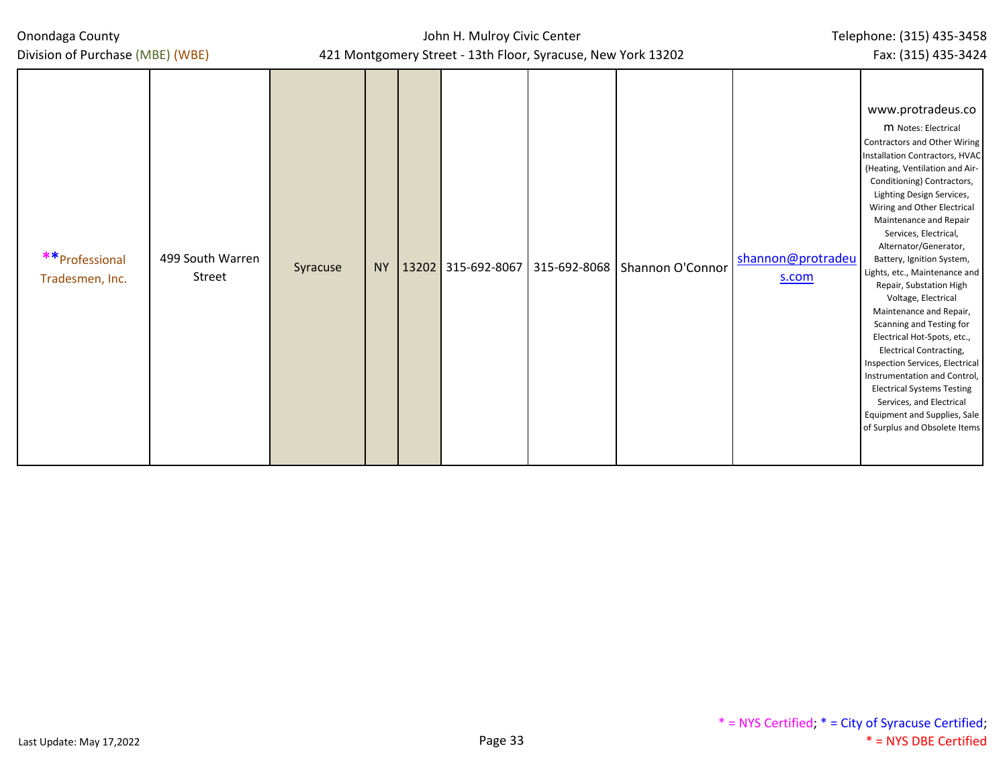| Onondaga County |  |
|-----------------|--|
|-----------------|--|

| Division of Purchase (MBE) (WBE)                                 | 421 Montgomery Street - 13th Floor, Syracuse, New York 13202 |           |  |                    |  |                                 |                            |                                                                                                                                                                                                                                                                                                                                                                                                                                                                                                                                                                                                                                                                                                                                                                 |
|------------------------------------------------------------------|--------------------------------------------------------------|-----------|--|--------------------|--|---------------------------------|----------------------------|-----------------------------------------------------------------------------------------------------------------------------------------------------------------------------------------------------------------------------------------------------------------------------------------------------------------------------------------------------------------------------------------------------------------------------------------------------------------------------------------------------------------------------------------------------------------------------------------------------------------------------------------------------------------------------------------------------------------------------------------------------------------|
| ** Professional<br>499 South Warren<br>Street<br>Tradesmen, Inc. | Syracuse                                                     | <b>NY</b> |  | 13202 315-692-8067 |  | 315-692-8068   Shannon O'Connor | shannon@protradeu<br>s.com | www.protradeus.co<br>M Notes: Electrical<br>Contractors and Other Wiring<br>Installation Contractors, HVAC<br>(Heating, Ventilation and Air-<br>Conditioning) Contractors,<br>Lighting Design Services,<br>Wiring and Other Electrical<br>Maintenance and Repair<br>Services, Electrical,<br>Alternator/Generator,<br>Battery, Ignition System,<br>Lights, etc., Maintenance and<br>Repair, Substation High<br>Voltage, Electrical<br>Maintenance and Repair,<br>Scanning and Testing for<br>Electrical Hot-Spots, etc.,<br><b>Electrical Contracting,</b><br>Inspection Services, Electrical<br>Instrumentation and Control,<br><b>Electrical Systems Testing</b><br>Services, and Electrical<br>Equipment and Supplies, Sale<br>of Surplus and Obsolete Items |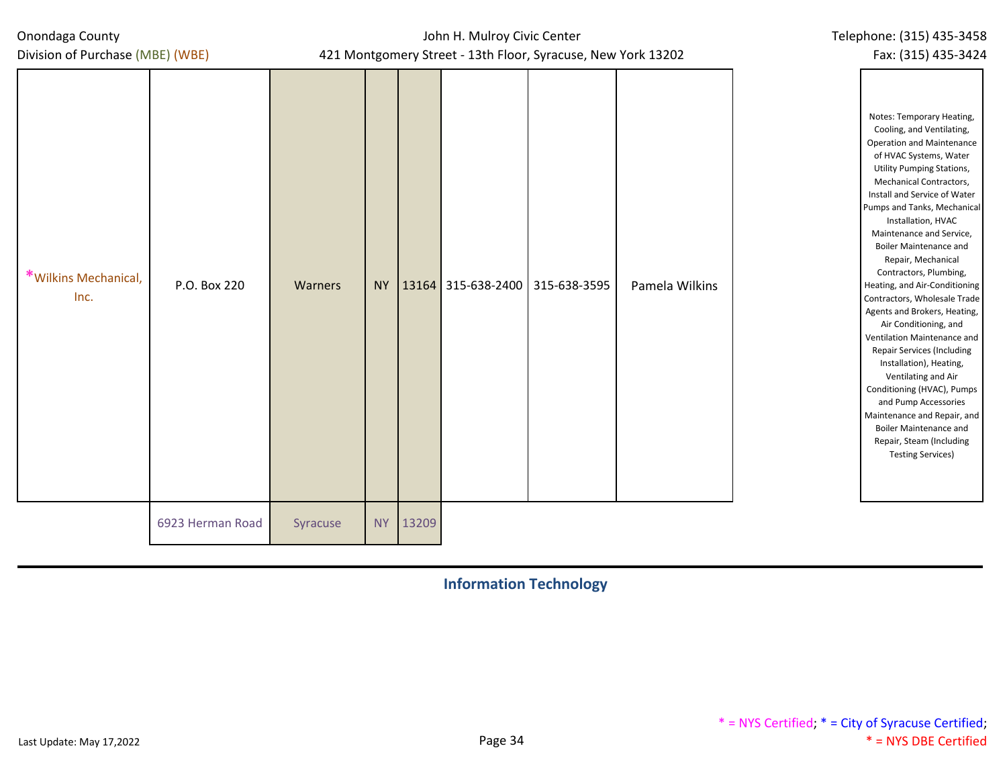Division of Purchase (MBE) (WBE)

## John H. Mulroy Civic Center 421 Montgomery Street - 13th Floor, Syracuse, New York 13202

| *Wilkins Mechanical,<br>Inc. | P.O. Box 220     | Warners  | <b>NY</b> |       | 13164 315-638-2400 315-638-3595 | Pamela Wilkins | Notes: Temporary Heating,<br>Cooling, and Ventilating,<br><b>Operation and Maintenance</b><br>of HVAC Systems, Water<br><b>Utility Pumping Stations,</b><br>Mechanical Contractors,<br>Install and Service of Water<br>Pumps and Tanks, Mechanical<br>Installation, HVAC<br>Maintenance and Service,<br><b>Boiler Maintenance and</b><br>Repair, Mechanical<br>Contractors, Plumbing,<br>Heating, and Air-Conditioning<br>Contractors, Wholesale Trade<br>Agents and Brokers, Heating,<br>Air Conditioning, and<br>Ventilation Maintenance and<br>Repair Services (Including<br>Installation), Heating,<br>Ventilating and Air<br>Conditioning (HVAC), Pumps<br>and Pump Accessories<br>Maintenance and Repair, and<br><b>Boiler Maintenance and</b><br>Repair, Steam (Including<br><b>Testing Services)</b> |
|------------------------------|------------------|----------|-----------|-------|---------------------------------|----------------|--------------------------------------------------------------------------------------------------------------------------------------------------------------------------------------------------------------------------------------------------------------------------------------------------------------------------------------------------------------------------------------------------------------------------------------------------------------------------------------------------------------------------------------------------------------------------------------------------------------------------------------------------------------------------------------------------------------------------------------------------------------------------------------------------------------|
|                              | 6923 Herman Road | Syracuse | <b>NY</b> | 13209 |                                 |                |                                                                                                                                                                                                                                                                                                                                                                                                                                                                                                                                                                                                                                                                                                                                                                                                              |

**Information Technology**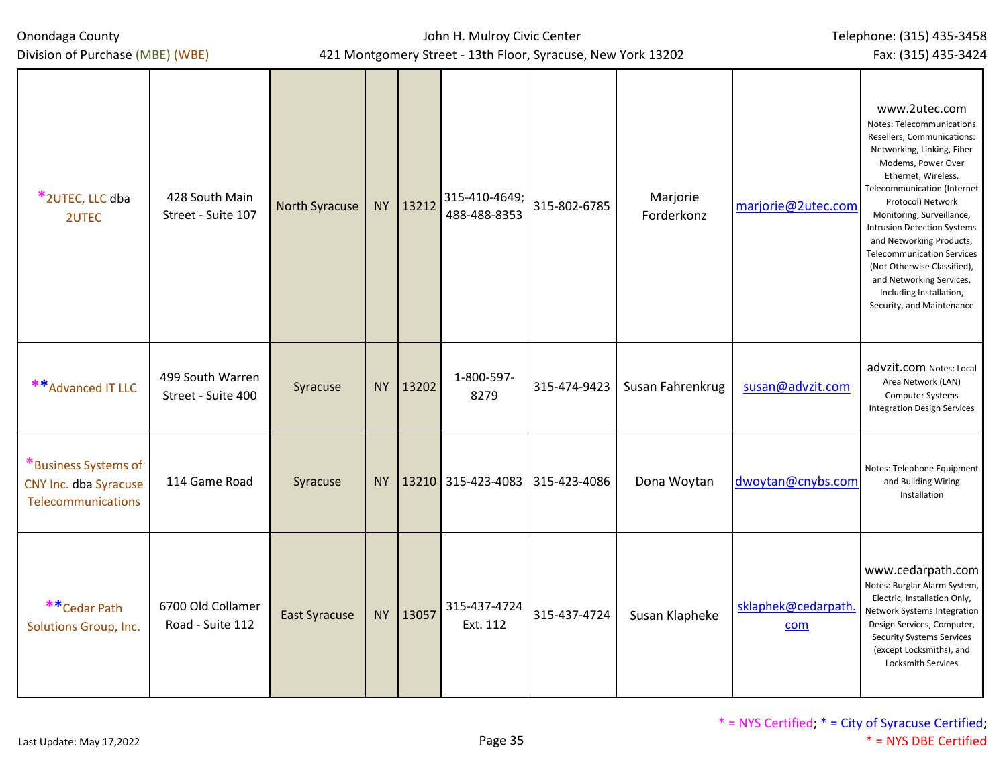Division of Purchase (MBE) (WBE)

| *2UTEC, LLC dba<br>2UTEC                                            | 428 South Main<br>Street - Suite 107   | <b>North Syracuse</b> |           | NY 13212 | 315-410-4649;<br>488-488-8353 | 315-802-6785 | Marjorie<br>Forderkonz | marjorie@2utec.com         | www.2utec.com<br>Notes: Telecommunications<br>Resellers, Communications:<br>Networking, Linking, Fiber<br>Modems, Power Over<br>Ethernet, Wireless,<br><b>Telecommunication (Internet</b><br>Protocol) Network<br>Monitoring, Surveillance,<br><b>Intrusion Detection Systems</b><br>and Networking Products,<br><b>Telecommunication Services</b><br>(Not Otherwise Classified),<br>and Networking Services,<br>Including Installation,<br>Security, and Maintenance |
|---------------------------------------------------------------------|----------------------------------------|-----------------------|-----------|----------|-------------------------------|--------------|------------------------|----------------------------|-----------------------------------------------------------------------------------------------------------------------------------------------------------------------------------------------------------------------------------------------------------------------------------------------------------------------------------------------------------------------------------------------------------------------------------------------------------------------|
| ** Advanced IT LLC                                                  | 499 South Warren<br>Street - Suite 400 | Syracuse              | <b>NY</b> | 13202    | 1-800-597-<br>8279            | 315-474-9423 | Susan Fahrenkrug       | susan@advzit.com           | advzit.com Notes: Local<br>Area Network (LAN)<br><b>Computer Systems</b><br><b>Integration Design Services</b>                                                                                                                                                                                                                                                                                                                                                        |
| *Business Systems of<br>CNY Inc. dba Syracuse<br>Telecommunications | 114 Game Road                          | Syracuse              |           |          | NY 13210 315-423-4083         | 315-423-4086 | Dona Woytan            | dwoytan@cnybs.com          | Notes: Telephone Equipment<br>and Building Wiring<br>Installation                                                                                                                                                                                                                                                                                                                                                                                                     |
| ** Cedar Path<br>Solutions Group, Inc.                              | 6700 Old Collamer<br>Road - Suite 112  | <b>East Syracuse</b>  |           | NY 13057 | 315-437-4724<br>Ext. 112      | 315-437-4724 | Susan Klapheke         | sklaphek@cedarpath.<br>com | www.cedarpath.com<br>Notes: Burglar Alarm System,<br>Electric, Installation Only,<br>Network Systems Integration<br>Design Services, Computer,<br><b>Security Systems Services</b><br>(except Locksmiths), and<br><b>Locksmith Services</b>                                                                                                                                                                                                                           |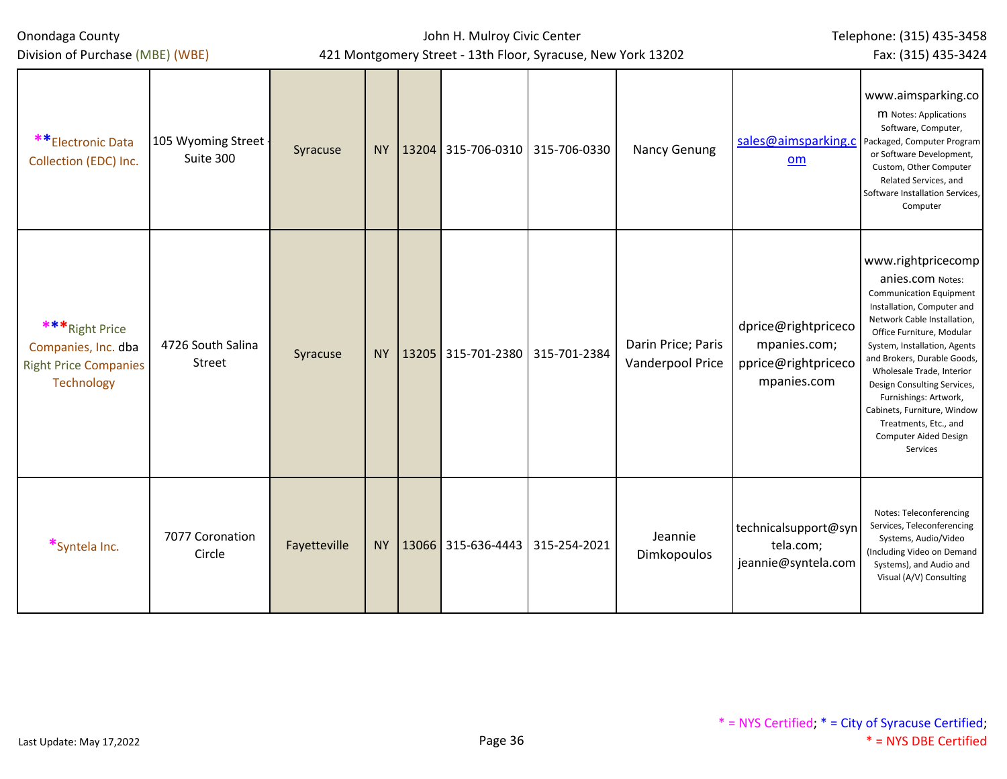| Onondaga County<br>Division of Purchase (MBE) (WBE)                                         |                                   | 421 Montgomery Street - 13th Floor, Syracuse, New York 13202 |           | John H. Mulroy Civic Center |                                        | Telephone: (315) 435-3458<br>Fax: (315) 435-3424 |                                               |                                                                           |                                                                                                                                                                                                                                                                                                                                                                                                                     |
|---------------------------------------------------------------------------------------------|-----------------------------------|--------------------------------------------------------------|-----------|-----------------------------|----------------------------------------|--------------------------------------------------|-----------------------------------------------|---------------------------------------------------------------------------|---------------------------------------------------------------------------------------------------------------------------------------------------------------------------------------------------------------------------------------------------------------------------------------------------------------------------------------------------------------------------------------------------------------------|
| **Electronic Data<br>Collection (EDC) Inc.                                                  | 105 Wyoming Street -<br>Suite 300 | Syracuse                                                     |           |                             | NY   13204 315-706-0310   315-706-0330 |                                                  | Nancy Genung                                  | sales@aimsparking.c<br>om                                                 | www.aimsparking.co<br>M Notes: Applications<br>Software, Computer,<br>Packaged, Computer Program<br>or Software Development,<br>Custom, Other Computer<br>Related Services, and<br>Software Installation Services,<br>Computer                                                                                                                                                                                      |
| *** Right Price<br>Companies, Inc. dba<br><b>Right Price Companies</b><br><b>Technology</b> | 4726 South Salina<br>Street       | Syracuse                                                     | <b>NY</b> |                             | 13205 315-701-2380                     | 315-701-2384                                     | Darin Price; Paris<br><b>Vanderpool Price</b> | dprice@rightpriceco<br>mpanies.com;<br>pprice@rightpriceco<br>mpanies.com | www.rightpricecomp<br>anies.com Notes:<br><b>Communication Equipment</b><br>Installation, Computer and<br>Network Cable Installation,<br>Office Furniture, Modular<br>System, Installation, Agents<br>and Brokers, Durable Goods,<br>Wholesale Trade, Interior<br>Design Consulting Services,<br>Furnishings: Artwork,<br>Cabinets, Furniture, Window<br>Treatments, Etc., and<br>Computer Aided Design<br>Services |
| *Syntela Inc.                                                                               | 7077 Coronation<br>Circle         | Fayetteville                                                 |           |                             | NY   13066 315-636-4443   315-254-2021 |                                                  | Jeannie<br>Dimkopoulos                        | technicalsupport@syn<br>tela.com;<br>jeannie@syntela.com                  | Notes: Teleconferencing<br>Services, Teleconferencing<br>Systems, Audio/Video<br>(Including Video on Demand<br>Systems), and Audio and<br>Visual (A/V) Consulting                                                                                                                                                                                                                                                   |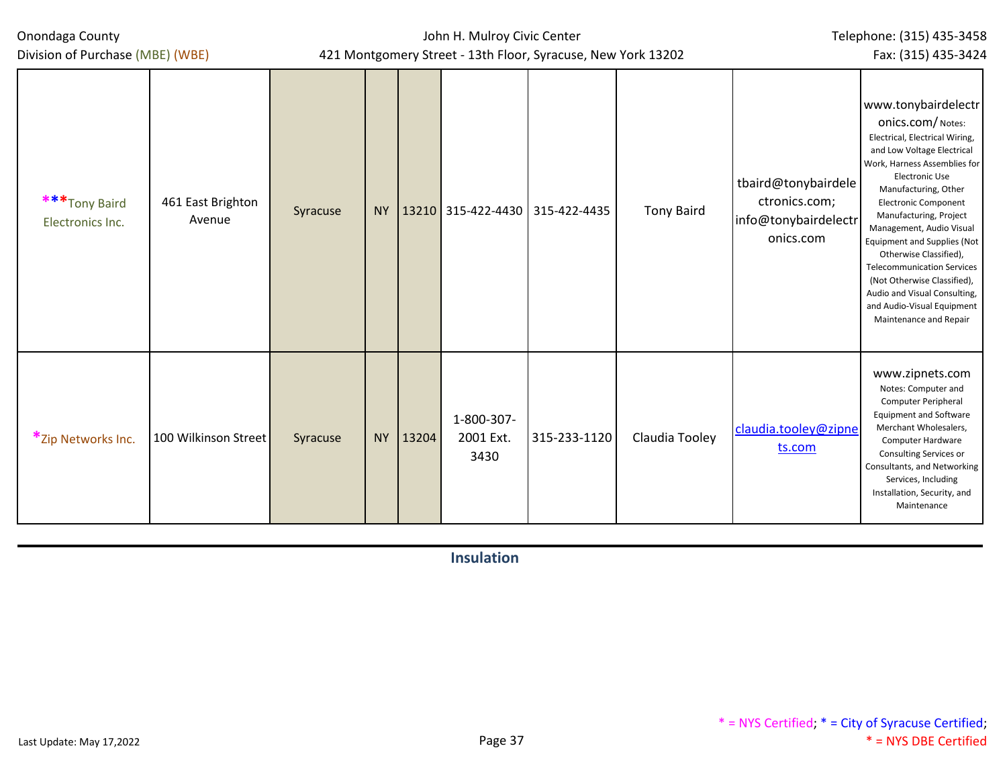John H. Mulroy Civic Center 421 Montgomery Street - 13th Floor, Syracuse, New York 13202 Telephone: (315) 435-3458 Fax: (315) 435-3424

| ***Tony Baird<br>Electronics Inc. | 461 East Brighton<br>Avenue | Syracuse |          |                                 | NY   13210   315-422-4430   315-422-4435 | <b>Tony Baird</b> | tbaird@tonybairdele<br>ctronics.com;<br>info@tonybairdelectr<br>onics.com | www.tonybairdelectr<br>ONICS.COM/Notes:<br>Electrical, Electrical Wiring,<br>and Low Voltage Electrical<br>Work, Harness Assemblies for<br><b>Electronic Use</b><br>Manufacturing, Other<br><b>Electronic Component</b><br>Manufacturing, Project<br>Management, Audio Visual<br>Equipment and Supplies (Not<br>Otherwise Classified),<br><b>Telecommunication Services</b><br>(Not Otherwise Classified),<br>Audio and Visual Consulting,<br>and Audio-Visual Equipment<br>Maintenance and Repair |
|-----------------------------------|-----------------------------|----------|----------|---------------------------------|------------------------------------------|-------------------|---------------------------------------------------------------------------|----------------------------------------------------------------------------------------------------------------------------------------------------------------------------------------------------------------------------------------------------------------------------------------------------------------------------------------------------------------------------------------------------------------------------------------------------------------------------------------------------|
| *Zip Networks Inc.                | 100 Wilkinson Street        | Syracuse | NY 13204 | 1-800-307-<br>2001 Ext.<br>3430 | 315-233-1120                             | Claudia Tooley    | claudia.tooley@zipne<br>ts.com                                            | www.zipnets.com<br>Notes: Computer and<br>Computer Peripheral<br><b>Equipment and Software</b><br>Merchant Wholesalers,<br>Computer Hardware<br>Consulting Services or<br>Consultants, and Networking<br>Services, Including<br>Installation, Security, and<br>Maintenance                                                                                                                                                                                                                         |

**Insulation**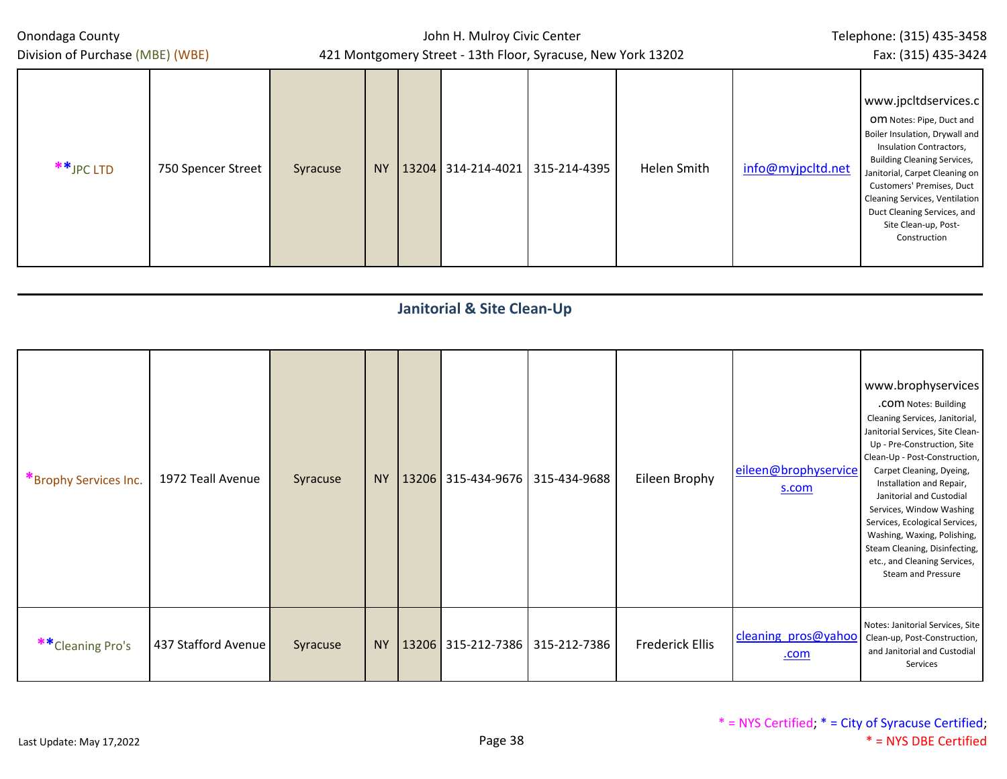| Onondaga County<br>Division of Purchase (MBE) (WBE) |                    |          |           | John H. Mulroy Civic Center | 421 Montgomery Street - 13th Floor, Syracuse, New York 13202 |             |                   | Telephone: (315) 435-3458<br>Fax: (315) 435-3424                                                                                                                                                                                                                                                                                   |
|-----------------------------------------------------|--------------------|----------|-----------|-----------------------------|--------------------------------------------------------------|-------------|-------------------|------------------------------------------------------------------------------------------------------------------------------------------------------------------------------------------------------------------------------------------------------------------------------------------------------------------------------------|
| $**$ JPC LTD                                        | 750 Spencer Street | Syracuse | <b>NY</b> |                             | 13204   314-214-4021   315-214-4395                          | Helen Smith | info@myjpcltd.net | www.jpcltdservices.c<br>OM Notes: Pipe, Duct and<br>Boiler Insulation, Drywall and<br>Insulation Contractors,<br><b>Building Cleaning Services,</b><br>Janitorial, Carpet Cleaning on<br>Customers' Premises, Duct<br><b>Cleaning Services, Ventilation</b><br>Duct Cleaning Services, and<br>Site Clean-up, Post-<br>Construction |

#### **Janitorial & Site Clean-Up** \*Brophy Services Inc. 1972 Teall Avenue Syracuse NY 13206 315-434-9676 315-434-9688 Eileen Brophy [eileen@brophyservice](mailto:eileen@brophyservices.com) [s.com](mailto:eileen@brophyservices.com) www.brophyservices .com Notes: Building Cleaning Services, Janitorial, Janitorial Services, Site Clean-Up - Pre-Construction, Site Clean-Up - Post-Construction, Carpet Cleaning, Dyeing, Installation and Repair, Janitorial and Custodial Services, Window Washing Services, Ecological Services, Washing, Waxing, Polishing, Steam Cleaning, Disinfecting, etc., and Cleaning Services, Steam and Pressure \*\*Cleaning Pro's 437 Stafford Avenue Syracuse NY 13206 315-212-7386 315-212-7386 Frederick Ellis <sup>cleaning</sup> pros@yahoo .com Notes: Janitorial Services, Site Clean-up, Post-Construction, and Janitorial and Custodial Services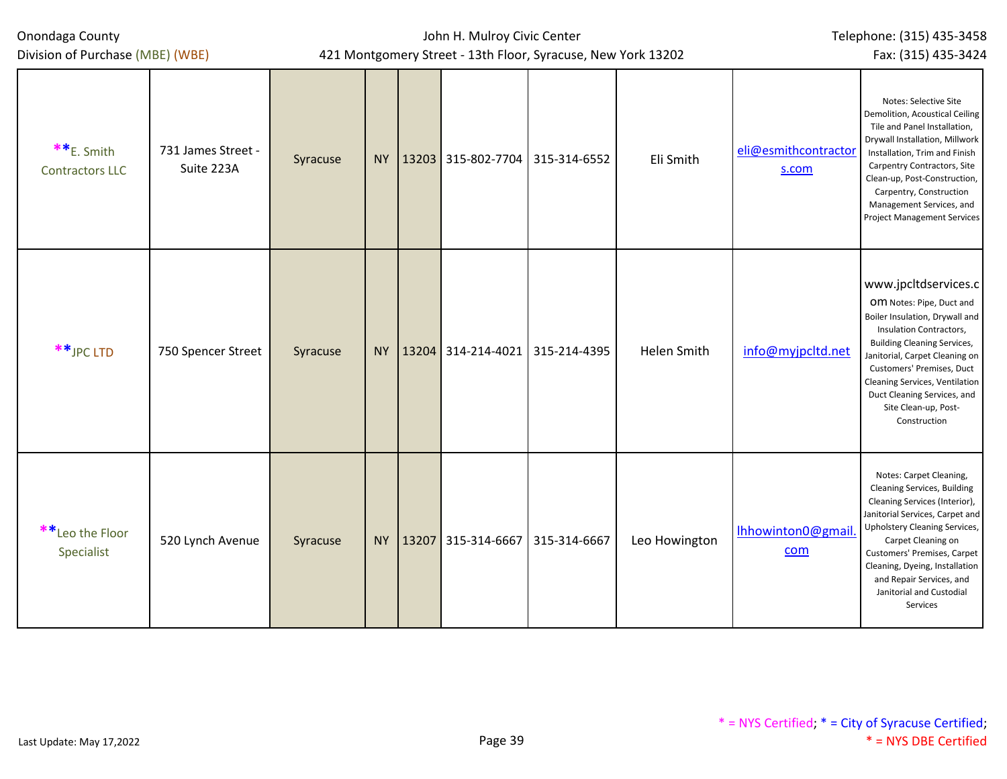| Onondaga County<br>Division of Purchase (MBE) (WBE) |                                  |          |           |          | John H. Mulroy Civic Center     | 421 Montgomery Street - 13th Floor, Syracuse, New York 13202 |               |                               | Telephone: (315) 435-3458<br>Fax: (315) 435-3424                                                                                                                                                                                                                                                                              |
|-----------------------------------------------------|----------------------------------|----------|-----------|----------|---------------------------------|--------------------------------------------------------------|---------------|-------------------------------|-------------------------------------------------------------------------------------------------------------------------------------------------------------------------------------------------------------------------------------------------------------------------------------------------------------------------------|
| **E. Smith<br><b>Contractors LLC</b>                | 731 James Street -<br>Suite 223A | Syracuse | <b>NY</b> |          | 13203 315-802-7704 315-314-6552 |                                                              | Eli Smith     | eli@esmithcontractor<br>s.com | Notes: Selective Site<br>Demolition, Acoustical Ceiling<br>Tile and Panel Installation,<br>Drywall Installation, Millwork<br>Installation, Trim and Finish<br>Carpentry Contractors, Site<br>Clean-up, Post-Construction,<br>Carpentry, Construction<br>Management Services, and<br><b>Project Management Services</b>        |
| ** JPC LTD                                          | 750 Spencer Street               | Syracuse | <b>NY</b> |          | 13204 314-214-4021              | 315-214-4395                                                 | Helen Smith   | info@myjpcltd.net             | www.jpcltdservices.c<br>OM Notes: Pipe, Duct and<br>Boiler Insulation, Drywall and<br>Insulation Contractors,<br><b>Building Cleaning Services,</b><br>Janitorial, Carpet Cleaning on<br>Customers' Premises, Duct<br>Cleaning Services, Ventilation<br>Duct Cleaning Services, and<br>Site Clean-up, Post-<br>Construction   |
| **Leo the Floor<br>Specialist                       | 520 Lynch Avenue                 | Syracuse |           | NY 13207 | 315-314-6667                    | 315-314-6667                                                 | Leo Howington | lhhowinton0@gmail.<br>com     | Notes: Carpet Cleaning,<br><b>Cleaning Services, Building</b><br>Cleaning Services (Interior),<br>Janitorial Services, Carpet and<br>Upholstery Cleaning Services,<br>Carpet Cleaning on<br>Customers' Premises, Carpet<br>Cleaning, Dyeing, Installation<br>and Repair Services, and<br>Janitorial and Custodial<br>Services |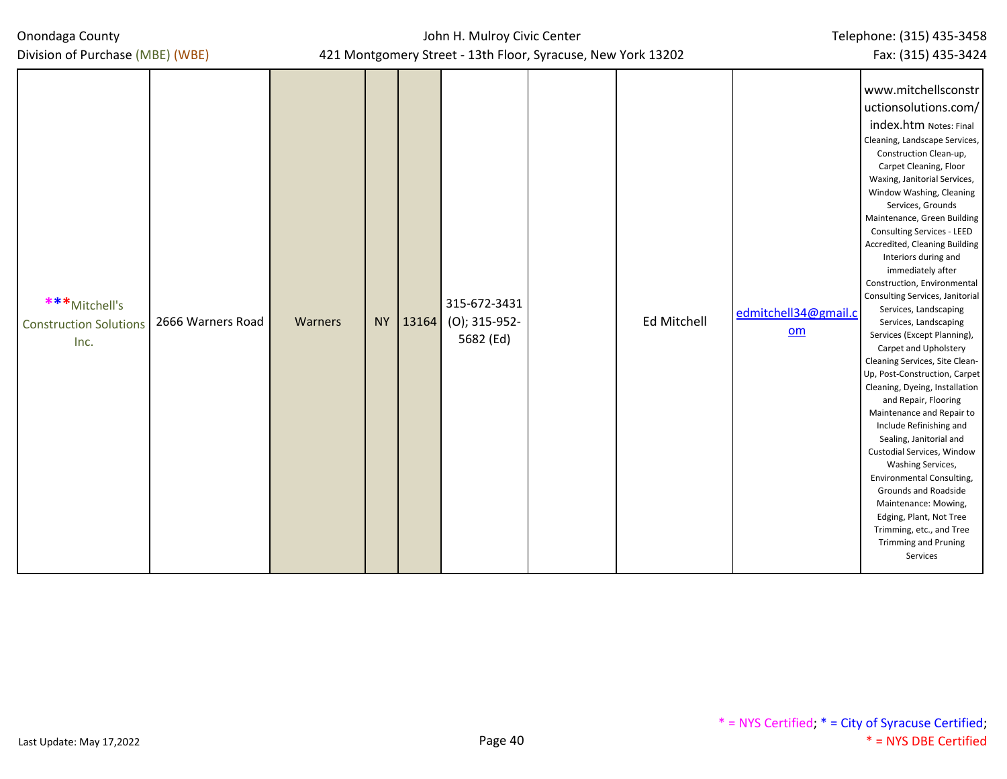| Onondaga County |  |
|-----------------|--|
|-----------------|--|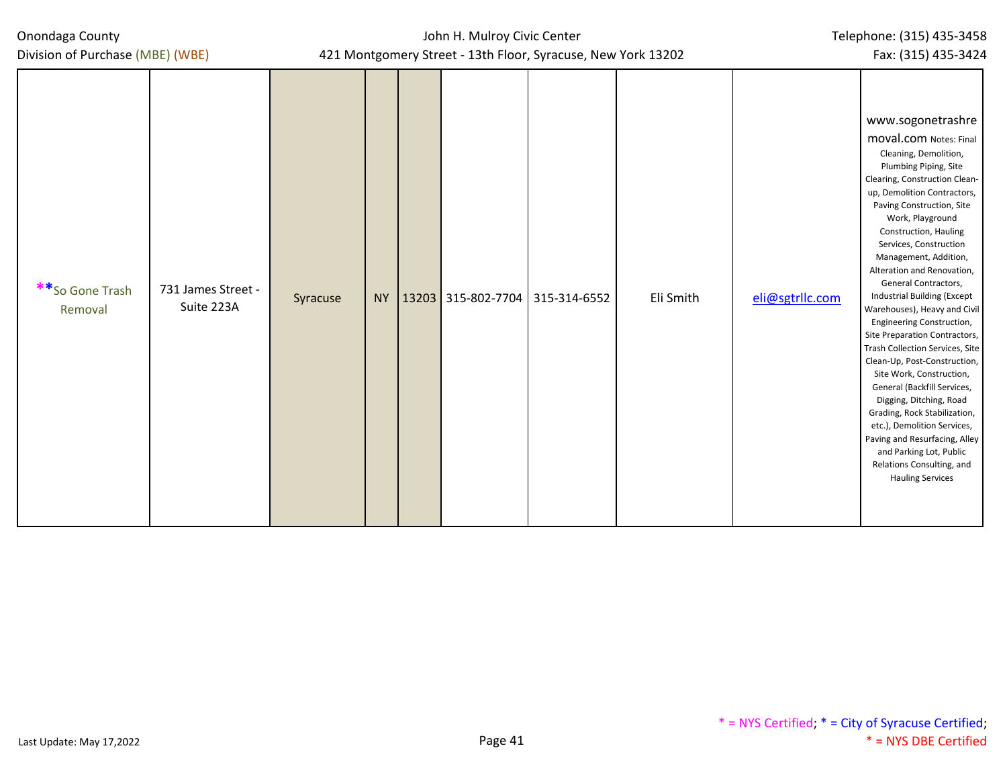| **So Gone Trash<br>Removal | 731 James Street -<br>Suite 223A | Syracuse |  |  | NY   13203   315-802-7704   315-314-6552 |  | Eli Smith | eli@sgtrllc.com | www.sogonetrashre<br><b>moval.com</b> Notes: Final<br>Cleaning, Demolition,<br>Plumbing Piping, Site<br>Clearing, Construction Clean-<br>up, Demolition Contractors,<br>Paving Construction, Site<br>Work, Playground<br>Construction, Hauling<br>Services, Construction<br>Management, Addition,<br>Alteration and Renovation,<br>General Contractors,<br><b>Industrial Building (Except</b><br>Warehouses), Heavy and Civil<br>Engineering Construction,<br>Site Preparation Contractors,<br>Trash Collection Services, Site<br>Clean-Up, Post-Construction,<br>Site Work, Construction,<br>General (Backfill Services,<br>Digging, Ditching, Road<br>Grading, Rock Stabilization,<br>etc.), Demolition Services,<br>Paving and Resurfacing, Alley<br>and Parking Lot, Public<br>Relations Consulting, and<br><b>Hauling Services</b> |
|----------------------------|----------------------------------|----------|--|--|------------------------------------------|--|-----------|-----------------|-----------------------------------------------------------------------------------------------------------------------------------------------------------------------------------------------------------------------------------------------------------------------------------------------------------------------------------------------------------------------------------------------------------------------------------------------------------------------------------------------------------------------------------------------------------------------------------------------------------------------------------------------------------------------------------------------------------------------------------------------------------------------------------------------------------------------------------------|
|----------------------------|----------------------------------|----------|--|--|------------------------------------------|--|-----------|-----------------|-----------------------------------------------------------------------------------------------------------------------------------------------------------------------------------------------------------------------------------------------------------------------------------------------------------------------------------------------------------------------------------------------------------------------------------------------------------------------------------------------------------------------------------------------------------------------------------------------------------------------------------------------------------------------------------------------------------------------------------------------------------------------------------------------------------------------------------------|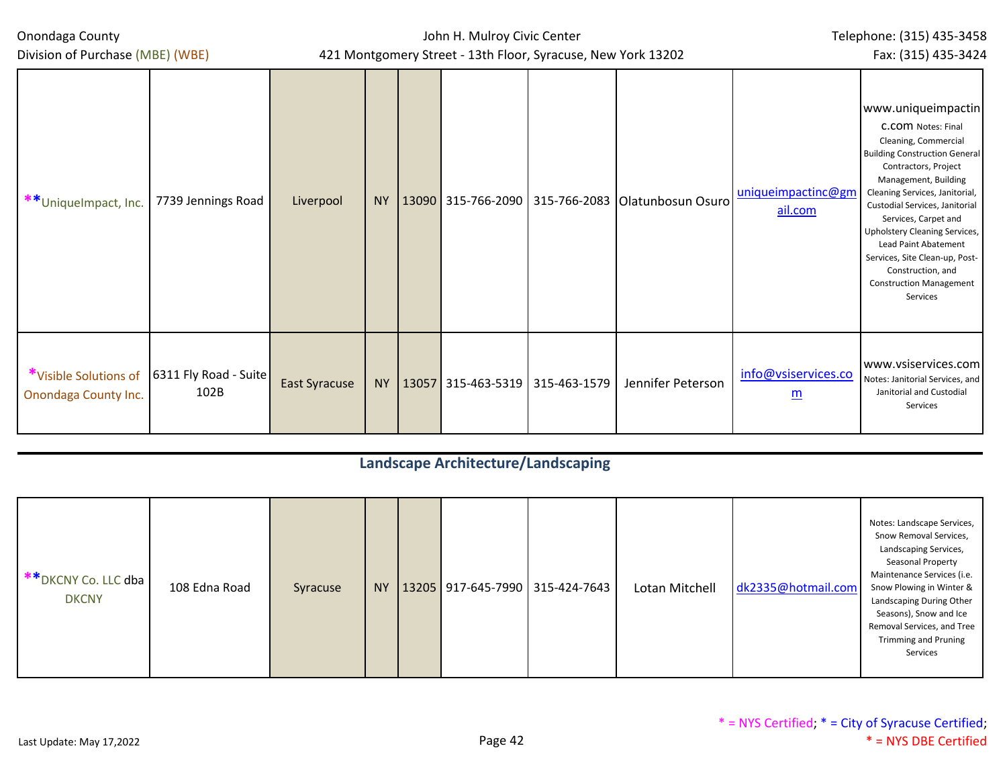John H. Mulroy Civic Center 421 Montgomery Street - 13th Floor, Syracuse, New York 13202 Telephone: (315) 435-3458 Fax: (315) 435-3424

Division of Purchase (MBE) (WBE)

| **UniqueImpact, Inc.                          | 7739 Jennings Road            | Liverpool            | <b>NY</b> |                                 | 13090 315-766-2090 315-766-2083 Olatunbosun Osuro | uniqueimpactinc@gm<br>ail.com                   | www.uniqueimpactin<br>C.COM Notes: Final<br>Cleaning, Commercial<br><b>Building Construction General</b><br>Contractors, Project<br>Management, Building<br>Cleaning Services, Janitorial,<br>Custodial Services, Janitorial<br>Services, Carpet and<br>Upholstery Cleaning Services,<br>Lead Paint Abatement<br>Services, Site Clean-up, Post-<br>Construction, and<br><b>Construction Management</b><br>Services |
|-----------------------------------------------|-------------------------------|----------------------|-----------|---------------------------------|---------------------------------------------------|-------------------------------------------------|--------------------------------------------------------------------------------------------------------------------------------------------------------------------------------------------------------------------------------------------------------------------------------------------------------------------------------------------------------------------------------------------------------------------|
| *Visible Solutions of<br>Onondaga County Inc. | 6311 Fly Road - Suite<br>102B | <b>East Syracuse</b> | <b>NY</b> | 13057 315-463-5319 315-463-1579 | Jennifer Peterson                                 | info@vsiservices.co<br>$\underline{\mathsf{m}}$ | www.vsiservices.com<br>Notes: Janitorial Services, and<br>Janitorial and Custodial<br>Services                                                                                                                                                                                                                                                                                                                     |

# **Landscape Architecture/Landscaping**

| <sup>**</sup> DKCNY Co. LLC dba J<br><b>DKCNY</b> | 108 Edna Road | Syracuse | NY · |  |  | $13205$ 917-645-7990 315-424-7643 | Lotan Mitchell | dk2335@hotmail.com | Notes: Landscape Services,<br>Snow Removal Services,<br>Landscaping Services,<br><b>Seasonal Property</b><br>Maintenance Services (i.e.<br>Snow Plowing in Winter &<br>Landscaping During Other<br>Seasons), Snow and Ice<br>Removal Services, and Tree<br><b>Trimming and Pruning</b><br>Services |
|---------------------------------------------------|---------------|----------|------|--|--|-----------------------------------|----------------|--------------------|----------------------------------------------------------------------------------------------------------------------------------------------------------------------------------------------------------------------------------------------------------------------------------------------------|
|---------------------------------------------------|---------------|----------|------|--|--|-----------------------------------|----------------|--------------------|----------------------------------------------------------------------------------------------------------------------------------------------------------------------------------------------------------------------------------------------------------------------------------------------------|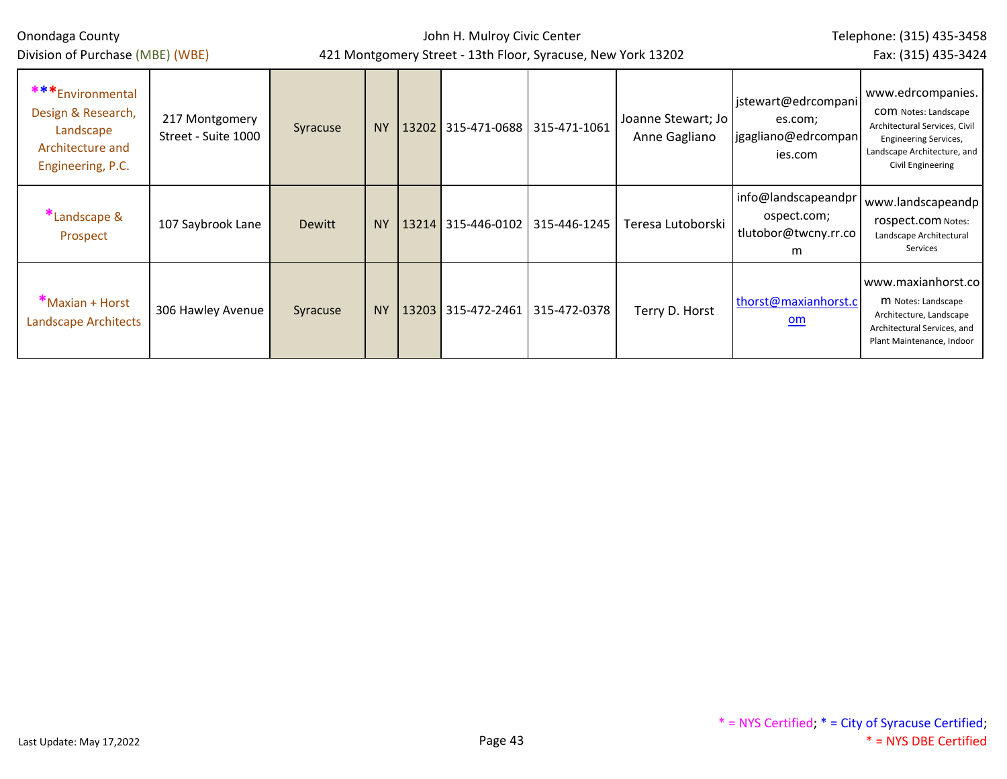| Onondaga County<br>Division of Purchase (MBE) (WBE)                                           |                                       |          |           | John H. Mulroy Civic Center | 421 Montgomery Street - 13th Floor, Syracuse, New York 13202 |                                     |                                                                  | Telephone: (315) 435-3458<br>Fax: (315) 435-3424                                                                                                                      |
|-----------------------------------------------------------------------------------------------|---------------------------------------|----------|-----------|-----------------------------|--------------------------------------------------------------|-------------------------------------|------------------------------------------------------------------|-----------------------------------------------------------------------------------------------------------------------------------------------------------------------|
| *** Environmental<br>Design & Research,<br>Landscape<br>Architecture and<br>Engineering, P.C. | 217 Montgomery<br>Street - Suite 1000 | Syracuse | <b>NY</b> | 13202 315-471-0688          | 315-471-1061                                                 | Joanne Stewart; Jo<br>Anne Gagliano | jstewart@edrcompani<br>es.com;<br>jgagliano@edrcompan<br>ies.com | www.edrcompanies.<br><b>COM</b> Notes: Landscape<br>Architectural Services, Civil<br><b>Engineering Services,</b><br>Landscape Architecture, and<br>Civil Engineering |
| *Landscape &<br>Prospect                                                                      | 107 Saybrook Lane                     | Dewitt   | <b>NY</b> | 13214 315-446-0102          | 315-446-1245                                                 | Teresa Lutoborski                   | info@landscapeandpr<br>ospect.com;<br>tlutobor@twcny.rr.co<br>m  | www.landscapeandp<br>rospect.com Notes:<br>Landscape Architectural<br>Services                                                                                        |
| *Maxian + Horst<br><b>Landscape Architects</b>                                                | 306 Hawley Avenue                     | Syracuse | <b>NY</b> | 13203 315-472-2461          | 315-472-0378                                                 | Terry D. Horst                      | thorst@maxianhorst.c<br>$om$                                     | www.maxianhorst.co<br>M Notes: Landscape<br>Architecture, Landscape<br>Architectural Services, and<br>Plant Maintenance, Indoor                                       |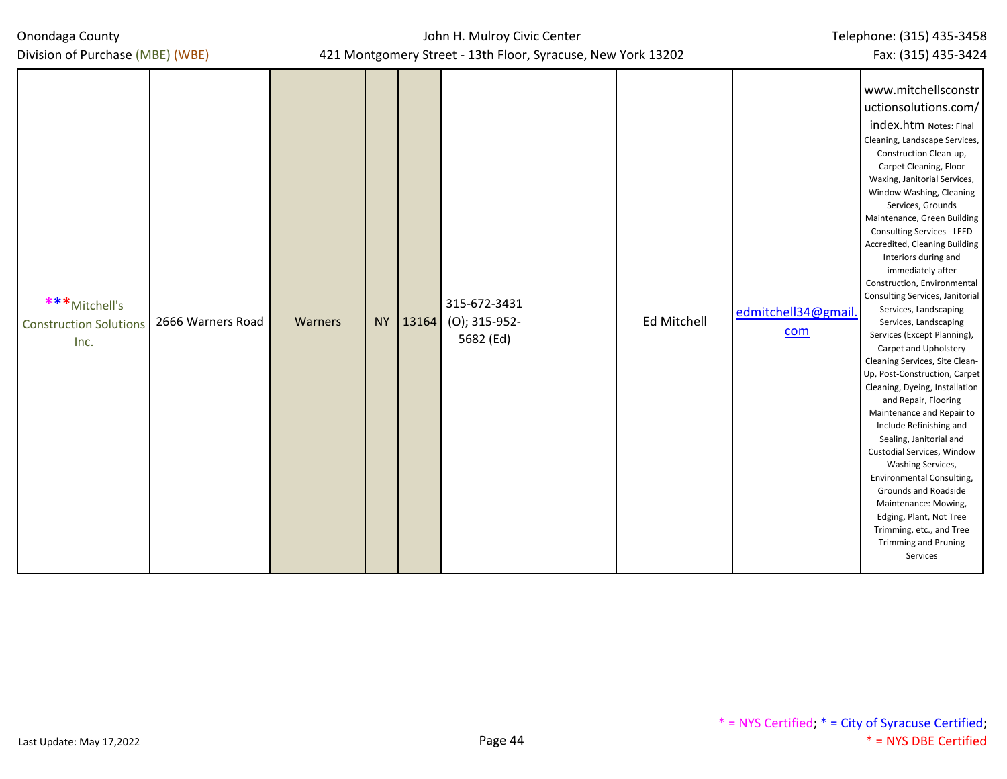| Onondaga County |  |
|-----------------|--|
|-----------------|--|

| ***Mitchell's<br><b>Construction Solutions</b><br>Inc. | 2666 Warners Road | Warners | <b>NY</b> | 13164 | 315-672-3431<br>(O); 315-952-<br>5682 (Ed) | <b>Ed Mitchell</b> | edmitchell34@gmail.<br>com | www.mitchellsconstr<br>uctionsolutions.com/<br>index.htm Notes: Final<br>Cleaning, Landscape Services,<br>Construction Clean-up,<br>Carpet Cleaning, Floor<br>Waxing, Janitorial Services,<br>Window Washing, Cleaning<br>Services, Grounds<br>Maintenance, Green Building<br>Consulting Services - LEED<br>Accredited, Cleaning Building<br>Interiors during and<br>immediately after<br>Construction, Environmental<br>Consulting Services, Janitorial<br>Services, Landscaping<br>Services, Landscaping<br>Services (Except Planning),<br>Carpet and Upholstery<br>Cleaning Services, Site Clean-<br>Up, Post-Construction, Carpet<br>Cleaning, Dyeing, Installation<br>and Repair, Flooring<br>Maintenance and Repair to<br>Include Refinishing and<br>Sealing, Janitorial and<br>Custodial Services, Window<br>Washing Services,<br>Environmental Consulting,<br><b>Grounds and Roadside</b><br>Maintenance: Mowing,<br>Edging, Plant, Not Tree |
|--------------------------------------------------------|-------------------|---------|-----------|-------|--------------------------------------------|--------------------|----------------------------|------------------------------------------------------------------------------------------------------------------------------------------------------------------------------------------------------------------------------------------------------------------------------------------------------------------------------------------------------------------------------------------------------------------------------------------------------------------------------------------------------------------------------------------------------------------------------------------------------------------------------------------------------------------------------------------------------------------------------------------------------------------------------------------------------------------------------------------------------------------------------------------------------------------------------------------------------|
|                                                        |                   |         |           |       |                                            |                    |                            | Trimming, etc., and Tree<br><b>Trimming and Pruning</b><br>Services                                                                                                                                                                                                                                                                                                                                                                                                                                                                                                                                                                                                                                                                                                                                                                                                                                                                                  |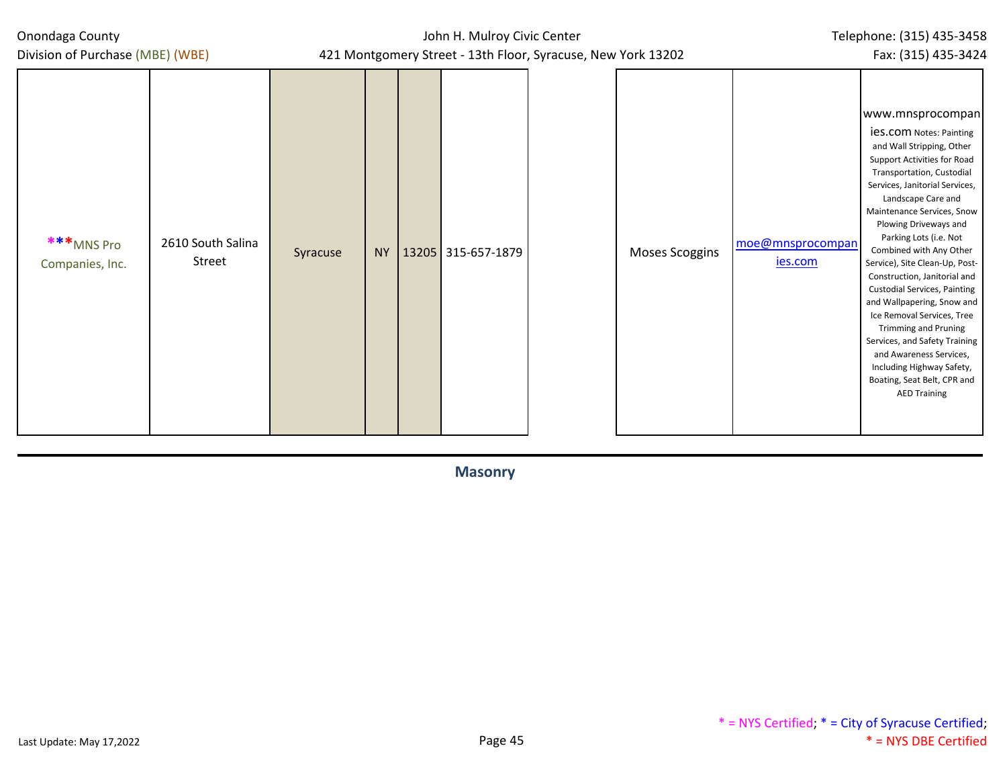| Onondaga County<br>Division of Purchase (MBE) (WBE) |                             |          | John H. Mulroy Civic Center<br>421 Montgomery Street - 13th Floor, Syracuse, New York 13202 | Telephone: (315) 435-3458<br>Fax: (315) 435-3424 |  |                       |                                    |                                                                                                                                                                                                                                                                                                                                                                                                                                                                                                                                                                                                                                                                    |
|-----------------------------------------------------|-----------------------------|----------|---------------------------------------------------------------------------------------------|--------------------------------------------------|--|-----------------------|------------------------------------|--------------------------------------------------------------------------------------------------------------------------------------------------------------------------------------------------------------------------------------------------------------------------------------------------------------------------------------------------------------------------------------------------------------------------------------------------------------------------------------------------------------------------------------------------------------------------------------------------------------------------------------------------------------------|
| ***MNS Pro<br>Companies, Inc.                       | 2610 South Salina<br>Street | Syracuse | <b>NY</b>                                                                                   | 13205 315-657-1879                               |  | <b>Moses Scoggins</b> | moe@mnsprocompan<br><u>ies.com</u> | www.mnsprocompan<br><b>ies.com</b> Notes: Painting<br>and Wall Stripping, Other<br>Support Activities for Road<br>Transportation, Custodial<br>Services, Janitorial Services,<br>Landscape Care and<br>Maintenance Services, Snow<br>Plowing Driveways and<br>Parking Lots (i.e. Not<br>Combined with Any Other<br>Service), Site Clean-Up, Post-<br>Construction, Janitorial and<br><b>Custodial Services, Painting</b><br>and Wallpapering, Snow and<br>Ice Removal Services, Tree<br><b>Trimming and Pruning</b><br>Services, and Safety Training<br>and Awareness Services,<br>Including Highway Safety,<br>Boating, Seat Belt, CPR and<br><b>AED Training</b> |

**Masonry**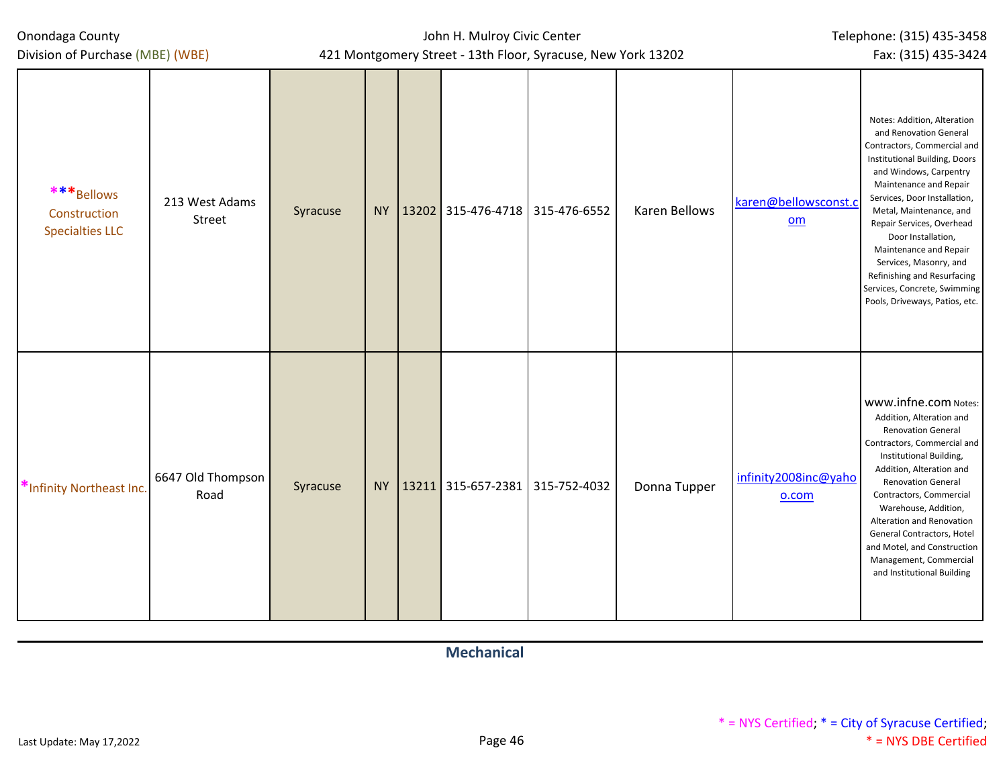Division of Purchase (MBE) (WBE)

John H. Mulroy Civic Center 421 Montgomery Street - 13th Floor, Syracuse, New York 13202

| ***Bellows<br>Construction<br><b>Specialties LLC</b> | 213 West Adams<br>Street  | Syracuse |  | NY   13202   315-476-4718   315-476-6552 | Karen Bellows | karen@bellowsconst.c<br>om    | Notes: Addition, Alteration<br>and Renovation General<br>Contractors, Commercial and<br>Institutional Building, Doors<br>and Windows, Carpentry<br>Maintenance and Repair<br>Services, Door Installation,<br>Metal, Maintenance, and<br>Repair Services, Overhead<br>Door Installation,<br>Maintenance and Repair<br>Services, Masonry, and<br>Refinishing and Resurfacing<br>Services, Concrete, Swimming<br>Pools, Driveways, Patios, etc. |
|------------------------------------------------------|---------------------------|----------|--|------------------------------------------|---------------|-------------------------------|----------------------------------------------------------------------------------------------------------------------------------------------------------------------------------------------------------------------------------------------------------------------------------------------------------------------------------------------------------------------------------------------------------------------------------------------|
| *Infinity Northeast Inc.                             | 6647 Old Thompson<br>Road | Syracuse |  | NY   13211   315-657-2381   315-752-4032 | Donna Tupper  | infinity2008inc@yaho<br>o.com | www.infne.com Notes:<br>Addition, Alteration and<br><b>Renovation General</b><br>Contractors, Commercial and<br>Institutional Building,<br>Addition, Alteration and<br><b>Renovation General</b><br>Contractors, Commercial<br>Warehouse, Addition,<br>Alteration and Renovation<br>General Contractors, Hotel<br>and Motel, and Construction<br>Management, Commercial<br>and Institutional Building                                        |

**Mechanical**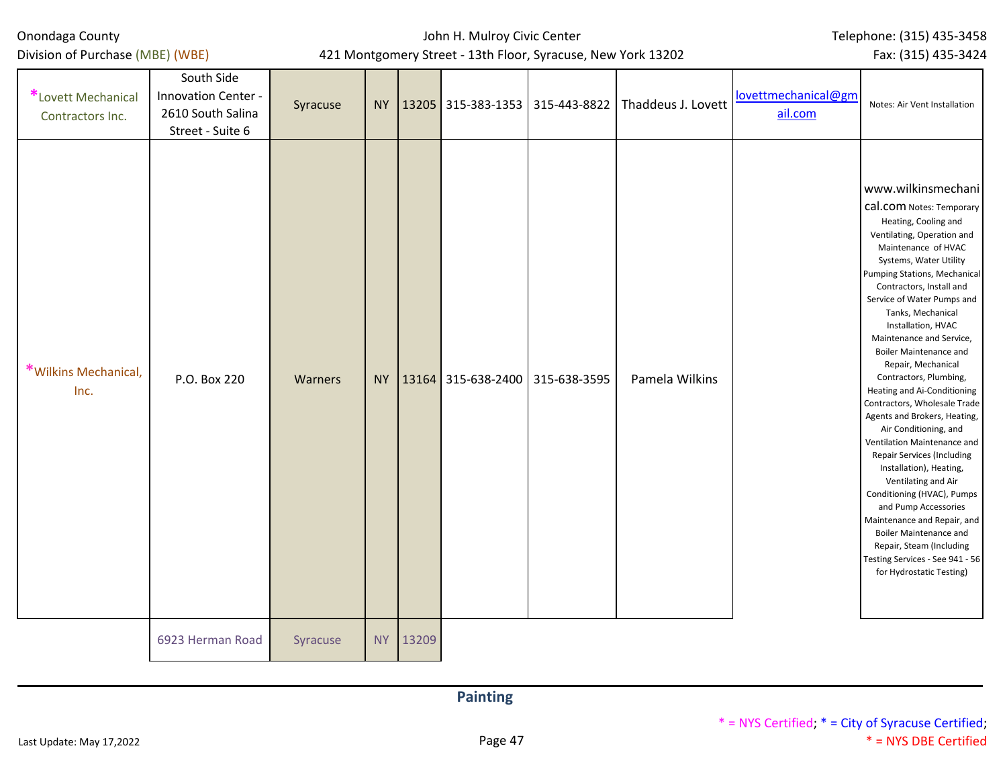Last Update: May 17,2022 **Page 47** 

| <b>Painting</b> |
|-----------------|
|-----------------|

| *Wilkins Mechanical,<br>P.O. Box 220<br>Inc. | Warners | <b>NY</b> |  |  | 13164 315-638-2400 315-638-3595 | Pamela Wilkins |  |
|----------------------------------------------|---------|-----------|--|--|---------------------------------|----------------|--|
|----------------------------------------------|---------|-----------|--|--|---------------------------------|----------------|--|

6923 Herman Road Syracuse NY 13209

Onondaga County Division of Purchase (MBE) (WBE)

> South Side Innovation Center - 2610 South Salina Street - Suite 6

**\***Lovett Mechanical Contractors Inc.

## John H. Mulroy Civic Center 421 Montgomery Street - 13th Floor, Syracuse, New York 13202

Syracuse NY 13205 315-383-1353 315-443-8822 Thaddeus J. Lovett  $\frac{lovettmechanical@gm}{n}$  $\frac{lovettmechanical@gm}{n}$  $\frac{lovettmechanical@gm}{n}$ 

[ail.com](mailto:lovettmechanical@gmail.com)

Fax: (315) 435-3424

Notes: Air Vent Installation

www.wilkinsmechani cal.com Notes: Temporary Heating, Cooling and Ventilating, Operation and Maintenance of HVAC Systems, Water Utility Pumping Stations, Mechanical Contractors, Install and Service of Water Pumps and Tanks, Mechanical Installation, HVAC Maintenance and Service, Boiler Maintenance and Repair, Mechanical Contractors, Plumbing, Heating and Ai-Conditioning Contractors, Wholesale Trade Agents and Brokers, Heating, Air Conditioning, and Ventilation Maintenance and Repair Services (Including Installation), Heating, Ventilating and Air Conditioning (HVAC), Pumps and Pump Accessories Maintenance and Repair, and Boiler Maintenance and Repair, Steam (Including Testing Services - See 941 - 56 for Hydrostatic Testing)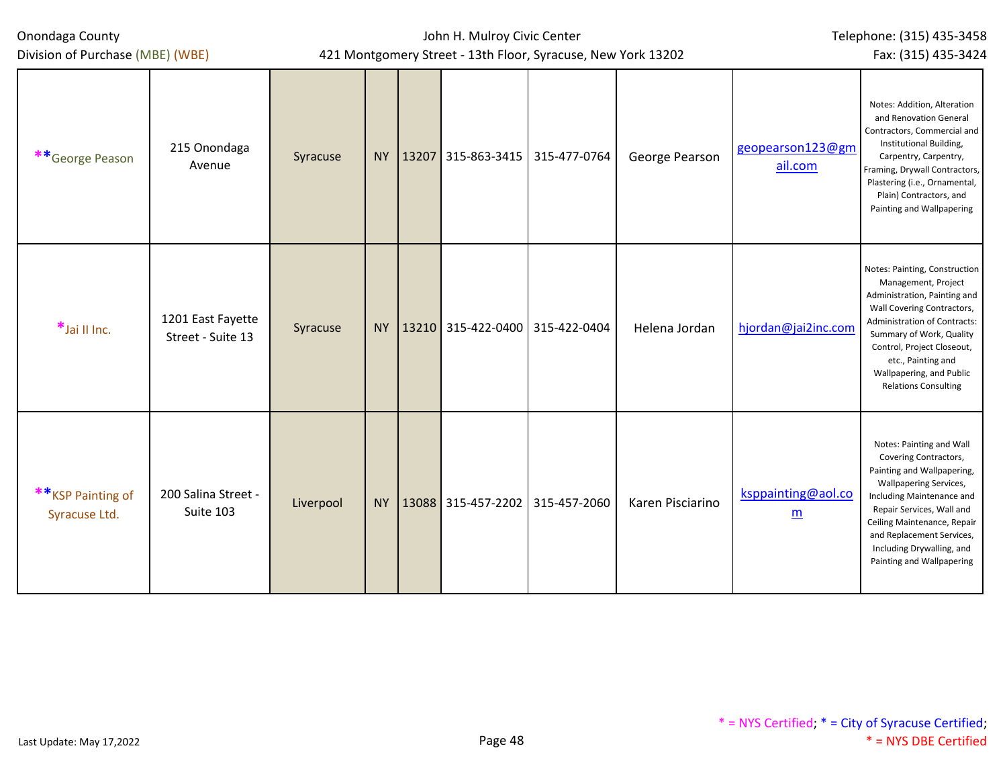| Onondaga County<br>Division of Purchase (MBE) (WBE) |                                        |           | John H. Mulroy Civic Center<br>421 Montgomery Street - 13th Floor, Syracuse, New York 13202 | Telephone: (315) 435-3458<br>Fax: (315) 435-3424 |                  |                                                |                                                                                                                                                                                                                                                                                                  |
|-----------------------------------------------------|----------------------------------------|-----------|---------------------------------------------------------------------------------------------|--------------------------------------------------|------------------|------------------------------------------------|--------------------------------------------------------------------------------------------------------------------------------------------------------------------------------------------------------------------------------------------------------------------------------------------------|
| **George Peason                                     | 215 Onondaga<br>Avenue                 | Syracuse  |                                                                                             | NY   13207 315-863-3415   315-477-0764           | George Pearson   | geopearson123@gm<br>ail.com                    | Notes: Addition, Alteration<br>and Renovation General<br>Contractors, Commercial and<br>Institutional Building,<br>Carpentry, Carpentry,<br>Framing, Drywall Contractors,<br>Plastering (i.e., Ornamental,<br>Plain) Contractors, and<br>Painting and Wallpapering                               |
| $*$ Jai II Inc.                                     | 1201 East Fayette<br>Street - Suite 13 | Syracuse  |                                                                                             | NY   13210 315-422-0400   315-422-0404           | Helena Jordan    | hjordan@jai2inc.com                            | Notes: Painting, Construction<br>Management, Project<br>Administration, Painting and<br>Wall Covering Contractors,<br>Administration of Contracts:<br>Summary of Work, Quality<br>Control, Project Closeout,<br>etc., Painting and<br>Wallpapering, and Public<br><b>Relations Consulting</b>    |
| **KSP Painting of<br>Syracuse Ltd.                  | 200 Salina Street -<br>Suite 103       | Liverpool |                                                                                             | NY   13088 315-457-2202   315-457-2060           | Karen Pisciarino | ksppainting@aol.co<br>$\underline{\mathbf{m}}$ | Notes: Painting and Wall<br>Covering Contractors,<br>Painting and Wallpapering,<br><b>Wallpapering Services,</b><br>Including Maintenance and<br>Repair Services, Wall and<br>Ceiling Maintenance, Repair<br>and Replacement Services,<br>Including Drywalling, and<br>Painting and Wallpapering |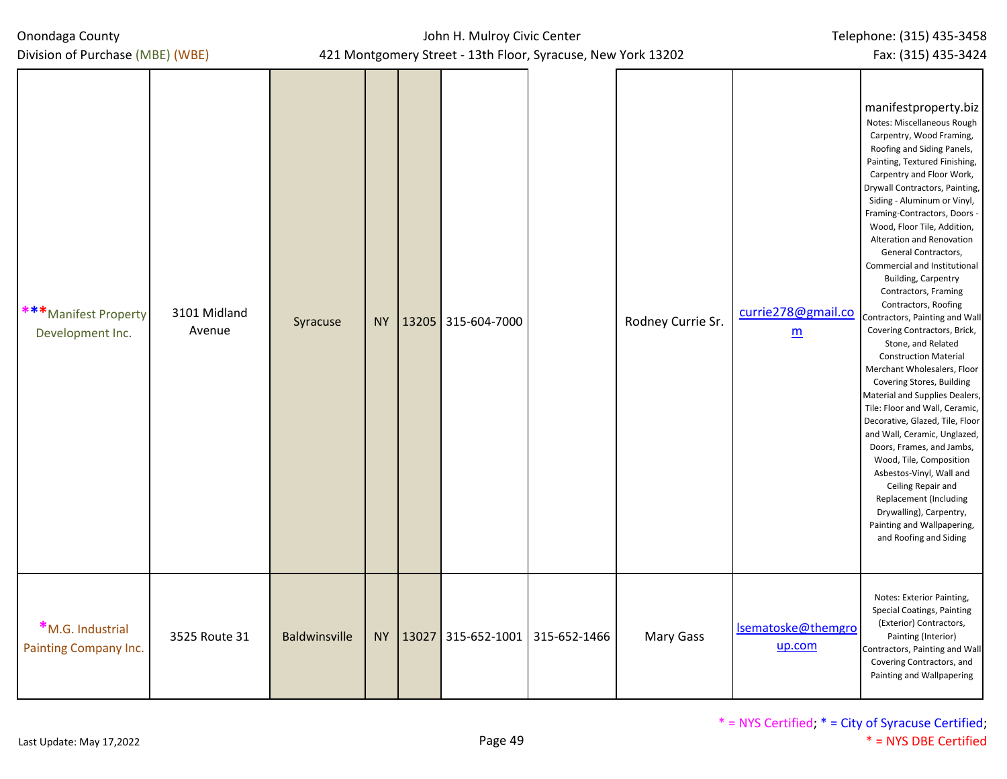| Division of Purchase (MBE) (WBE)          |                        |               |           |                                        | 421 Montgomery Street - 13th Floor, Syracuse, New York 13202 |                   |                                       | Fax: (315) 435-3424                                                                                                                                                                                                                                                                                                                                                                                                                                                                                                                                                                                                                                                                                                                                                                                                                                                                                                                                                                                                             |
|-------------------------------------------|------------------------|---------------|-----------|----------------------------------------|--------------------------------------------------------------|-------------------|---------------------------------------|---------------------------------------------------------------------------------------------------------------------------------------------------------------------------------------------------------------------------------------------------------------------------------------------------------------------------------------------------------------------------------------------------------------------------------------------------------------------------------------------------------------------------------------------------------------------------------------------------------------------------------------------------------------------------------------------------------------------------------------------------------------------------------------------------------------------------------------------------------------------------------------------------------------------------------------------------------------------------------------------------------------------------------|
| ***Manifest Property<br>Development Inc.  | 3101 Midland<br>Avenue | Syracuse      | <b>NY</b> | 13205 315-604-7000                     |                                                              | Rodney Currie Sr. | currie278@gmail.co<br>$\underline{m}$ | manifestproperty.biz<br>Notes: Miscellaneous Rough<br>Carpentry, Wood Framing,<br>Roofing and Siding Panels,<br>Painting, Textured Finishing,<br>Carpentry and Floor Work,<br>Drywall Contractors, Painting,<br>Siding - Aluminum or Vinyl,<br>Framing-Contractors, Doors -<br>Wood, Floor Tile, Addition,<br>Alteration and Renovation<br>General Contractors,<br>Commercial and Institutional<br><b>Building, Carpentry</b><br>Contractors, Framing<br>Contractors, Roofing<br>Contractors, Painting and Wall<br>Covering Contractors, Brick,<br>Stone, and Related<br><b>Construction Material</b><br>Merchant Wholesalers, Floor<br>Covering Stores, Building<br>Material and Supplies Dealers,<br>Tile: Floor and Wall, Ceramic,<br>Decorative, Glazed, Tile, Floor<br>and Wall, Ceramic, Unglazed,<br>Doors, Frames, and Jambs,<br>Wood, Tile, Composition<br>Asbestos-Vinyl, Wall and<br>Ceiling Repair and<br>Replacement (Including<br>Drywalling), Carpentry,<br>Painting and Wallpapering,<br>and Roofing and Siding |
| *M.G. Industrial<br>Painting Company Inc. | 3525 Route 31          | Baldwinsville |           | NY   13027 315-652-1001   315-652-1466 |                                                              | <b>Mary Gass</b>  | Isematoske@themgro<br>up.com          | Notes: Exterior Painting,<br>Special Coatings, Painting<br>(Exterior) Contractors,<br>Painting (Interior)<br>Contractors, Painting and Wall<br>Covering Contractors, and<br>Painting and Wallpapering                                                                                                                                                                                                                                                                                                                                                                                                                                                                                                                                                                                                                                                                                                                                                                                                                           |

John H. Mulroy Civic Center

Telephone: (315) 435-3458

Onondaga County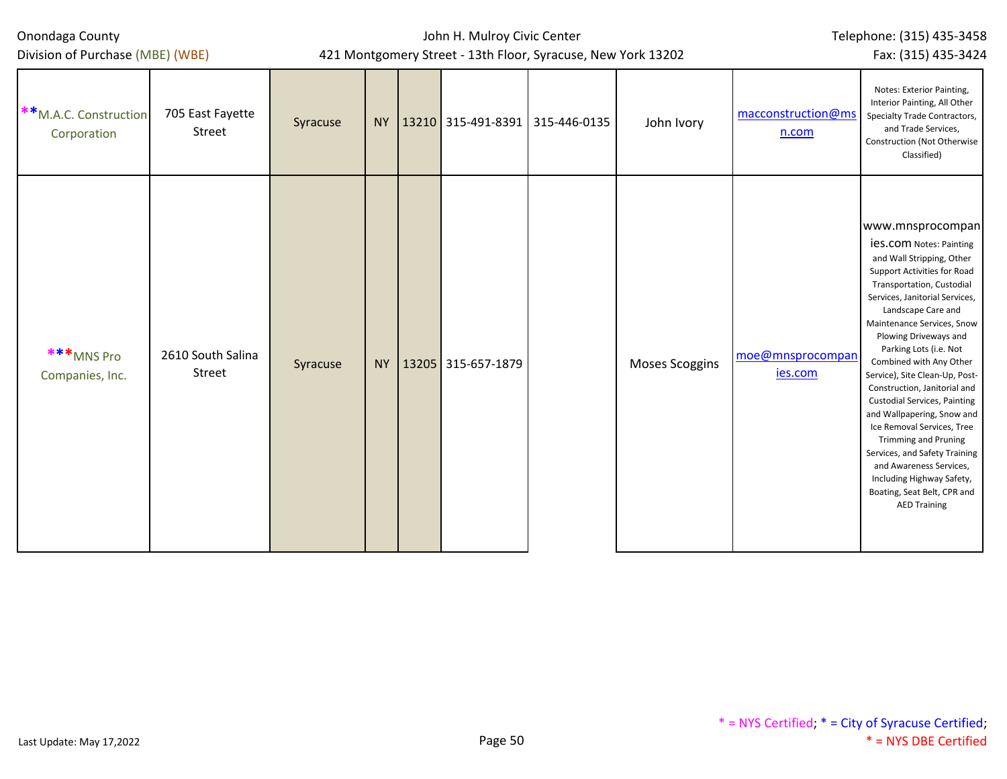| Onondaga County |  |
|-----------------|--|
|-----------------|--|

## John H. Mulroy Civic Center 421 Montgomery Street - 13th Floor, Syracuse, New York 13202

Fax: (315) 435-3424

| **M.A.C. Construction<br>Corporation | 705 East Fayette<br>Street  | Syracuse |           |                    | NY   13210 315-491-8391   315-446-0135 | John Ivory     | macconstruction@ms<br>n.com        | Notes: Exterior Painting,<br>Interior Painting, All Other<br>Specialty Trade Contractors,<br>and Trade Services,<br>Construction (Not Otherwise<br>Classified)                                                                                                                                                                                                                                                                                                                                                                                                                                                                                                     |
|--------------------------------------|-----------------------------|----------|-----------|--------------------|----------------------------------------|----------------|------------------------------------|--------------------------------------------------------------------------------------------------------------------------------------------------------------------------------------------------------------------------------------------------------------------------------------------------------------------------------------------------------------------------------------------------------------------------------------------------------------------------------------------------------------------------------------------------------------------------------------------------------------------------------------------------------------------|
| ***MNS Pro<br>Companies, Inc.        | 2610 South Salina<br>Street | Syracuse | <b>NY</b> | 13205 315-657-1879 |                                        | Moses Scoggins | moe@mnsprocompan<br><u>ies.com</u> | www.mnsprocompan<br><b>ies.com</b> Notes: Painting<br>and Wall Stripping, Other<br>Support Activities for Road<br>Transportation, Custodial<br>Services, Janitorial Services,<br>Landscape Care and<br>Maintenance Services, Snow<br>Plowing Driveways and<br>Parking Lots (i.e. Not<br>Combined with Any Other<br>Service), Site Clean-Up, Post-<br>Construction, Janitorial and<br><b>Custodial Services, Painting</b><br>and Wallpapering, Snow and<br>Ice Removal Services, Tree<br><b>Trimming and Pruning</b><br>Services, and Safety Training<br>and Awareness Services,<br>Including Highway Safety,<br>Boating, Seat Belt, CPR and<br><b>AED Training</b> |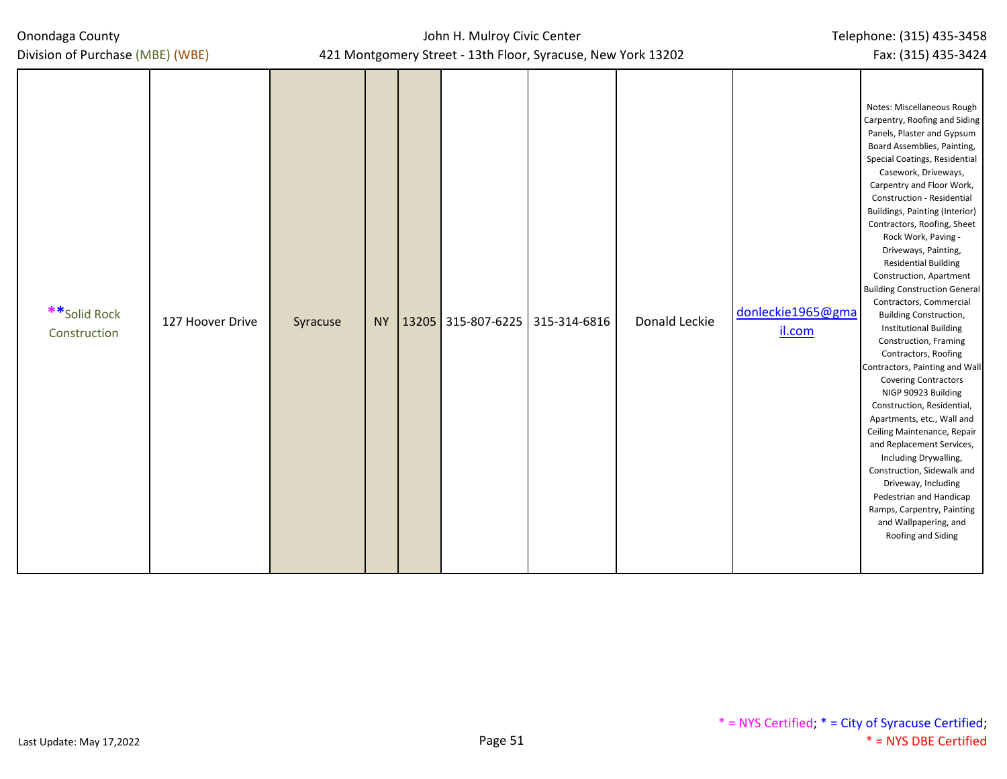| Onondaga County<br>Division of Purchase (MBE) (WBE) |          | John H. Mulroy Civic Center<br>421 Montgomery Street - 13th Floor, Syracuse, New York 13202 |                                          | Telephone: (315) 435-3458<br>Fax: (315) 435-3424 |               |                             |                                                                                                                                                                                                                                                                                                                                                                                                                                                                                                                                                                                                                                                                                                                                                                                                                                                                                                                                                                                                                           |
|-----------------------------------------------------|----------|---------------------------------------------------------------------------------------------|------------------------------------------|--------------------------------------------------|---------------|-----------------------------|---------------------------------------------------------------------------------------------------------------------------------------------------------------------------------------------------------------------------------------------------------------------------------------------------------------------------------------------------------------------------------------------------------------------------------------------------------------------------------------------------------------------------------------------------------------------------------------------------------------------------------------------------------------------------------------------------------------------------------------------------------------------------------------------------------------------------------------------------------------------------------------------------------------------------------------------------------------------------------------------------------------------------|
| **Solid Rock<br>127 Hoover Drive<br>Construction    | Syracuse |                                                                                             | NY   13205   315-807-6225   315-314-6816 |                                                  | Donald Leckie | donleckie1965@gma<br>il.com | Notes: Miscellaneous Rough<br>Carpentry, Roofing and Siding<br>Panels, Plaster and Gypsum<br>Board Assemblies, Painting,<br>Special Coatings, Residential<br>Casework, Driveways,<br>Carpentry and Floor Work,<br>Construction - Residential<br><b>Buildings, Painting (Interior)</b><br>Contractors, Roofing, Sheet<br>Rock Work, Paving -<br>Driveways, Painting,<br><b>Residential Building</b><br>Construction, Apartment<br><b>Building Construction General</b><br>Contractors, Commercial<br><b>Building Construction,</b><br><b>Institutional Building</b><br>Construction, Framing<br>Contractors, Roofing<br>Contractors, Painting and Wall<br><b>Covering Contractors</b><br>NIGP 90923 Building<br>Construction, Residential,<br>Apartments, etc., Wall and<br>Ceiling Maintenance, Repair<br>and Replacement Services,<br>Including Drywalling,<br>Construction, Sidewalk and<br>Driveway, Including<br>Pedestrian and Handicap<br>Ramps, Carpentry, Painting<br>and Wallpapering, and<br>Roofing and Siding |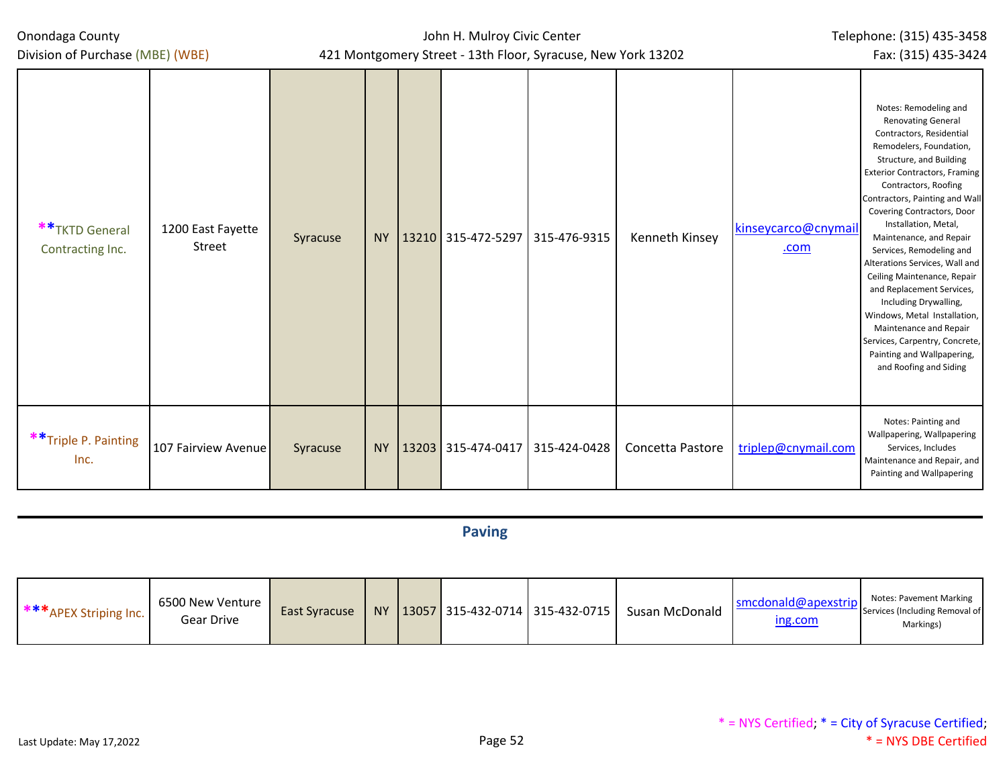John H. Mulroy Civic Center 421 Montgomery Street - 13th Floor, Syracuse, New York 13202

| Division of Purchase (MBE) (WBE)<br>421 Montgomery Street - 13th Floor, Syracuse, New York 13202 |  |                       |  |                    |              |                  |                             |                                                                                                                                                                                                                                                                                                                                                                                                                                                                                                                                                                                                                                |  |  |
|--------------------------------------------------------------------------------------------------|--|-----------------------|--|--------------------|--------------|------------------|-----------------------------|--------------------------------------------------------------------------------------------------------------------------------------------------------------------------------------------------------------------------------------------------------------------------------------------------------------------------------------------------------------------------------------------------------------------------------------------------------------------------------------------------------------------------------------------------------------------------------------------------------------------------------|--|--|
| ** TKTD General<br>1200 East Fayette<br>Street<br>Contracting Inc.                               |  | <b>NY</b><br>Syracuse |  | 13210 315-472-5297 | 315-476-9315 | Kenneth Kinsey   | kinseycarco@cnymail<br>.com | Notes: Remodeling and<br><b>Renovating General</b><br>Contractors, Residential<br>Remodelers, Foundation,<br>Structure, and Building<br><b>Exterior Contractors, Framing</b><br>Contractors, Roofing<br>Contractors, Painting and Wall<br>Covering Contractors, Door<br>Installation, Metal,<br>Maintenance, and Repair<br>Services, Remodeling and<br>Alterations Services, Wall and<br>Ceiling Maintenance, Repair<br>and Replacement Services,<br>Including Drywalling,<br>Windows, Metal Installation,<br>Maintenance and Repair<br>Services, Carpentry, Concrete,<br>Painting and Wallpapering,<br>and Roofing and Siding |  |  |
| **Triple P. Painting<br>107 Fairview Avenue<br>Inc.                                              |  | <b>NY</b><br>Syracuse |  | 13203 315-474-0417 | 315-424-0428 | Concetta Pastore | triplep@cnymail.com         | Notes: Painting and<br>Wallpapering, Wallpapering<br>Services, Includes<br>Maintenance and Repair, and<br>Painting and Wallpapering                                                                                                                                                                                                                                                                                                                                                                                                                                                                                            |  |  |

# **Paving**

| *** APEX Striping Inc. | 6500 New Venture<br>Gear Drive | East Syracuse |  |  |  | NY 13057 315-432-0714 315-432-0715 | Susan McDonald | smcdonald@apexstrip<br>ing.com | Notes: Pavement Marking<br>Services (Including Removal of<br>Markings) |
|------------------------|--------------------------------|---------------|--|--|--|------------------------------------|----------------|--------------------------------|------------------------------------------------------------------------|
|------------------------|--------------------------------|---------------|--|--|--|------------------------------------|----------------|--------------------------------|------------------------------------------------------------------------|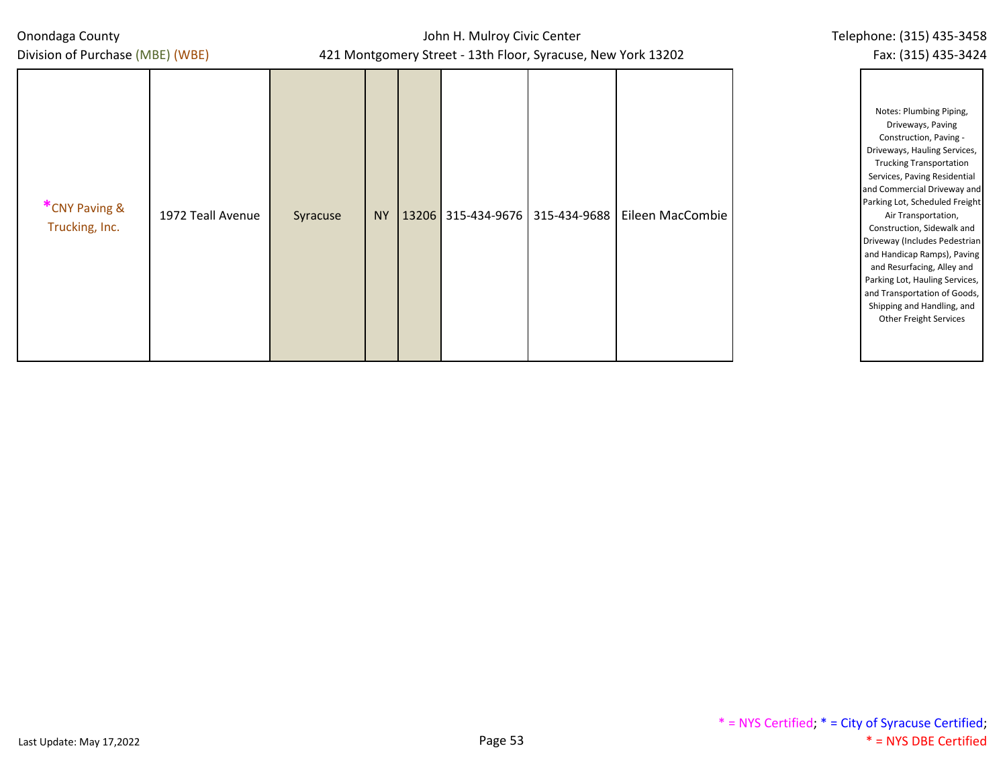Division of Purchase (MBE) (WBE)

| Telephone: (315) 435-3458 |  |
|---------------------------|--|
| Fax: (315) 435-3424       |  |

| *CNY Paving &<br>1972 Teall Avenue<br>Trucking, Inc. | Syracuse | <b>NY</b> |  |  | 13206 315-434-9676 315-434-9688 | Eileen MacCombie |  |
|------------------------------------------------------|----------|-----------|--|--|---------------------------------|------------------|--|
|------------------------------------------------------|----------|-----------|--|--|---------------------------------|------------------|--|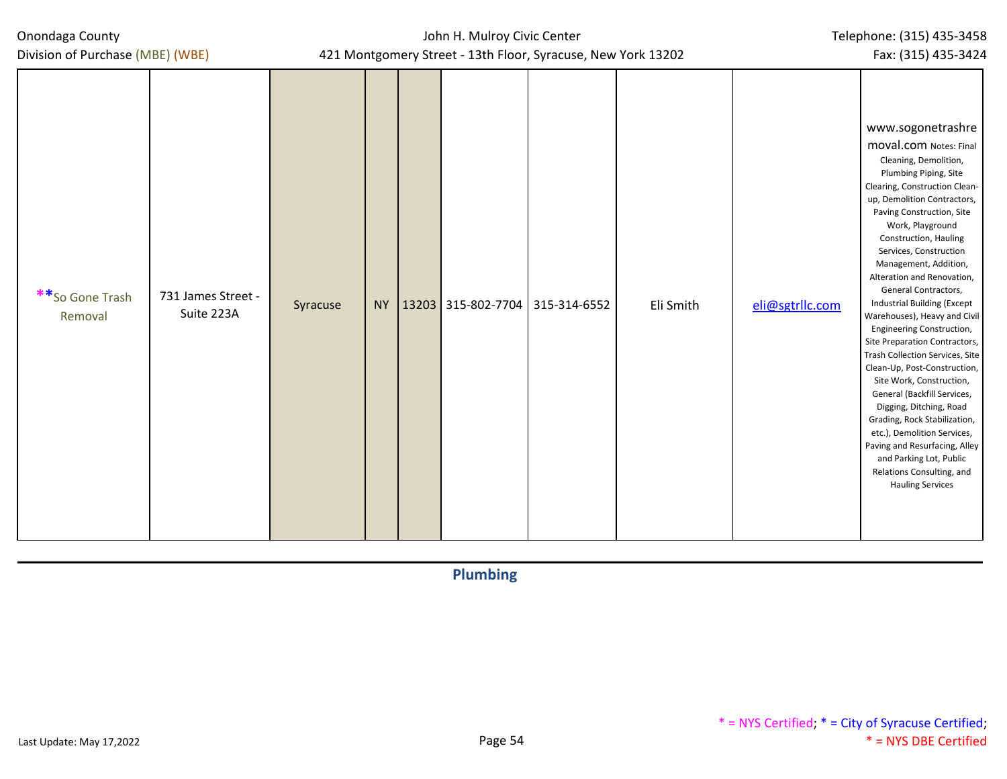| Onondaga County |  |
|-----------------|--|
|-----------------|--|

## John H. Mulroy Civic Center 421 Montgomery Street - 13th Floor, Syracuse, New York 13202

| **So Gone Trash<br>Removal | 731 James Street -<br>Suite 223A | Syracuse | <b>NY</b> |  | 13203 315-802-7704 315-314-6552 |  | Eli Smith | eli@sgtrllc.com | www.sogonetrashre<br><b>MOVAl.COM Notes: Final</b><br>Cleaning, Demolition,<br>Plumbing Piping, Site<br>Clearing, Construction Clean-<br>up, Demolition Contractors,<br>Paving Construction, Site<br>Work, Playground<br>Construction, Hauling<br>Services, Construction<br>Management, Addition,<br>Alteration and Renovation,<br>General Contractors,<br>Industrial Building (Except<br>Warehouses), Heavy and Civil<br>Engineering Construction,<br>Site Preparation Contractors,<br>Trash Collection Services, Site<br>Clean-Up, Post-Construction,<br>Site Work, Construction,<br>General (Backfill Services,<br>Digging, Ditching, Road<br>Grading, Rock Stabilization,<br>etc.), Demolition Services,<br>Paving and Resurfacing, Alley<br>and Parking Lot, Public<br>Relations Consulting, and<br><b>Hauling Services</b> |
|----------------------------|----------------------------------|----------|-----------|--|---------------------------------|--|-----------|-----------------|----------------------------------------------------------------------------------------------------------------------------------------------------------------------------------------------------------------------------------------------------------------------------------------------------------------------------------------------------------------------------------------------------------------------------------------------------------------------------------------------------------------------------------------------------------------------------------------------------------------------------------------------------------------------------------------------------------------------------------------------------------------------------------------------------------------------------------|
|----------------------------|----------------------------------|----------|-----------|--|---------------------------------|--|-----------|-----------------|----------------------------------------------------------------------------------------------------------------------------------------------------------------------------------------------------------------------------------------------------------------------------------------------------------------------------------------------------------------------------------------------------------------------------------------------------------------------------------------------------------------------------------------------------------------------------------------------------------------------------------------------------------------------------------------------------------------------------------------------------------------------------------------------------------------------------------|

**Plumbing**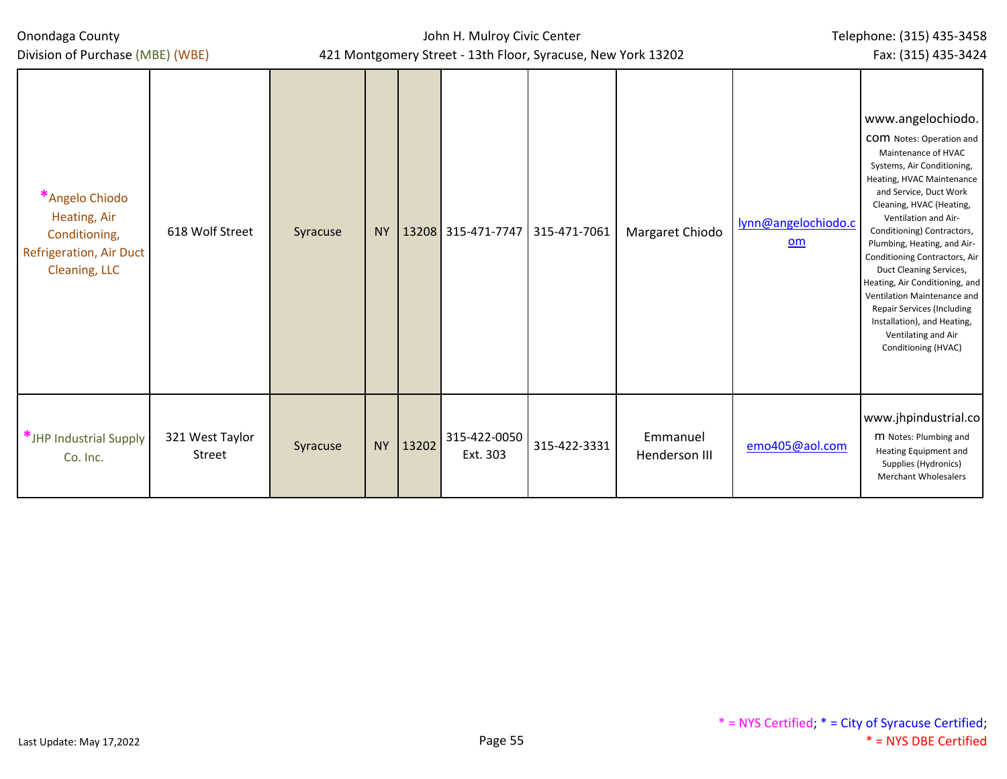Division of Purchase (MBE) (WBE)

John H. Mulroy Civic Center 421 Montgomery Street - 13th Floor, Syracuse, New York 13202

Fax: (315) 435-3424

| *Angelo Chiodo<br>Heating, Air<br>Conditioning,<br>Refrigeration, Air Duct<br>Cleaning, LLC | 618 Wolf Street           | Syracuse | <b>NY</b> |       | 13208 315-471-7747       | 315-471-7061 | Margaret Chiodo           | lynn@angelochiodo.c<br>$om$ | www.angelochiodo.<br><b>COM</b> Notes: Operation and<br>Maintenance of HVAC<br>Systems, Air Conditioning,<br>Heating, HVAC Maintenance<br>and Service, Duct Work<br>Cleaning, HVAC (Heating,<br>Ventilation and Air-<br>Conditioning) Contractors,<br>Plumbing, Heating, and Air-<br>Conditioning Contractors, Air<br>Duct Cleaning Services,<br>Heating, Air Conditioning, and<br>Ventilation Maintenance and<br>Repair Services (Including<br>Installation), and Heating,<br>Ventilating and Air<br>Conditioning (HVAC) |
|---------------------------------------------------------------------------------------------|---------------------------|----------|-----------|-------|--------------------------|--------------|---------------------------|-----------------------------|---------------------------------------------------------------------------------------------------------------------------------------------------------------------------------------------------------------------------------------------------------------------------------------------------------------------------------------------------------------------------------------------------------------------------------------------------------------------------------------------------------------------------|
| *JHP Industrial Supply<br>Co. Inc.                                                          | 321 West Taylor<br>Street | Syracuse | <b>NY</b> | 13202 | 315-422-0050<br>Ext. 303 | 315-422-3331 | Emmanuel<br>Henderson III | emo405@aol.com              | www.jhpindustrial.co<br>M Notes: Plumbing and<br><b>Heating Equipment and</b><br>Supplies (Hydronics)<br><b>Merchant Wholesalers</b>                                                                                                                                                                                                                                                                                                                                                                                      |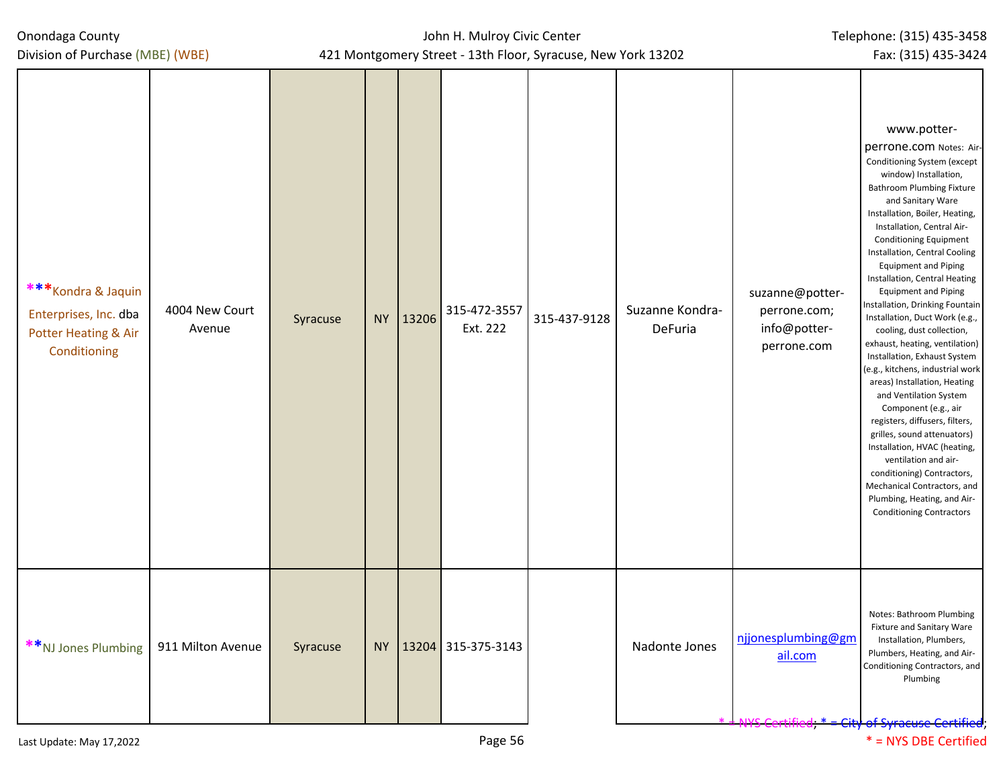Division of Purchase (MBE) (WBE)

| *** Kondra & Jaquin<br>Enterprises, Inc. dba<br>Potter Heating & Air<br>Conditioning | 4004 New Court<br>Avenue | Syracuse |           | NY 13206 | 315-472-3557<br>Ext. 222 | 315-437-9128 | Suzanne Kondra-<br>DeFuria | suzanne@potter-<br>perrone.com;<br>info@potter-<br>perrone.com | www.potter-<br>perrone.com Notes: Air-<br>Conditioning System (except<br>window) Installation,<br><b>Bathroom Plumbing Fixture</b><br>and Sanitary Ware<br>Installation, Boiler, Heating,<br>Installation, Central Air-<br><b>Conditioning Equipment</b><br>Installation, Central Cooling<br><b>Equipment and Piping</b><br>Installation, Central Heating<br><b>Equipment and Piping</b><br>Installation, Drinking Fountain<br>Installation, Duct Work (e.g.,<br>cooling, dust collection,<br>exhaust, heating, ventilation)<br>Installation, Exhaust System<br>(e.g., kitchens, industrial work<br>areas) Installation, Heating<br>and Ventilation System<br>Component (e.g., air<br>registers, diffusers, filters,<br>grilles, sound attenuators)<br>Installation, HVAC (heating,<br>ventilation and air-<br>conditioning) Contractors,<br>Mechanical Contractors, and<br>Plumbing, Heating, and Air-<br><b>Conditioning Contractors</b> |
|--------------------------------------------------------------------------------------|--------------------------|----------|-----------|----------|--------------------------|--------------|----------------------------|----------------------------------------------------------------|--------------------------------------------------------------------------------------------------------------------------------------------------------------------------------------------------------------------------------------------------------------------------------------------------------------------------------------------------------------------------------------------------------------------------------------------------------------------------------------------------------------------------------------------------------------------------------------------------------------------------------------------------------------------------------------------------------------------------------------------------------------------------------------------------------------------------------------------------------------------------------------------------------------------------------------------|
| **NJ Jones Plumbing                                                                  | 911 Milton Avenue        | Syracuse | <b>NY</b> |          | 13204 315-375-3143       |              | Nadonte Jones              | njjonesplumbing@gm<br>ail.com                                  | Notes: Bathroom Plumbing<br>Fixture and Sanitary Ware<br>Installation, Plumbers,<br>Plumbers, Heating, and Air-<br>Conditioning Contractors, and<br>Plumbing<br>of Suracuco Cortifio                                                                                                                                                                                                                                                                                                                                                                                                                                                                                                                                                                                                                                                                                                                                                       |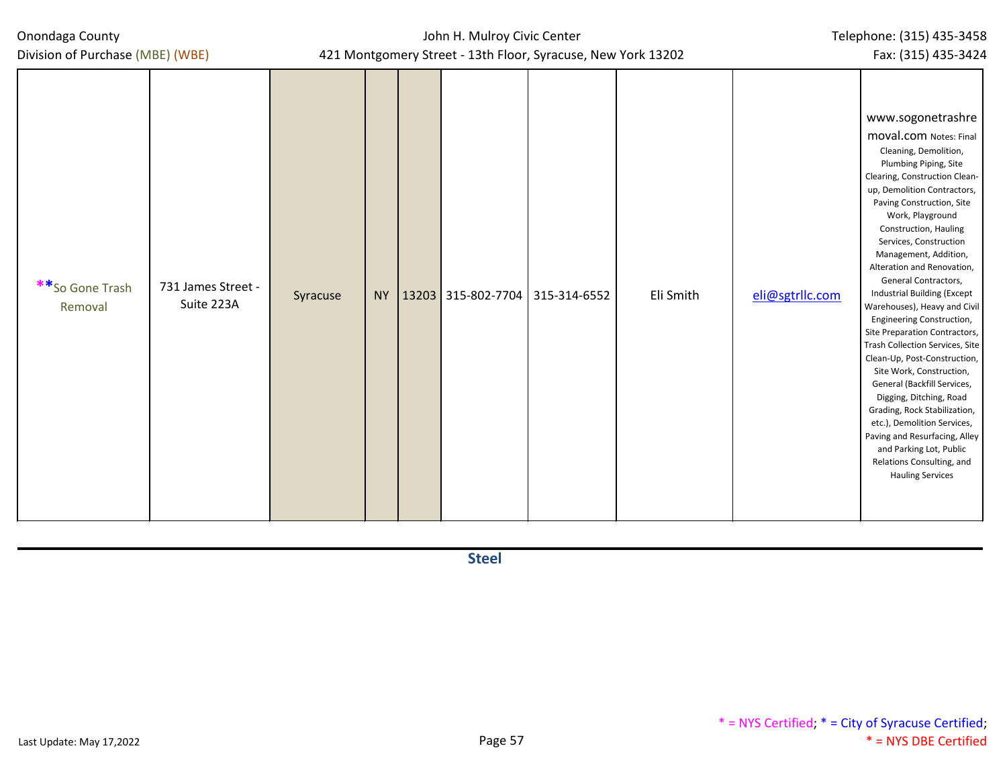| Onondaga County |  |
|-----------------|--|
|-----------------|--|

John H. Mulroy Civic Center 421 Montgomery Street - 13th Floor, Syracuse, New York 13202

| **So Gone Trash<br>Removal | 731 James Street -<br>Suite 223A | Syracuse | <b>NY</b> | $13203$ 315-802-7704 315-314-6552 | Eli Smith | eli@sgtrllc.com | www.sogonetrashre<br><b>moval.com</b> Notes: Final<br>Cleaning, Demolition,<br>Plumbing Piping, Site<br>Clearing, Construction Clean-<br>up, Demolition Contractors,<br>Paving Construction, Site<br>Work, Playground<br>Construction, Hauling<br>Services, Construction<br>Management, Addition,<br>Alteration and Renovation,<br>General Contractors,<br>Industrial Building (Except<br>Warehouses), Heavy and Civil<br>Engineering Construction,<br>Site Preparation Contractors,<br>Trash Collection Services, Site<br>Clean-Up, Post-Construction,<br>Site Work, Construction,<br>General (Backfill Services,<br>Digging, Ditching, Road<br>Grading, Rock Stabilization,<br>etc.), Demolition Services,<br>Paving and Resurfacing, Alley<br>and Parking Lot, Public<br>Relations Consulting, and<br><b>Hauling Services</b> |
|----------------------------|----------------------------------|----------|-----------|-----------------------------------|-----------|-----------------|----------------------------------------------------------------------------------------------------------------------------------------------------------------------------------------------------------------------------------------------------------------------------------------------------------------------------------------------------------------------------------------------------------------------------------------------------------------------------------------------------------------------------------------------------------------------------------------------------------------------------------------------------------------------------------------------------------------------------------------------------------------------------------------------------------------------------------|

**Steel**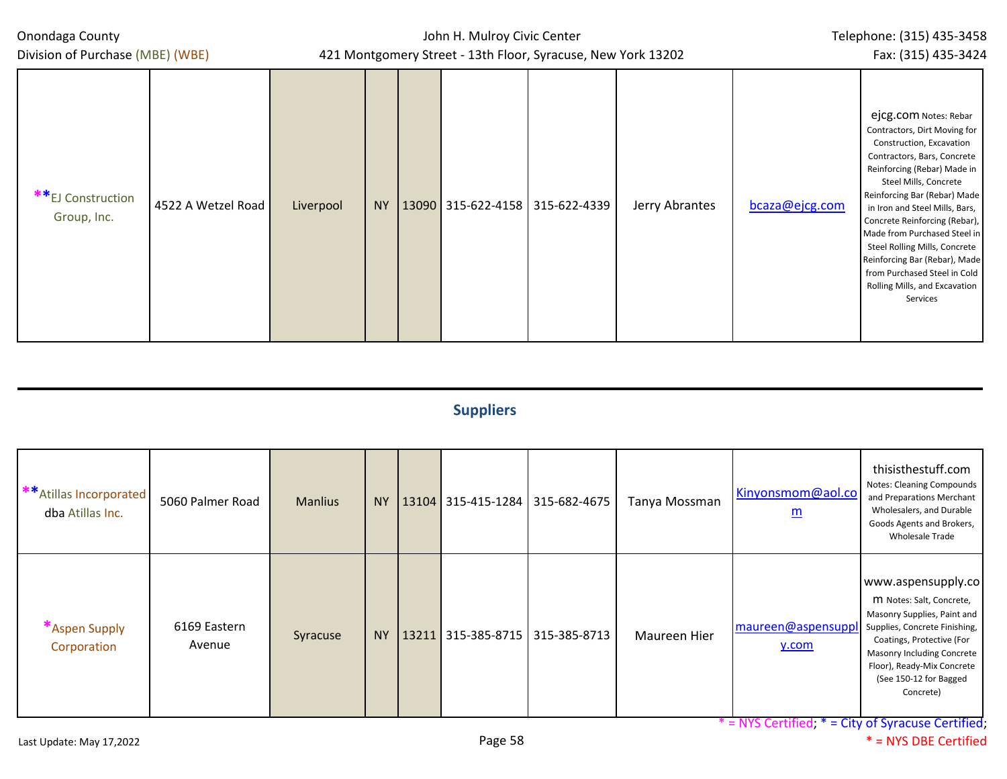John H. Mulroy Civic Center 421 Montgomery Street - 13th Floor, Syracuse, New York 13202

| Division of Purchase (MBE) (WBE) |                    | 421 Montgomery Street - 13th Floor, Syracuse, New York 13202 |     |  |                                   |  |                |                | Fax: (315) 435-3424                                                                                                                                                                                                                                                                                                                                                                                                                                        |
|----------------------------------|--------------------|--------------------------------------------------------------|-----|--|-----------------------------------|--|----------------|----------------|------------------------------------------------------------------------------------------------------------------------------------------------------------------------------------------------------------------------------------------------------------------------------------------------------------------------------------------------------------------------------------------------------------------------------------------------------------|
| **EJ Construction<br>Group, Inc. | 4522 A Wetzel Road | Liverpool                                                    | NY. |  | $13090$ 315-622-4158 315-622-4339 |  | Jerry Abrantes | bcaza@ejcg.com | ejcg.com Notes: Rebar<br>Contractors, Dirt Moving for<br>Construction, Excavation<br>Contractors, Bars, Concrete<br>Reinforcing (Rebar) Made in<br>Steel Mills, Concrete<br>Reinforcing Bar (Rebar) Made<br>in Iron and Steel Mills, Bars,<br>Concrete Reinforcing (Rebar),<br>Made from Purchased Steel in<br>Steel Rolling Mills, Concrete<br>Reinforcing Bar (Rebar), Made<br>from Purchased Steel in Cold<br>Rolling Mills, and Excavation<br>Services |

# **Suppliers**

| ** Atillas Incorporated I<br>dba Atillas Inc. | 5060 Palmer Road       | <b>Manlius</b> | <b>NY</b> |  | $13104$ 315-415-1284 315-682-4675 | Tanya Mossman | Kinyonsmom@aol.co<br>$\underline{\underline{m}}$ | thisisthestuff.com<br>Notes: Cleaning Compounds<br>and Preparations Merchant<br>Wholesalers, and Durable<br>Goods Agents and Brokers,<br><b>Wholesale Trade</b>                                                                                |
|-----------------------------------------------|------------------------|----------------|-----------|--|-----------------------------------|---------------|--------------------------------------------------|------------------------------------------------------------------------------------------------------------------------------------------------------------------------------------------------------------------------------------------------|
| *Aspen Supply<br>Corporation                  | 6169 Eastern<br>Avenue | Syracuse       | <b>NY</b> |  | $13211$ 315-385-8715 315-385-8713 | Maureen Hier  | maureen@aspensupp<br>y.com                       | www.aspensupply.co<br>M Notes: Salt, Concrete,<br>Masonry Supplies, Paint and<br>Supplies, Concrete Finishing,<br>Coatings, Protective (For<br>Masonry Including Concrete<br>Floor), Ready-Mix Concrete<br>(See 150-12 for Bagged<br>Concrete) |

\* = NYS Certified; \* = City of Syracuse Certified;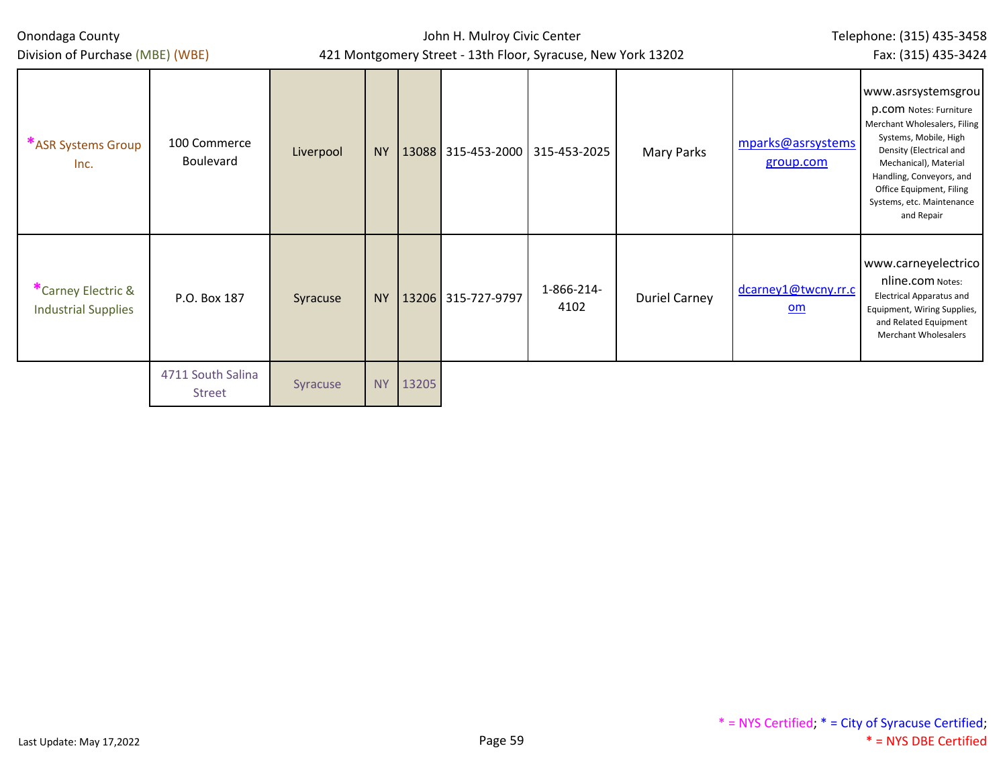| Onondaga County<br>Division of Purchase (MBE) (WBE) |                                    |           |           | John H. Mulroy Civic Center<br>421 Montgomery Street - 13th Floor, Syracuse, New York 13202 | Telephone: (315) 435-3458<br>Fax: (315) 435-3424 |                                 |                      |                                |                                                                                                                                                                                                                                                                     |
|-----------------------------------------------------|------------------------------------|-----------|-----------|---------------------------------------------------------------------------------------------|--------------------------------------------------|---------------------------------|----------------------|--------------------------------|---------------------------------------------------------------------------------------------------------------------------------------------------------------------------------------------------------------------------------------------------------------------|
| *ASR Systems Group<br>Inc.                          | 100 Commerce<br><b>Boulevard</b>   | Liverpool | NY        |                                                                                             |                                                  | 13088 315-453-2000 315-453-2025 | Mary Parks           | mparks@asrsystems<br>group.com | www.asrsystemsgrou<br><b>p.com</b> Notes: Furniture<br>Merchant Wholesalers, Filing<br>Systems, Mobile, High<br>Density (Electrical and<br>Mechanical), Material<br>Handling, Conveyors, and<br>Office Equipment, Filing<br>Systems, etc. Maintenance<br>and Repair |
| *Carney Electric &<br><b>Industrial Supplies</b>    | P.O. Box 187                       | Syracuse  | <b>NY</b> |                                                                                             | 13206 315-727-9797                               | 1-866-214-<br>4102              | <b>Duriel Carney</b> | dcarney1@twcny.rr.c<br>om      | www.carneyelectrico<br>nline.com Notes:<br><b>Electrical Apparatus and</b><br>Equipment, Wiring Supplies,<br>and Related Equipment<br><b>Merchant Wholesalers</b>                                                                                                   |
|                                                     | 4711 South Salina<br><b>Street</b> | Syracuse  | NY        | 13205                                                                                       |                                                  |                                 |                      |                                |                                                                                                                                                                                                                                                                     |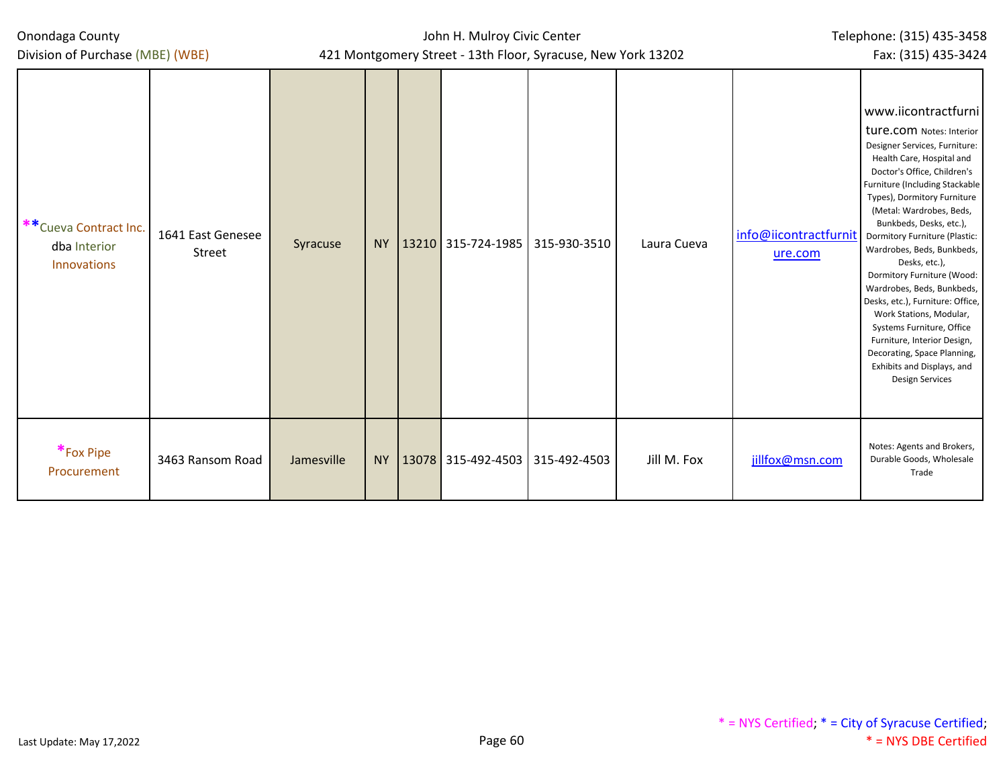Division of Purchase (MBE) (WBE)

| ** Cueva Contract Inc.<br>dba Interior<br>Innovations | 1641 East Genesee<br>Street | Syracuse   |  | NY   13210 315-724-1985 | 315-930-3510                           | Laura Cueva | info@iicontractfurnit<br>ure.com | www.iicontractfurni<br>ture.com Notes: Interior<br>Designer Services, Furniture:<br>Health Care, Hospital and<br>Doctor's Office, Children's<br>Furniture (Including Stackable<br>Types), Dormitory Furniture<br>(Metal: Wardrobes, Beds,<br>Bunkbeds, Desks, etc.),<br>Dormitory Furniture (Plastic:<br>Wardrobes, Beds, Bunkbeds,<br>Desks, etc.),<br>Dormitory Furniture (Wood:<br>Wardrobes, Beds, Bunkbeds,<br>Desks, etc.), Furniture: Office,<br>Work Stations, Modular,<br>Systems Furniture, Office<br>Furniture, Interior Design,<br>Decorating, Space Planning,<br>Exhibits and Displays, and<br><b>Design Services</b> |
|-------------------------------------------------------|-----------------------------|------------|--|-------------------------|----------------------------------------|-------------|----------------------------------|------------------------------------------------------------------------------------------------------------------------------------------------------------------------------------------------------------------------------------------------------------------------------------------------------------------------------------------------------------------------------------------------------------------------------------------------------------------------------------------------------------------------------------------------------------------------------------------------------------------------------------|
| *Fox Pipe<br>Procurement                              | 3463 Ransom Road            | Jamesville |  |                         | NY   13078 315-492-4503   315-492-4503 | Jill M. Fox | jillfox@msn.com                  | Notes: Agents and Brokers,<br>Durable Goods, Wholesale<br>Trade                                                                                                                                                                                                                                                                                                                                                                                                                                                                                                                                                                    |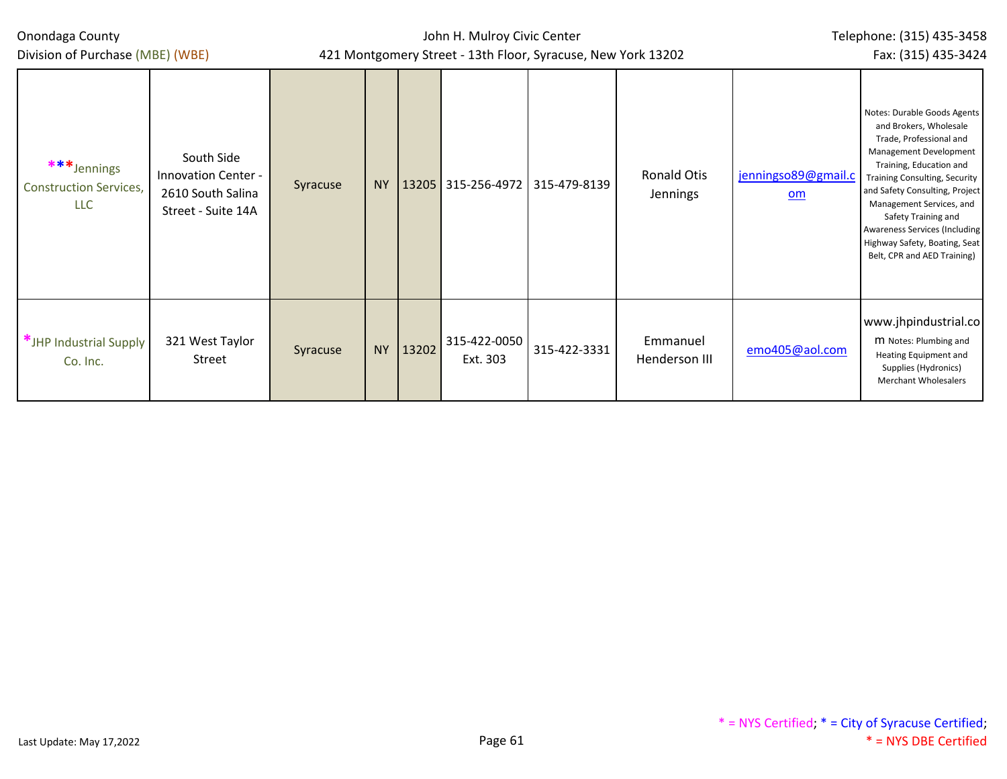| Onondaga County<br>Division of Purchase (MBE) (WBE)        |                                                                              |          |           |       | John H. Mulroy Civic Center<br>421 Montgomery Street - 13th Floor, Syracuse, New York 13202 | Telephone: (315) 435-3458<br>Fax: (315) 435-3424 |                           |                                                  |                                                                                                                                                                                                                                                                                                                                                                     |
|------------------------------------------------------------|------------------------------------------------------------------------------|----------|-----------|-------|---------------------------------------------------------------------------------------------|--------------------------------------------------|---------------------------|--------------------------------------------------|---------------------------------------------------------------------------------------------------------------------------------------------------------------------------------------------------------------------------------------------------------------------------------------------------------------------------------------------------------------------|
| ***Jennings<br><b>Construction Services,</b><br><b>LLC</b> | South Side<br>Innovation Center -<br>2610 South Salina<br>Street - Suite 14A | Syracuse | <b>NY</b> |       | 13205 315-256-4972 315-479-8139                                                             |                                                  | Ronald Otis<br>Jennings   | jenningso89@gmail.c<br>$\underline{\mathsf{om}}$ | Notes: Durable Goods Agents<br>and Brokers, Wholesale<br>Trade, Professional and<br>Management Development<br>Training, Education and<br><b>Training Consulting, Security</b><br>and Safety Consulting, Project<br>Management Services, and<br>Safety Training and<br>Awareness Services (Including<br>Highway Safety, Boating, Seat<br>Belt, CPR and AED Training) |
| *JHP Industrial Supply<br>Co. Inc.                         | 321 West Taylor<br>Street                                                    | Syracuse | <b>NY</b> | 13202 | 315-422-0050<br>Ext. 303                                                                    | 315-422-3331                                     | Emmanuel<br>Henderson III | emo405@aol.com                                   | www.jhpindustrial.co<br>M Notes: Plumbing and<br>Heating Equipment and<br>Supplies (Hydronics)<br><b>Merchant Wholesalers</b>                                                                                                                                                                                                                                       |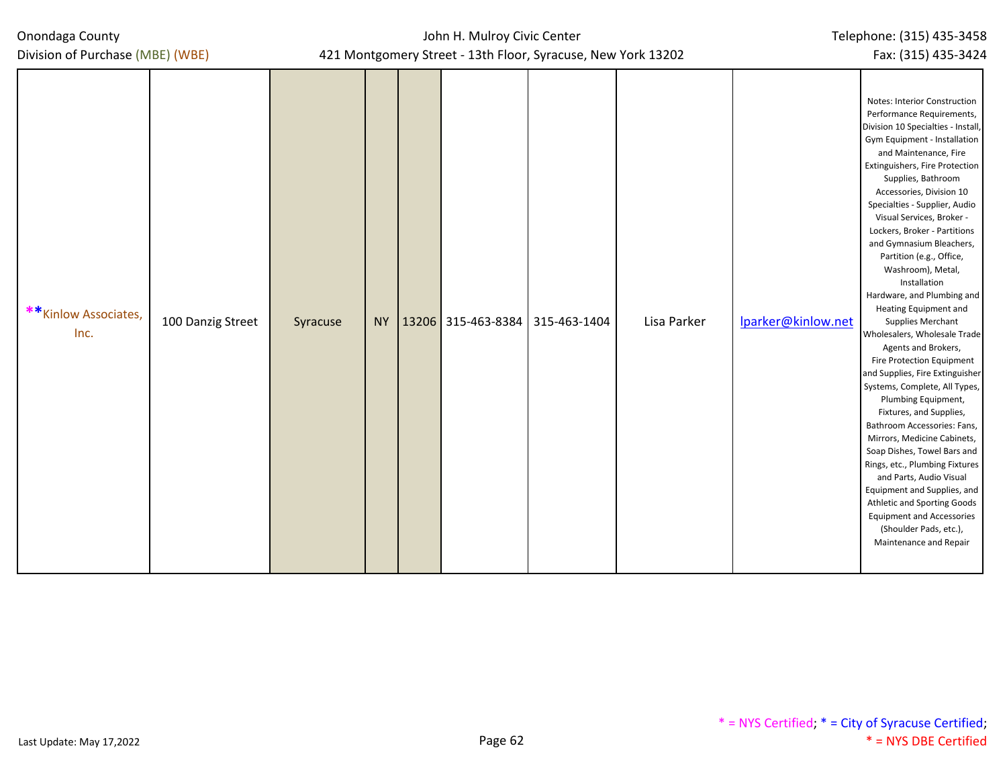| ** Kinlow Associates,<br>Inc. | 100 Danzig Street | Syracuse |  | NY   13206 315-463-8384   315-463-1404 | Lisa Parker | Iparker@kinlow.net | Notes: Interior Construction<br>Performance Requirements,<br>Division 10 Specialties - Install,<br>Gym Equipment - Installation<br>and Maintenance, Fire<br>Extinguishers, Fire Protection<br>Supplies, Bathroom<br>Accessories, Division 10<br>Specialties - Supplier, Audio<br>Visual Services, Broker -<br>Lockers, Broker - Partitions<br>and Gymnasium Bleachers,<br>Partition (e.g., Office,<br>Washroom), Metal,<br>Installation<br>Hardware, and Plumbing and<br>Heating Equipment and<br><b>Supplies Merchant</b><br>Wholesalers, Wholesale Trade<br>Agents and Brokers,<br>Fire Protection Equipment<br>and Supplies, Fire Extinguisher<br>Systems, Complete, All Types,<br>Plumbing Equipment,<br>Fixtures, and Supplies,<br>Bathroom Accessories: Fans,<br>Mirrors, Medicine Cabinets,<br>Soap Dishes, Towel Bars and<br>Rings, etc., Plumbing Fixtures<br>and Parts, Audio Visual<br>Equipment and Supplies, and<br>Athletic and Sporting Goods<br><b>Equipment and Accessories</b><br>(Shoulder Pads, etc.),<br>Maintenance and Repair |
|-------------------------------|-------------------|----------|--|----------------------------------------|-------------|--------------------|------------------------------------------------------------------------------------------------------------------------------------------------------------------------------------------------------------------------------------------------------------------------------------------------------------------------------------------------------------------------------------------------------------------------------------------------------------------------------------------------------------------------------------------------------------------------------------------------------------------------------------------------------------------------------------------------------------------------------------------------------------------------------------------------------------------------------------------------------------------------------------------------------------------------------------------------------------------------------------------------------------------------------------------------------|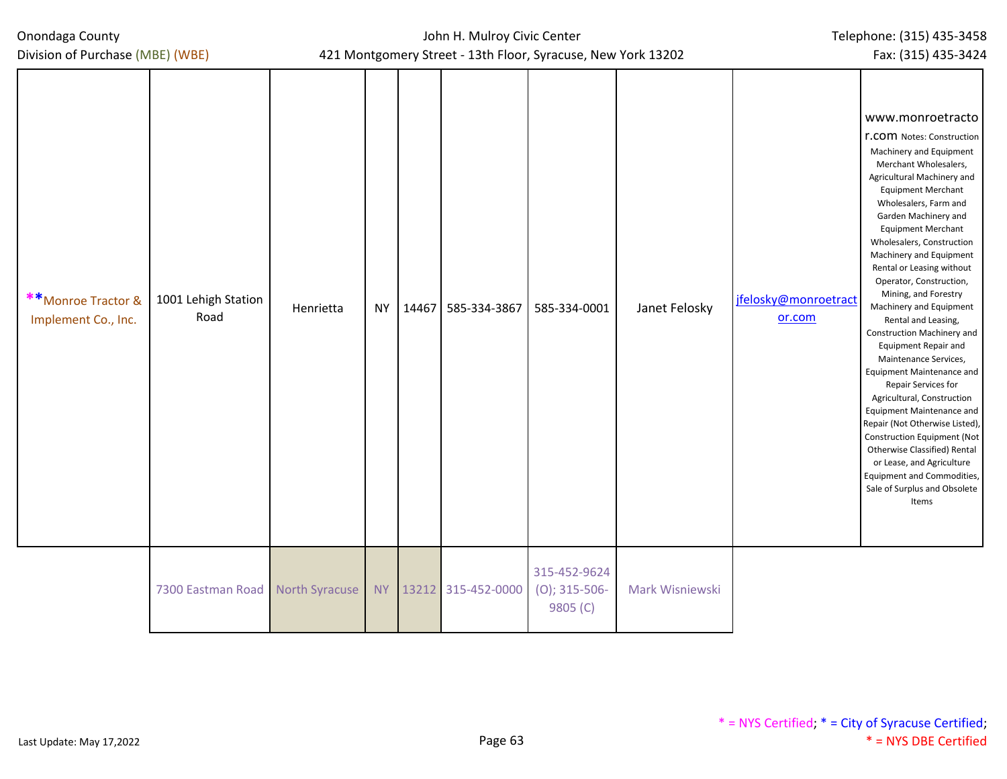| Onondaga County |  |
|-----------------|--|
|-----------------|--|

| **Monroe Tractor &<br>Implement Co., Inc. | 1001 Lehigh Station<br>Road      | Henrietta | <b>NY</b> | 14467 | 585-334-3867       | $\sim$ $\sim$ $\sim$ $\sim$<br>585-334-0001  | Janet Felosky   | jfelosky@monroetract<br>or.com | www.monroetracto<br><b>r.COM</b> Notes: Construction<br>Machinery and Equipment<br>Merchant Wholesalers,<br>Agricultural Machinery and<br><b>Equipment Merchant</b><br>Wholesalers, Farm and<br>Garden Machinery and<br><b>Equipment Merchant</b><br>Wholesalers, Construction<br>Machinery and Equipment<br>Rental or Leasing without<br>Operator, Construction,<br>Mining, and Forestry<br>Machinery and Equipment<br>Rental and Leasing,<br>Construction Machinery and<br><b>Equipment Repair and</b><br>Maintenance Services,<br>Equipment Maintenance and<br>Repair Services for<br>Agricultural, Construction<br>Equipment Maintenance and<br>Repair (Not Otherwise Listed),<br><b>Construction Equipment (Not</b><br>Otherwise Classified) Rental<br>or Lease, and Agriculture<br>Equipment and Commodities,<br>Sale of Surplus and Obsolete<br>Items |
|-------------------------------------------|----------------------------------|-----------|-----------|-------|--------------------|----------------------------------------------|-----------------|--------------------------------|--------------------------------------------------------------------------------------------------------------------------------------------------------------------------------------------------------------------------------------------------------------------------------------------------------------------------------------------------------------------------------------------------------------------------------------------------------------------------------------------------------------------------------------------------------------------------------------------------------------------------------------------------------------------------------------------------------------------------------------------------------------------------------------------------------------------------------------------------------------|
|                                           | 7300 Eastman Road North Syracuse |           | <b>NY</b> |       | 13212 315-452-0000 | 315-452-9624<br>$(O)$ ; 315-506-<br>9805 (C) | Mark Wisniewski |                                |                                                                                                                                                                                                                                                                                                                                                                                                                                                                                                                                                                                                                                                                                                                                                                                                                                                              |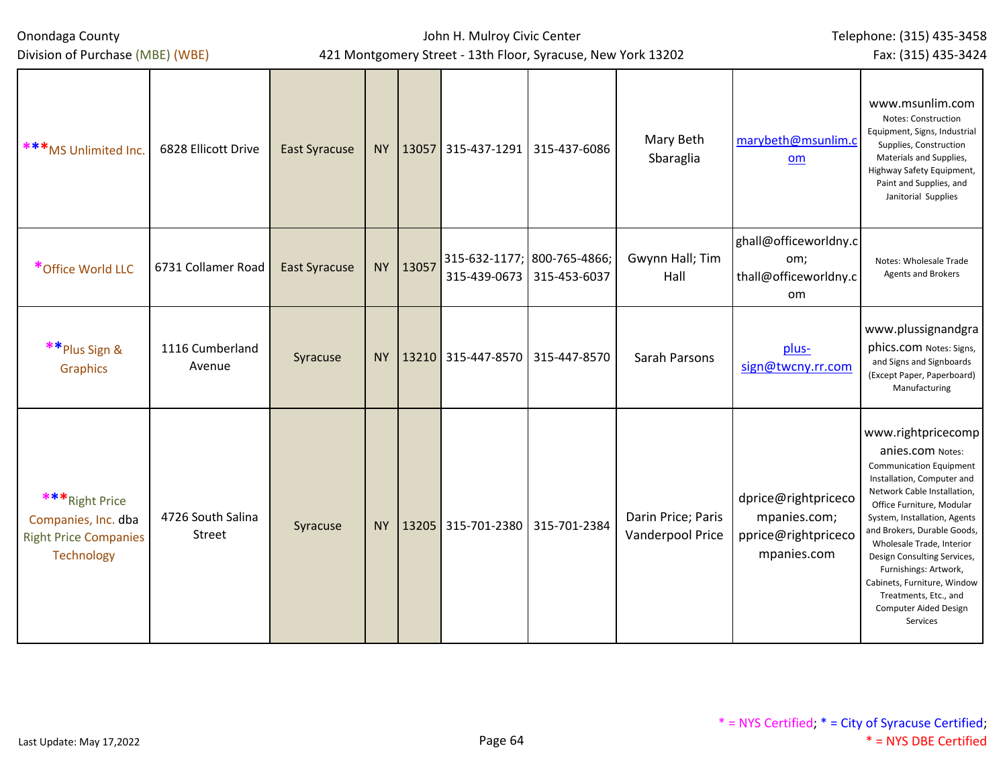Onondaga County Division of Purchase (MBE) (WBE)

## John H. Mulroy Civic Center 421 Montgomery Street - 13th Floor, Syracuse, New York 13202

Telephone: (315) 435-3458

Fax: (315) 435-3424

| ***MS Unlimited Inc.                                                                | 6828 Ellicott Drive         | <b>East Syracuse</b> | <b>NY</b> | 13057 | 315-437-1291 315-437-6086                   |              | Mary Beth<br>Sbaraglia                 | marybeth@msunlim.c<br><b>om</b>                                           | www.msunlim.com<br>Notes: Construction<br>Equipment, Signs, Industrial<br>Supplies, Construction<br>Materials and Supplies,<br>Highway Safety Equipment,<br>Paint and Supplies, and<br>Janitorial Supplies                                                                                                                                                                                                                 |
|-------------------------------------------------------------------------------------|-----------------------------|----------------------|-----------|-------|---------------------------------------------|--------------|----------------------------------------|---------------------------------------------------------------------------|----------------------------------------------------------------------------------------------------------------------------------------------------------------------------------------------------------------------------------------------------------------------------------------------------------------------------------------------------------------------------------------------------------------------------|
| *Office World LLC                                                                   | 6731 Collamer Road          | <b>East Syracuse</b> | <b>NY</b> | 13057 | 315-632-1177; 800-765-4866;<br>315-439-0673 | 315-453-6037 | Gwynn Hall; Tim<br>Hall                | ghall@officeworldny.c<br>om;<br>thall@officeworldny.c<br><b>om</b>        | Notes: Wholesale Trade<br><b>Agents and Brokers</b>                                                                                                                                                                                                                                                                                                                                                                        |
| ** Plus Sign &<br>Graphics                                                          | 1116 Cumberland<br>Avenue   | Syracuse             | NY        |       | 13210 315-447-8570 315-447-8570             |              | Sarah Parsons                          | plus-<br>sign@twcny.rr.com                                                | www.plussignandgra<br>phics.com Notes: Signs,<br>and Signs and Signboards<br>(Except Paper, Paperboard)<br>Manufacturing                                                                                                                                                                                                                                                                                                   |
| ***Right Price<br>Companies, Inc. dba<br><b>Right Price Companies</b><br>Technology | 4726 South Salina<br>Street | Syracuse             | <b>NY</b> | 13205 | 315-701-2380 315-701-2384                   |              | Darin Price; Paris<br>Vanderpool Price | dprice@rightpriceco<br>mpanies.com;<br>pprice@rightpriceco<br>mpanies.com | www.rightpricecomp<br>anies.com Notes:<br><b>Communication Equipment</b><br>Installation, Computer and<br>Network Cable Installation,<br>Office Furniture, Modular<br>System, Installation, Agents<br>and Brokers, Durable Goods,<br>Wholesale Trade, Interior<br>Design Consulting Services,<br>Furnishings: Artwork,<br>Cabinets, Furniture, Window<br>Treatments, Etc., and<br><b>Computer Aided Design</b><br>Services |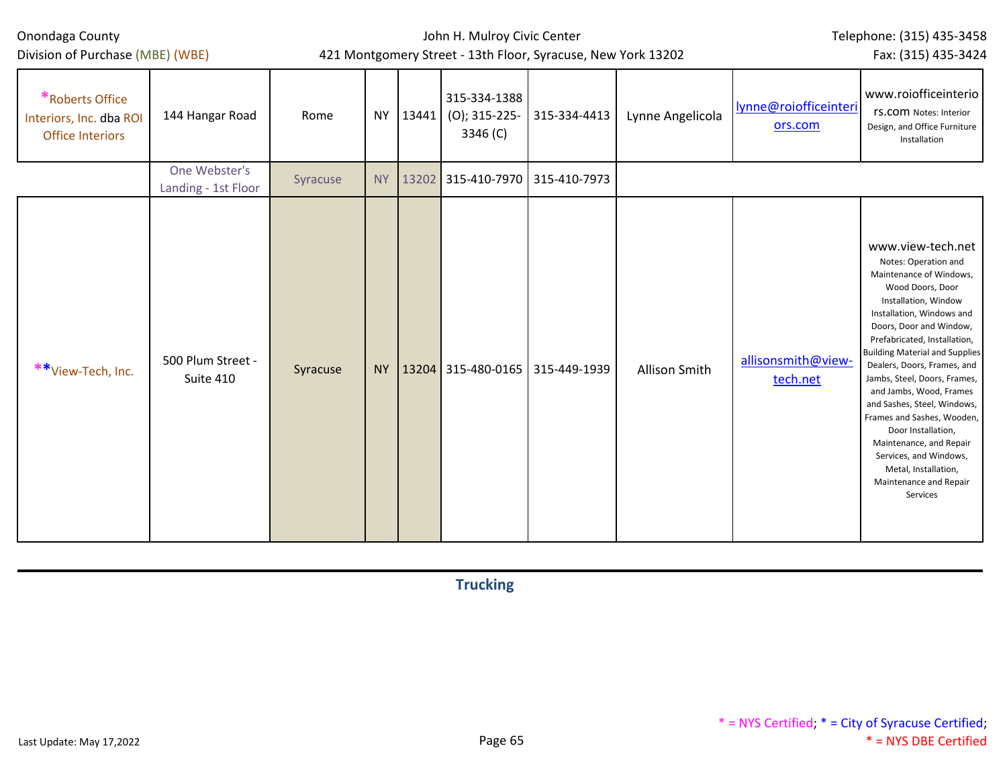| Onondaga County |
|-----------------|
|-----------------|

## John H. Mulroy Civic Center 421 Montgomery Street - 13th Floor, Syracuse, New York 13202

Telephone: (315) 435-3458

Fax: (315) 435-3424

| *Roberts Office<br>Interiors, Inc. dba ROI<br><b>Office Interiors</b> | 144 Hangar Road                      | Rome     |           | NY 13441 | 315-334-1388<br>$(0)$ ; 315-225-<br>3346 (C) | 315-334-4413 | Lynne Angelicola | lynne@roiofficeinteri<br>ors.com | www.roiofficeinterio<br><b>rS.COM Notes: Interior</b><br>Design, and Office Furniture<br>Installation                                                                                                                                                                                                                                                                                                                                                                                                                                             |
|-----------------------------------------------------------------------|--------------------------------------|----------|-----------|----------|----------------------------------------------|--------------|------------------|----------------------------------|---------------------------------------------------------------------------------------------------------------------------------------------------------------------------------------------------------------------------------------------------------------------------------------------------------------------------------------------------------------------------------------------------------------------------------------------------------------------------------------------------------------------------------------------------|
|                                                                       | One Webster's<br>Landing - 1st Floor | Syracuse | <b>NY</b> |          | 13202 315-410-7970 315-410-7973              |              |                  |                                  |                                                                                                                                                                                                                                                                                                                                                                                                                                                                                                                                                   |
| **View-Tech, Inc.                                                     | 500 Plum Street -<br>Suite 410       | Syracuse | <b>NY</b> |          | 13204 315-480-0165 315-449-1939              |              | Allison Smith    | allisonsmith@view-<br>tech.net   | www.view-tech.net<br>Notes: Operation and<br>Maintenance of Windows,<br>Wood Doors, Door<br>Installation, Window<br>Installation, Windows and<br>Doors, Door and Window,<br>Prefabricated, Installation,<br><b>Building Material and Supplies</b><br>Dealers, Doors, Frames, and<br>Jambs, Steel, Doors, Frames,<br>and Jambs, Wood, Frames<br>and Sashes, Steel, Windows,<br>Frames and Sashes, Wooden,<br>Door Installation,<br>Maintenance, and Repair<br>Services, and Windows,<br>Metal, Installation,<br>Maintenance and Repair<br>Services |

**Trucking**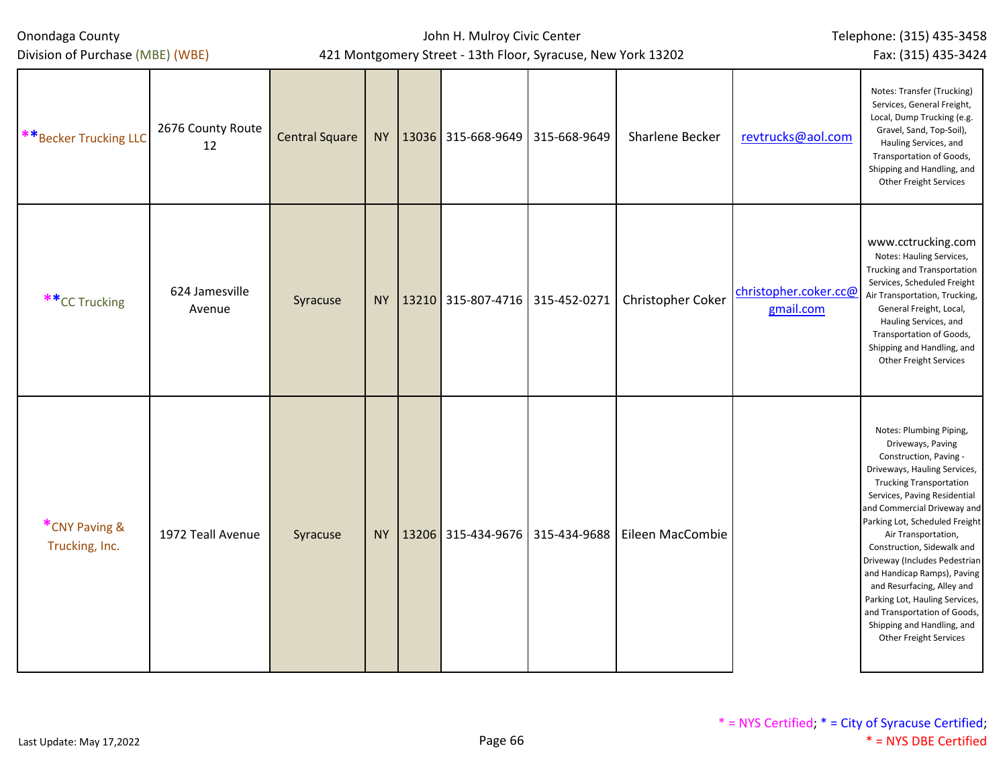| Division of Purchase (MBE) (WBE) |                          | Fax: (315) 435-3424   |  |                                          |              |                   |                                    |                                                                                                                                                                                                                                                                                                                                                                                                                                                                                                                               |
|----------------------------------|--------------------------|-----------------------|--|------------------------------------------|--------------|-------------------|------------------------------------|-------------------------------------------------------------------------------------------------------------------------------------------------------------------------------------------------------------------------------------------------------------------------------------------------------------------------------------------------------------------------------------------------------------------------------------------------------------------------------------------------------------------------------|
| **Becker Trucking LLC            | 2676 County Route<br>12  | <b>Central Square</b> |  | NY   13036 315-668-9649                  | 315-668-9649 | Sharlene Becker   | revtrucks@aol.com                  | Notes: Transfer (Trucking)<br>Services, General Freight,<br>Local, Dump Trucking (e.g.<br>Gravel, Sand, Top-Soil),<br>Hauling Services, and<br>Transportation of Goods,<br>Shipping and Handling, and<br>Other Freight Services                                                                                                                                                                                                                                                                                               |
| **CC Trucking                    | 624 Jamesville<br>Avenue | Syracuse              |  | NY   13210   315-807-4716   315-452-0271 |              | Christopher Coker | christopher.coker.cc@<br>gmail.com | www.cctrucking.com<br>Notes: Hauling Services,<br>Trucking and Transportation<br>Services, Scheduled Freight<br>Air Transportation, Trucking,<br>General Freight, Local,<br>Hauling Services, and<br>Transportation of Goods,<br>Shipping and Handling, and<br>Other Freight Services                                                                                                                                                                                                                                         |
| *CNY Paving &<br>Trucking, Inc.  | 1972 Teall Avenue        | Syracuse              |  | NY   13206 315-434-9676 315-434-9688     |              | Eileen MacCombie  |                                    | Notes: Plumbing Piping,<br>Driveways, Paving<br>Construction, Paving -<br>Driveways, Hauling Services,<br><b>Trucking Transportation</b><br>Services, Paving Residential<br>and Commercial Driveway and<br>Parking Lot, Scheduled Freight<br>Air Transportation,<br>Construction, Sidewalk and<br>Driveway (Includes Pedestrian<br>and Handicap Ramps), Paving<br>and Resurfacing, Alley and<br>Parking Lot, Hauling Services,<br>and Transportation of Goods,<br>Shipping and Handling, and<br><b>Other Freight Services</b> |

John H. Mulroy Civic Center

Telephone: (315) 435-3458

Onondaga County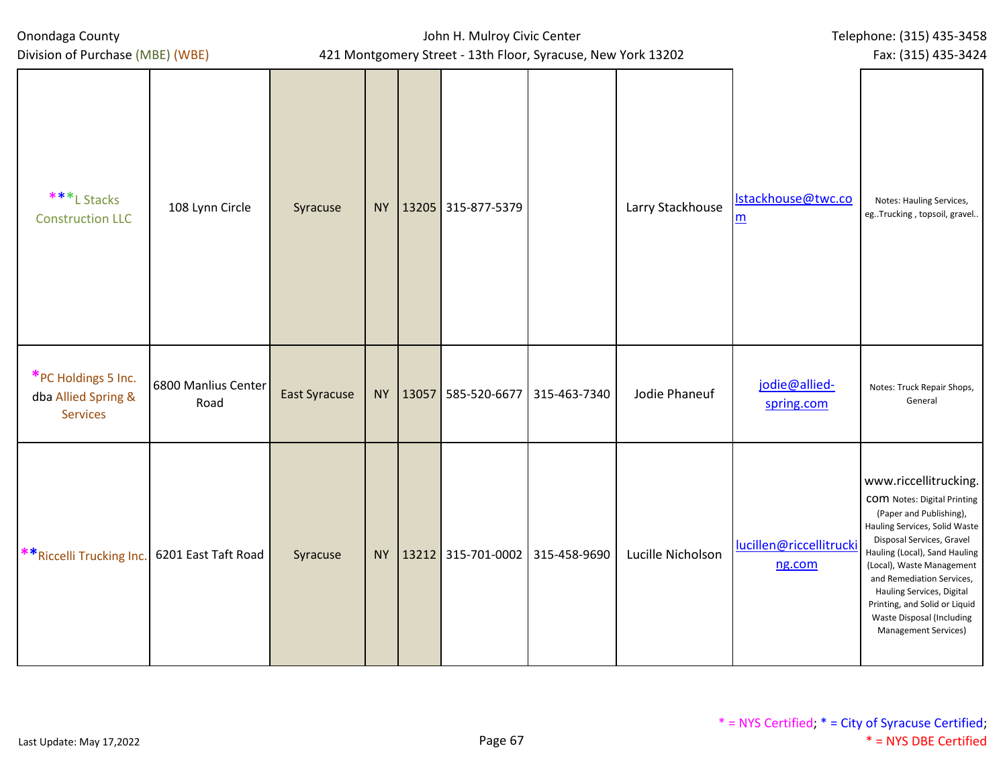| Onondaga County<br>Division of Purchase (MBE) (WBE)           | 421 Montgomery Street - 13th Floor, Syracuse, New York 13202 | John H. Mulroy Civic Center | Telephone: (315) 435-3458<br>Fax: (315) 435-3424 |                                          |              |                   |                                   |                                                                                                                                                                                                                                                                                                                                                                           |
|---------------------------------------------------------------|--------------------------------------------------------------|-----------------------------|--------------------------------------------------|------------------------------------------|--------------|-------------------|-----------------------------------|---------------------------------------------------------------------------------------------------------------------------------------------------------------------------------------------------------------------------------------------------------------------------------------------------------------------------------------------------------------------------|
| ***L Stacks<br><b>Construction LLC</b>                        | 108 Lynn Circle                                              | Syracuse                    |                                                  | NY 13205 315-877-5379                    |              | Larry Stackhouse  | Istackhouse@twc.co<br>m           | Notes: Hauling Services,<br>egTrucking, topsoil, gravel                                                                                                                                                                                                                                                                                                                   |
| *PC Holdings 5 Inc.<br>dba Allied Spring &<br><b>Services</b> | 6800 Manlius Center<br>Road                                  | <b>East Syracuse</b>        |                                                  | NY   13057 585-520-6677                  | 315-463-7340 | Jodie Phaneuf     | jodie@allied-<br>spring.com       | Notes: Truck Repair Shops,<br>General                                                                                                                                                                                                                                                                                                                                     |
| **Riccelli Trucking Inc.                                      | 6201 East Taft Road                                          | Syracuse                    |                                                  | NY   13212   315-701-0002   315-458-9690 |              | Lucille Nicholson | lucillen@riccellitrucki<br>ng.com | www.riccellitrucking.<br><b>COM</b> Notes: Digital Printing<br>(Paper and Publishing),<br>Hauling Services, Solid Waste<br>Disposal Services, Gravel<br>Hauling (Local), Sand Hauling<br>(Local), Waste Management<br>and Remediation Services,<br>Hauling Services, Digital<br>Printing, and Solid or Liquid<br>Waste Disposal (Including<br><b>Management Services)</b> |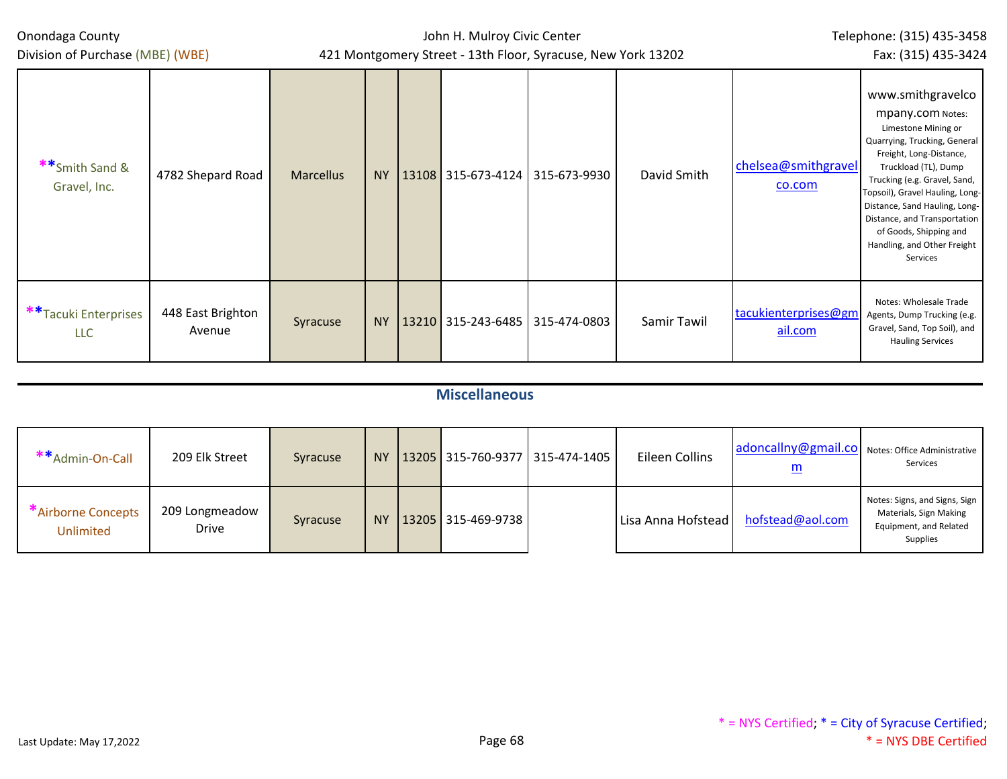| Onondaga County<br>Division of Purchase (MBE) (WBE) |                             |                  | John H. Mulroy Civic Center<br>421 Montgomery Street - 13th Floor, Syracuse, New York 13202 | Telephone: (315) 435-3458<br>Fax: (315) 435-3424 |              |             |                                 |                                                                                                                                                                                                                                                                                                                                                          |
|-----------------------------------------------------|-----------------------------|------------------|---------------------------------------------------------------------------------------------|--------------------------------------------------|--------------|-------------|---------------------------------|----------------------------------------------------------------------------------------------------------------------------------------------------------------------------------------------------------------------------------------------------------------------------------------------------------------------------------------------------------|
| **Smith Sand &<br>Gravel, Inc.                      | 4782 Shepard Road           | <b>Marcellus</b> | <b>NY</b>                                                                                   | 13108 315-673-4124                               | 315-673-9930 | David Smith | chelsea@smithgravel<br>co.com   | www.smithgravelco<br>mpany.com Notes:<br>Limestone Mining or<br>Quarrying, Trucking, General<br>Freight, Long-Distance,<br>Truckload (TL), Dump<br>Trucking (e.g. Gravel, Sand,<br>Topsoil), Gravel Hauling, Long-<br>Distance, Sand Hauling, Long-<br>Distance, and Transportation<br>of Goods, Shipping and<br>Handling, and Other Freight<br>Services |
| **Tacuki Enterprises<br><b>LLC</b>                  | 448 East Brighton<br>Avenue | Syracuse         | <b>NY</b>                                                                                   | 13210 315-243-6485 315-474-0803                  |              | Samir Tawil | tacukienterprises@gm<br>ail.com | Notes: Wholesale Trade<br>Agents, Dump Trucking (e.g.<br>Gravel, Sand, Top Soil), and<br><b>Hauling Services</b>                                                                                                                                                                                                                                         |

# **Miscellaneous**

| **Admin-On-Call                 | 209 Elk Street                 | Syracuse | NY <sub></sub> |                    | 13205   315-760-9377   315-474-1405 | Eileen Collins     | adoncallny@gmail.co Notes: Office Administrative<br>$\underline{\mathsf{m}}$ | Services                                                                                      |
|---------------------------------|--------------------------------|----------|----------------|--------------------|-------------------------------------|--------------------|------------------------------------------------------------------------------|-----------------------------------------------------------------------------------------------|
| *Airborne Concepts<br>Unlimited | 209 Longmeadow<br><b>Drive</b> | Syracuse | <b>NY</b>      | 13205 315-469-9738 |                                     | Lisa Anna Hofstead | hofstead@aol.com                                                             | Notes: Signs, and Signs, Sign<br>Materials, Sign Making<br>Equipment, and Related<br>Supplies |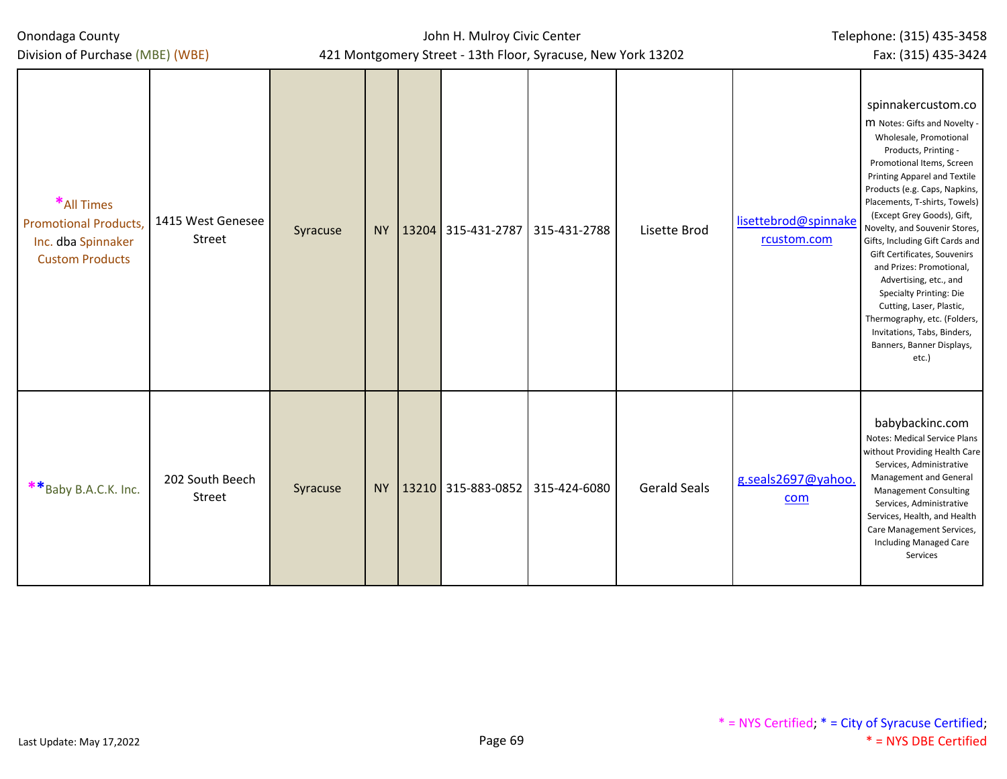Division of Purchase (MBE) (WBE)

John H. Mulroy Civic Center 421 Montgomery Street - 13th Floor, Syracuse, New York 13202

Fax: (315) 435-3424

| *All Times<br><b>Promotional Products,</b><br>Inc. dba Spinnaker<br><b>Custom Products</b> | 1415 West Genesee<br>Street | Syracuse |  | NY 13204 315-431-2787                    | 315-431-2788 | Lisette Brod        | lisettebrod@spinnake<br>rcustom.com | spinnakercustom.co<br>M Notes: Gifts and Novelty -<br>Wholesale, Promotional<br>Products, Printing -<br>Promotional Items, Screen<br>Printing Apparel and Textile<br>Products (e.g. Caps, Napkins,<br>Placements, T-shirts, Towels)<br>(Except Grey Goods), Gift,<br>Novelty, and Souvenir Stores,<br>Gifts, Including Gift Cards and<br>Gift Certificates, Souvenirs<br>and Prizes: Promotional,<br>Advertising, etc., and<br>Specialty Printing: Die<br>Cutting, Laser, Plastic,<br>Thermography, etc. (Folders,<br>Invitations, Tabs, Binders,<br>Banners, Banner Displays,<br>etc.) |
|--------------------------------------------------------------------------------------------|-----------------------------|----------|--|------------------------------------------|--------------|---------------------|-------------------------------------|-----------------------------------------------------------------------------------------------------------------------------------------------------------------------------------------------------------------------------------------------------------------------------------------------------------------------------------------------------------------------------------------------------------------------------------------------------------------------------------------------------------------------------------------------------------------------------------------|
| **Baby B.A.C.K. Inc.                                                                       | 202 South Beech<br>Street   | Syracuse |  | NY   13210   315-883-0852   315-424-6080 |              | <b>Gerald Seals</b> | g.seals2697@yahoo.<br>com           | babybackinc.com<br>Notes: Medical Service Plans<br>without Providing Health Care<br>Services, Administrative<br>Management and General<br><b>Management Consulting</b><br>Services, Administrative<br>Services, Health, and Health<br>Care Management Services,<br><b>Including Managed Care</b><br>Services                                                                                                                                                                                                                                                                            |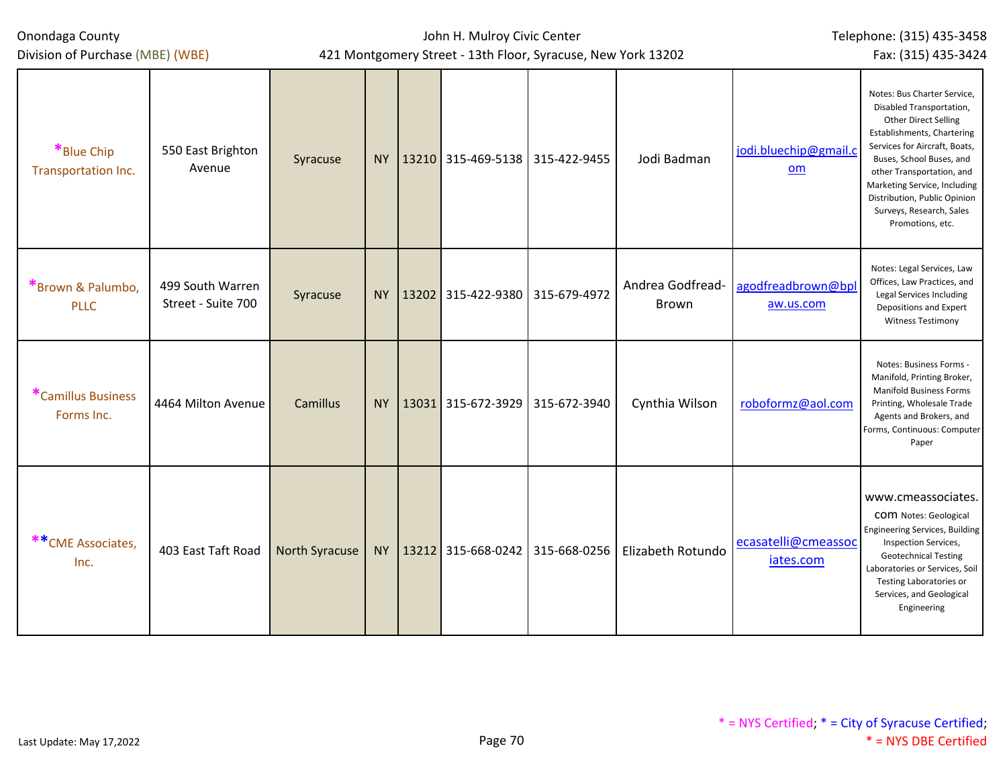## John H. Mulroy Civic Center 421 Montgomery Street - 13th Floor, Syracuse, New York 13202

Telephone: (315) 435-3458 Fax: (315) 435-3424

| *Blue Chip<br>Transportation Inc. | 550 East Brighton<br>Avenue            | Syracuse       | NY        | $13210$ 315-469-5138 315-422-9455      | Jodi Badman                      | jodi.bluechip@gmail.c<br>om      | Notes: Bus Charter Service,<br>Disabled Transportation,<br>Other Direct Selling<br>Establishments, Chartering<br>Services for Aircraft, Boats,<br>Buses, School Buses, and<br>other Transportation, and<br>Marketing Service, Including<br>Distribution, Public Opinion<br>Surveys, Research, Sales<br>Promotions, etc. |
|-----------------------------------|----------------------------------------|----------------|-----------|----------------------------------------|----------------------------------|----------------------------------|-------------------------------------------------------------------------------------------------------------------------------------------------------------------------------------------------------------------------------------------------------------------------------------------------------------------------|
| *Brown & Palumbo,<br><b>PLLC</b>  | 499 South Warren<br>Street - Suite 700 | Syracuse       | <b>NY</b> | 13202 315-422-9380 315-679-4972        | Andrea Godfread-<br><b>Brown</b> | agodfreadbrown@bpl<br>aw.us.com  | Notes: Legal Services, Law<br>Offices, Law Practices, and<br>Legal Services Including<br>Depositions and Expert<br><b>Witness Testimony</b>                                                                                                                                                                             |
| *Camillus Business<br>Forms Inc.  | 4464 Milton Avenue                     | Camillus       | <b>NY</b> | 13031 315-672-3929 315-672-3940        | Cynthia Wilson                   | roboformz@aol.com                | Notes: Business Forms -<br>Manifold, Printing Broker,<br><b>Manifold Business Forms</b><br>Printing, Wholesale Trade<br>Agents and Brokers, and<br>Forms, Continuous: Computer<br>Paper                                                                                                                                 |
| ** CME Associates,<br>Inc.        | 403 East Taft Road                     | North Syracuse |           | NY   13212 315-668-0242   315-668-0256 | Elizabeth Rotundo                | ecasatelli@cmeassoc<br>iates.com | www.cmeassociates.<br>COM Notes: Geological<br>Engineering Services, Building<br>Inspection Services,<br><b>Geotechnical Testing</b><br>Laboratories or Services, Soil<br><b>Testing Laboratories or</b><br>Services, and Geological<br>Engineering                                                                     |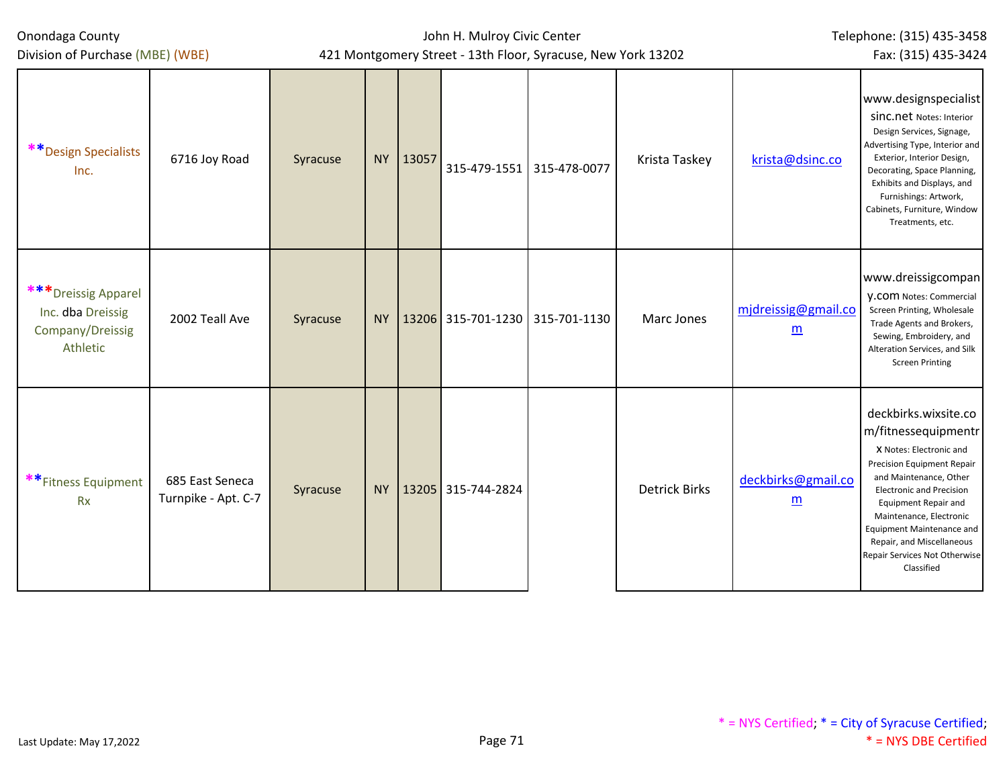| Division of Purchase (MBE) (WBE)                                          | 421 Montgomery Street - 13th Floor, Syracuse, New York 13202<br>Fax: (315) 435-3424 |          |           |          |                                 |              |                      |                                        |                                                                                                                                                                                                                                                                                                                                                    |
|---------------------------------------------------------------------------|-------------------------------------------------------------------------------------|----------|-----------|----------|---------------------------------|--------------|----------------------|----------------------------------------|----------------------------------------------------------------------------------------------------------------------------------------------------------------------------------------------------------------------------------------------------------------------------------------------------------------------------------------------------|
| ** Design Specialists<br>Inc.                                             | 6716 Joy Road                                                                       | Syracuse |           | NY 13057 | 315-479-1551                    | 315-478-0077 | Krista Taskey        | krista@dsinc.co                        | www.designspecialist<br>SINC.net Notes: Interior<br>Design Services, Signage,<br>Advertising Type, Interior and<br>Exterior, Interior Design,<br>Decorating, Space Planning,<br>Exhibits and Displays, and<br>Furnishings: Artwork,<br>Cabinets, Furniture, Window<br>Treatments, etc.                                                             |
| *** Dreissig Apparel<br>Inc. dba Dreissig<br>Company/Dreissig<br>Athletic | 2002 Teall Ave                                                                      | Syracuse | NY        |          | 13206 315-701-1230 315-701-1130 |              | Marc Jones           | mjdreissig@gmail.co<br>$\underline{m}$ | www.dreissigcompan<br><b>V.COM Notes: Commercial</b><br>Screen Printing, Wholesale<br>Trade Agents and Brokers,<br>Sewing, Embroidery, and<br>Alteration Services, and Silk<br><b>Screen Printing</b>                                                                                                                                              |
| **Fitness Equipment<br><b>Rx</b>                                          | 685 East Seneca<br>Turnpike - Apt. C-7                                              | Syracuse | <b>NY</b> |          | 13205 315-744-2824              |              | <b>Detrick Birks</b> | deckbirks@gmail.co<br>$\underline{m}$  | deckbirks.wixsite.co<br>m/fitnessequipmentr<br>X Notes: Electronic and<br><b>Precision Equipment Repair</b><br>and Maintenance, Other<br><b>Electronic and Precision</b><br><b>Equipment Repair and</b><br>Maintenance, Electronic<br><b>Equipment Maintenance and</b><br>Repair, and Miscellaneous<br>Repair Services Not Otherwise<br>Classified |

Telephone: (315) 435-3458

Onondaga County

John H. Mulroy Civic Center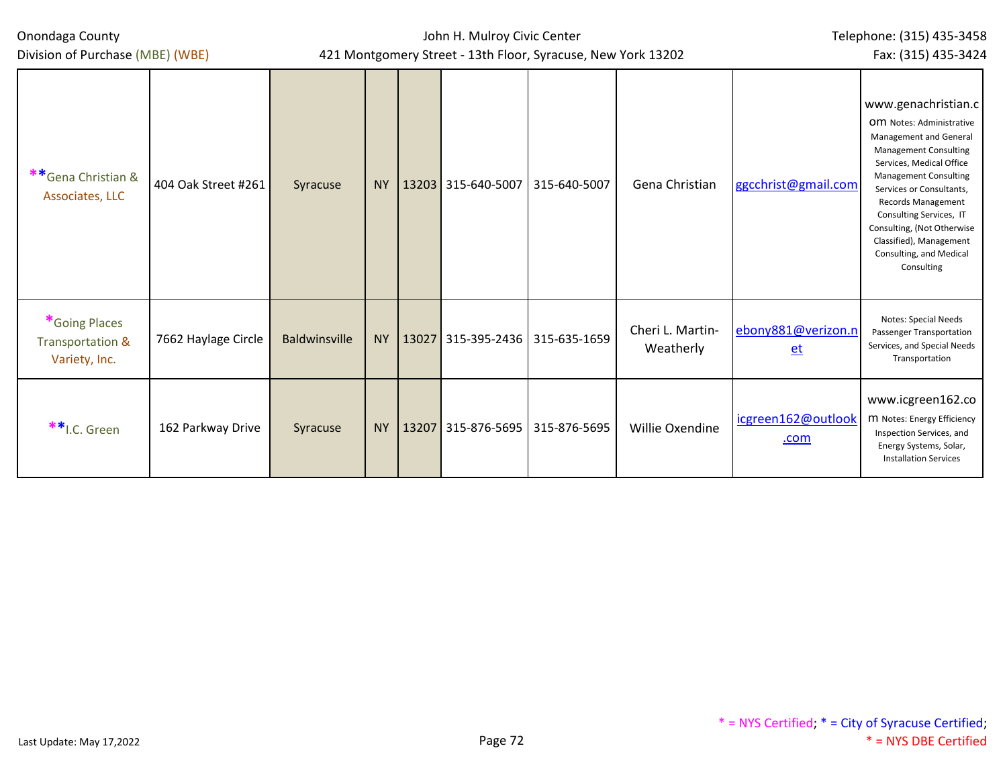| Onondaga County |  |
|-----------------|--|
|-----------------|--|

## John H. Mulroy Civic Center 421 Montgomery Street - 13th Floor, Syracuse, New York 13202

Telephone: (315) 435-3458 Fax: (315) 435-3424

| **Gena Christian &<br>Associates, LLC              | 404 Oak Street #261 | Syracuse             | <b>NY</b> | 13203 315-640-5007                | 315-640-5007 | Gena Christian                | ggcchrist@gmail.com        | www.genachristian.c<br>OM Notes: Administrative<br>Management and General<br><b>Management Consulting</b><br>Services, Medical Office<br><b>Management Consulting</b><br>Services or Consultants,<br><b>Records Management</b><br>Consulting Services, IT<br>Consulting, (Not Otherwise<br>Classified), Management<br>Consulting, and Medical<br>Consulting |
|----------------------------------------------------|---------------------|----------------------|-----------|-----------------------------------|--------------|-------------------------------|----------------------------|-------------------------------------------------------------------------------------------------------------------------------------------------------------------------------------------------------------------------------------------------------------------------------------------------------------------------------------------------------------|
| *Going Places<br>Transportation &<br>Variety, Inc. | 7662 Haylage Circle | <b>Baldwinsville</b> | <b>NY</b> | 13027 315-395-2436   315-635-1659 |              | Cheri L. Martin-<br>Weatherly | ebony881@verizon.n<br>$et$ | Notes: Special Needs<br>Passenger Transportation<br>Services, and Special Needs<br>Transportation                                                                                                                                                                                                                                                           |
| **I.C. Green                                       | 162 Parkway Drive   | Syracuse             | <b>NY</b> | 13207 315-876-5695 315-876-5695   |              | Willie Oxendine               | icgreen162@outlook<br>.com | www.icgreen162.co<br>M Notes: Energy Efficiency<br>Inspection Services, and<br>Energy Systems, Solar,<br><b>Installation Services</b>                                                                                                                                                                                                                       |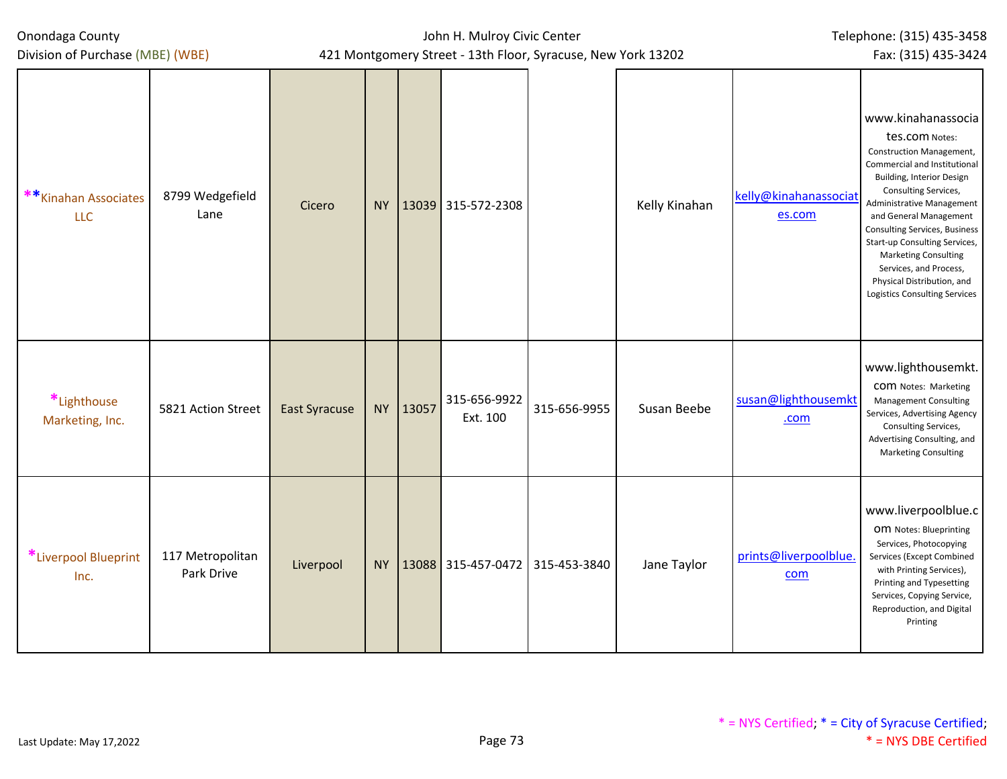| Onondaga County |  |
|-----------------|--|
|-----------------|--|

Division of Purchase (MBE) (WBE)

## John H. Mulroy Civic Center 421 Montgomery Street - 13th Floor, Syracuse, New York 13202

Telephone: (315) 435-3458

Fax: (315) 435-3424

| ** Kinahan Associates<br><b>LLC</b> | 8799 Wedgefield<br>Lane        | Cicero               | <b>NY</b> |       | 13039 315-572-2308              |              | Kelly Kinahan | kelly@kinahanassociat<br>es.com | www.kinahanassocia<br>tes.com Notes:<br><b>Construction Management,</b><br>Commercial and Institutional<br><b>Building, Interior Design</b><br>Consulting Services,<br>Administrative Management<br>and General Management<br>Consulting Services, Business<br>Start-up Consulting Services,<br>Marketing Consulting<br>Services, and Process,<br>Physical Distribution, and<br><b>Logistics Consulting Services</b> |
|-------------------------------------|--------------------------------|----------------------|-----------|-------|---------------------------------|--------------|---------------|---------------------------------|----------------------------------------------------------------------------------------------------------------------------------------------------------------------------------------------------------------------------------------------------------------------------------------------------------------------------------------------------------------------------------------------------------------------|
| *Lighthouse<br>Marketing, Inc.      | 5821 Action Street             | <b>East Syracuse</b> | <b>NY</b> | 13057 | 315-656-9922<br>Ext. 100        | 315-656-9955 | Susan Beebe   | susan@lighthousemkt<br>.com     | www.lighthousemkt.<br>COM Notes: Marketing<br><b>Management Consulting</b><br>Services, Advertising Agency<br>Consulting Services,<br>Advertising Consulting, and<br><b>Marketing Consulting</b>                                                                                                                                                                                                                     |
| *Liverpool Blueprint<br>Inc.        | 117 Metropolitan<br>Park Drive | Liverpool            | <b>NY</b> |       | 13088 315-457-0472 315-453-3840 |              | Jane Taylor   | prints@liverpoolblue.<br>com    | www.liverpoolblue.c<br>OM Notes: Blueprinting<br>Services, Photocopying<br>Services (Except Combined<br>with Printing Services),<br>Printing and Typesetting<br>Services, Copying Service,<br>Reproduction, and Digital<br>Printing                                                                                                                                                                                  |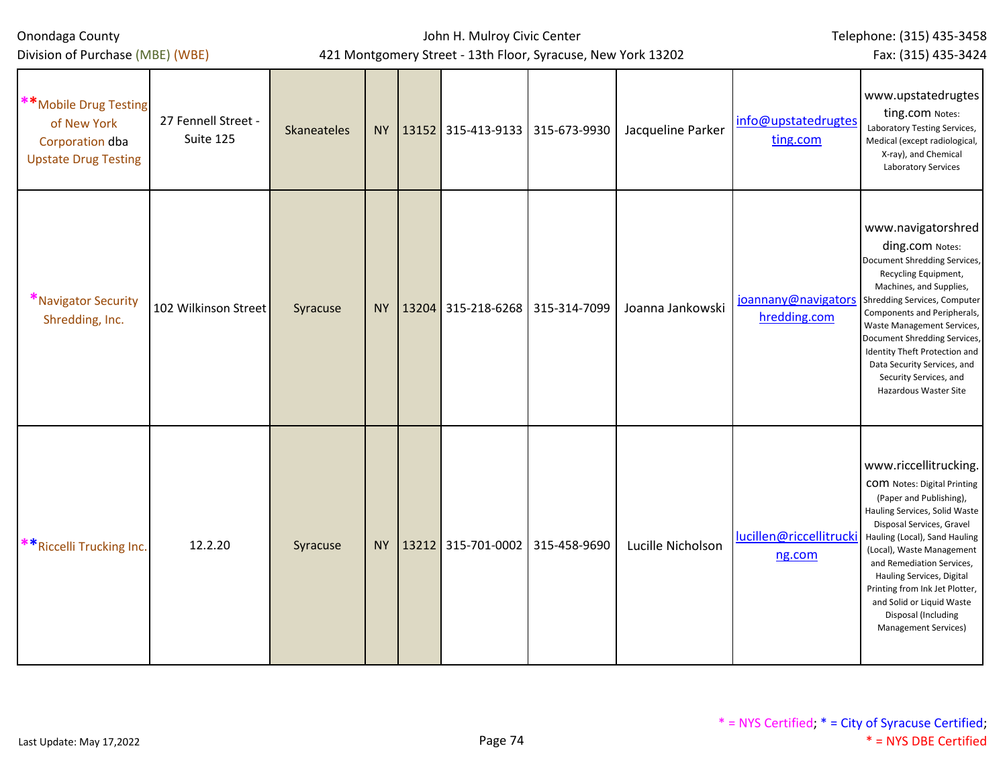| Division of Purchase (MBE) (WBE)                                                       |                                  |             |           | 421 Montgomery Street - 13th Floor, Syracuse, New York 13202 |  | Fax: (315) 435-3424 |                                     |                                                                                                                                                                                                                                                                                                                                                                                            |  |
|----------------------------------------------------------------------------------------|----------------------------------|-------------|-----------|--------------------------------------------------------------|--|---------------------|-------------------------------------|--------------------------------------------------------------------------------------------------------------------------------------------------------------------------------------------------------------------------------------------------------------------------------------------------------------------------------------------------------------------------------------------|--|
| **Mobile Drug Testing<br>of New York<br>Corporation dba<br><b>Upstate Drug Testing</b> | 27 Fennell Street -<br>Suite 125 | Skaneateles |           | NY   13152   315-413-9133   315-673-9930                     |  | Jacqueline Parker   | info@upstatedrugtes<br>ting.com     | www.upstatedrugtes<br>ting.com Notes:<br>Laboratory Testing Services,<br>Medical (except radiological,<br>X-ray), and Chemical<br>Laboratory Services                                                                                                                                                                                                                                      |  |
| *Navigator Security<br>Shredding, Inc.                                                 | 102 Wilkinson Street             | Syracuse    |           | NY   13204 315-218-6268   315-314-7099                       |  | Joanna Jankowski    | joannany@navigators<br>hredding.com | www.navigatorshred<br>ding.com Notes:<br>Document Shredding Services,<br>Recycling Equipment,<br>Machines, and Supplies,<br>Shredding Services, Computer<br>Components and Peripherals,<br>Waste Management Services,<br>Document Shredding Services,<br>Identity Theft Protection and<br>Data Security Services, and<br>Security Services, and<br>Hazardous Waster Site                   |  |
| **Riccelli Trucking Inc.                                                               | 12.2.20                          | Syracuse    | <b>NY</b> | 13212 315-701-0002 315-458-9690                              |  | Lucille Nicholson   | lucillen@riccellitrucki<br>ng.com   | www.riccellitrucking.<br><b>COM</b> Notes: Digital Printing<br>(Paper and Publishing),<br>Hauling Services, Solid Waste<br>Disposal Services, Gravel<br>Hauling (Local), Sand Hauling<br>(Local), Waste Management<br>and Remediation Services,<br>Hauling Services, Digital<br>Printing from Ink Jet Plotter,<br>and Solid or Liquid Waste<br>Disposal (Including<br>Management Services) |  |

John H. Mulroy Civic Center

Telephone: (315) 435-3458

Onondaga County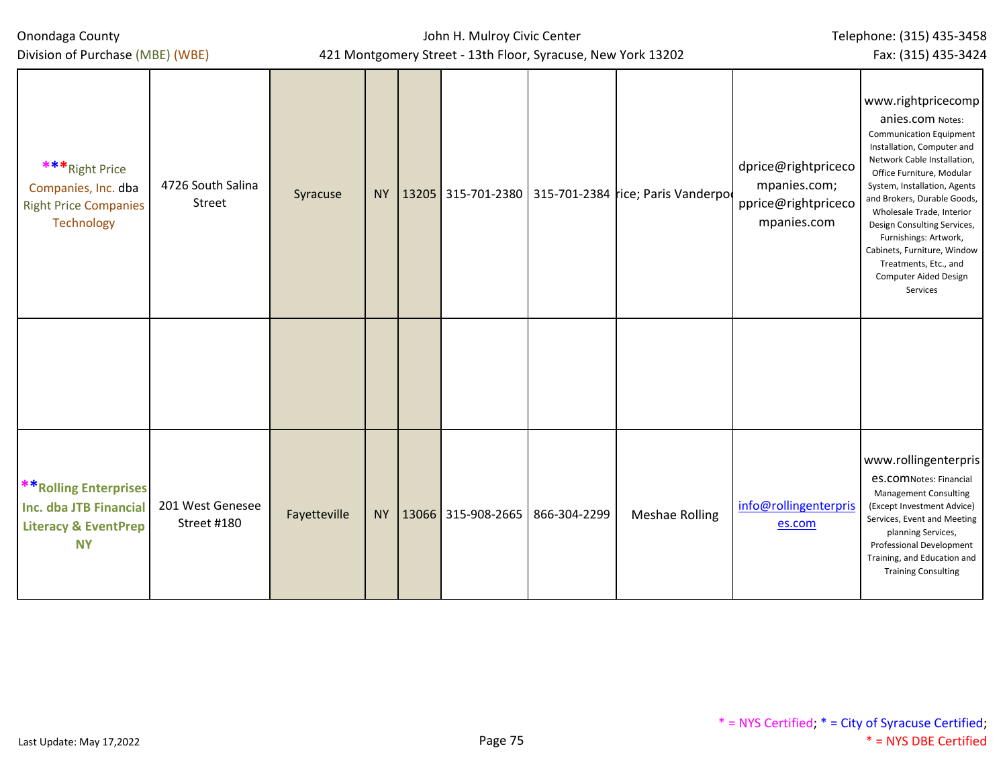Division of Purchase (MBE) (WBE)

John H. Mulroy Civic Center 421 Montgomery Street - 13th Floor, Syracuse, New York 13202 Telephone: (315) 435-3458 Fax: (315) 435-3424

| *** Right Price<br>Companies, Inc. dba<br><b>Right Price Companies</b><br>Technology                    | 4726 South Salina<br>Street     | Syracuse     |          |              |              | NY   13205   315-701-2380   315-701-2384 rice; Paris Vanderpo | dprice@rightpriceco<br>mpanies.com;<br>pprice@rightpriceco<br>mpanies.com | www.rightpricecomp<br>anies.com Notes:<br><b>Communication Equipment</b><br>Installation, Computer and<br>Network Cable Installation,<br>Office Furniture, Modular<br>System, Installation, Agents<br>and Brokers, Durable Goods,<br>Wholesale Trade, Interior<br>Design Consulting Services,<br>Furnishings: Artwork,<br>Cabinets, Furniture, Window<br>Treatments, Etc., and<br>Computer Aided Design<br>Services |
|---------------------------------------------------------------------------------------------------------|---------------------------------|--------------|----------|--------------|--------------|---------------------------------------------------------------|---------------------------------------------------------------------------|---------------------------------------------------------------------------------------------------------------------------------------------------------------------------------------------------------------------------------------------------------------------------------------------------------------------------------------------------------------------------------------------------------------------|
|                                                                                                         |                                 |              |          |              |              |                                                               |                                                                           |                                                                                                                                                                                                                                                                                                                                                                                                                     |
| <b>** Rolling Enterprises</b><br>Inc. dba JTB Financial<br><b>Literacy &amp; EventPrep</b><br><b>NY</b> | 201 West Genesee<br>Street #180 | Fayetteville | NY 13066 | 315-908-2665 | 866-304-2299 | <b>Meshae Rolling</b>                                         | info@rollingenterpris<br>es.com                                           | www.rollingenterpris<br><b>es.comNotes: Financial</b><br><b>Management Consulting</b><br>(Except Investment Advice)<br>Services, Event and Meeting<br>planning Services,<br>Professional Development<br>Training, and Education and<br><b>Training Consulting</b>                                                                                                                                                   |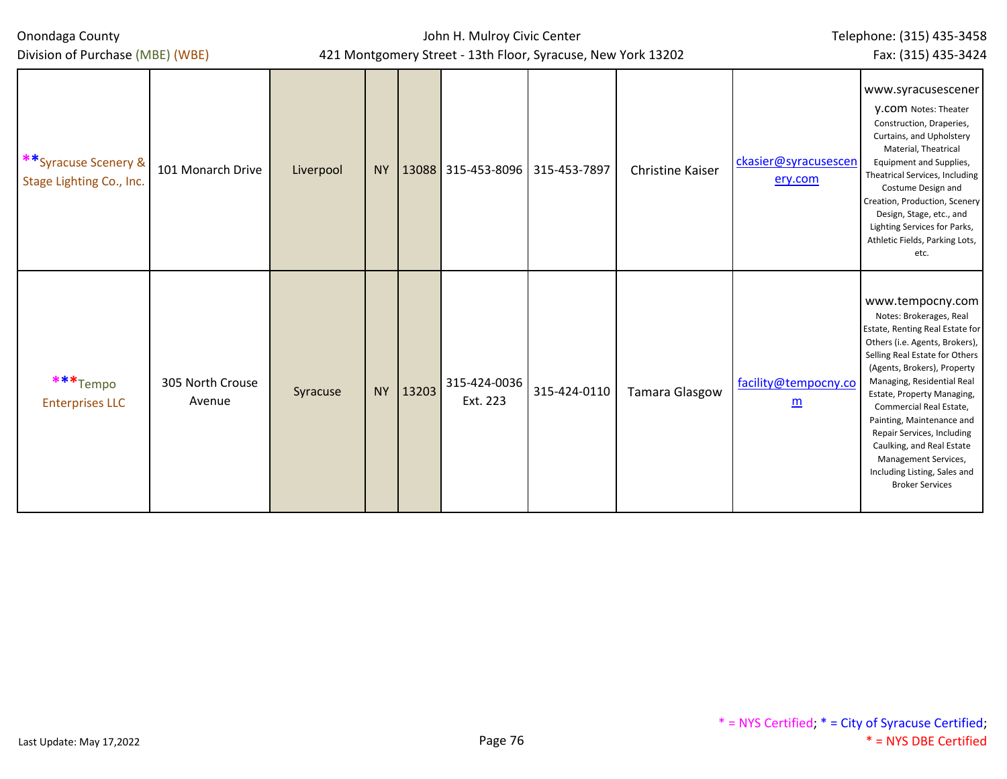| Onondaga County                                  |                            |           |           | John H. Mulroy Civic Center | Telephone: (315) 435-3458                                    |                     |                         |                                 |                                                                                                                                                                                                                                                                                                                                                                                                                                                    |
|--------------------------------------------------|----------------------------|-----------|-----------|-----------------------------|--------------------------------------------------------------|---------------------|-------------------------|---------------------------------|----------------------------------------------------------------------------------------------------------------------------------------------------------------------------------------------------------------------------------------------------------------------------------------------------------------------------------------------------------------------------------------------------------------------------------------------------|
| Division of Purchase (MBE) (WBE)                 |                            |           |           |                             | 421 Montgomery Street - 13th Floor, Syracuse, New York 13202 | Fax: (315) 435-3424 |                         |                                 |                                                                                                                                                                                                                                                                                                                                                                                                                                                    |
| **Syracuse Scenery &<br>Stage Lighting Co., Inc. | 101 Monarch Drive          | Liverpool | <b>NY</b> |                             | 13088 315-453-8096 315-453-7897                              |                     | <b>Christine Kaiser</b> | ckasier@syracusescen<br>ery.com | www.syracusescener<br><b>V.COM Notes: Theater</b><br>Construction, Draperies,<br>Curtains, and Upholstery<br>Material, Theatrical<br>Equipment and Supplies,<br>Theatrical Services, Including<br>Costume Design and<br>Creation, Production, Scenery<br>Design, Stage, etc., and<br>Lighting Services for Parks,<br>Athletic Fields, Parking Lots,<br>etc.                                                                                        |
| ***Tempo<br><b>Enterprises LLC</b>               | 305 North Crouse<br>Avenue | Syracuse  | <b>NY</b> | 13203                       | 315-424-0036<br>Ext. 223                                     | 315-424-0110        | <b>Tamara Glasgow</b>   | facility@tempocny.co<br>m       | www.tempocny.com<br>Notes: Brokerages, Real<br>Estate, Renting Real Estate for<br>Others (i.e. Agents, Brokers),<br>Selling Real Estate for Others<br>(Agents, Brokers), Property<br>Managing, Residential Real<br>Estate, Property Managing,<br>Commercial Real Estate,<br>Painting, Maintenance and<br>Repair Services, Including<br>Caulking, and Real Estate<br>Management Services,<br>Including Listing, Sales and<br><b>Broker Services</b> |